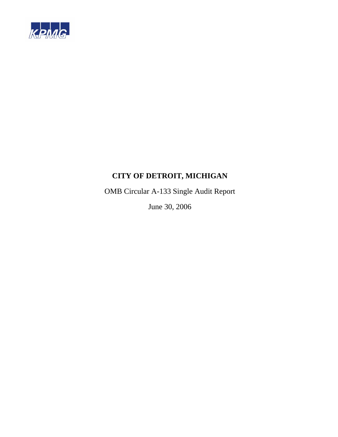

OMB Circular A-133 Single Audit Report

June 30, 2006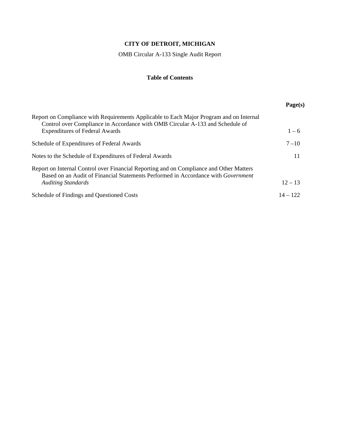OMB Circular A-133 Single Audit Report

# **Table of Contents**

|                                                                                                                                                                                     | Page(s)    |
|-------------------------------------------------------------------------------------------------------------------------------------------------------------------------------------|------------|
| Report on Compliance with Requirements Applicable to Each Major Program and on Internal<br>Control over Compliance in Accordance with OMB Circular A-133 and Schedule of            |            |
| <b>Expenditures of Federal Awards</b>                                                                                                                                               | $1 - 6$    |
| Schedule of Expenditures of Federal Awards                                                                                                                                          | $7 - 10$   |
| Notes to the Schedule of Expenditures of Federal Awards                                                                                                                             | 11         |
| Report on Internal Control over Financial Reporting and on Compliance and Other Matters<br>Based on an Audit of Financial Statements Performed in Accordance with <i>Government</i> |            |
| <b>Auditing Standards</b>                                                                                                                                                           | $12 - 13$  |
| Schedule of Findings and Questioned Costs                                                                                                                                           | $14 - 122$ |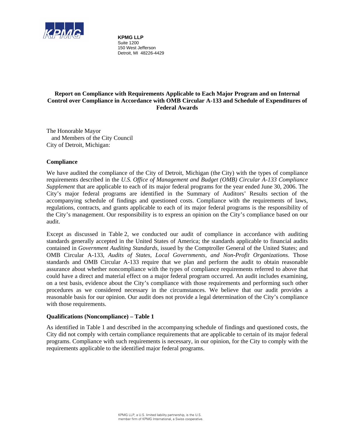

**KPMG LLP** Suite 1200 150 West Jefferson Detroit, MI 48226-4429

# **Report on Compliance with Requirements Applicable to Each Major Program and on Internal Control over Compliance in Accordance with OMB Circular A-133 and Schedule of Expenditures of Federal Awards**

The Honorable Mayor and Members of the City Council City of Detroit, Michigan:

# **Compliance**

We have audited the compliance of the City of Detroit, Michigan (the City) with the types of compliance requirements described in the *U.S. Office of Management and Budget (OMB) Circular A-133 Compliance Supplement* that are applicable to each of its major federal programs for the year ended June 30, 2006. The City's major federal programs are identified in the Summary of Auditors' Results section of the accompanying schedule of findings and questioned costs. Compliance with the requirements of laws, regulations, contracts, and grants applicable to each of its major federal programs is the responsibility of the City's management. Our responsibility is to express an opinion on the City's compliance based on our audit.

Except as discussed in Table 2, we conducted our audit of compliance in accordance with auditing standards generally accepted in the United States of America; the standards applicable to financial audits contained in *Government Auditing Standards*, issued by the Comptroller General of the United States; and OMB Circular A-133, *Audits of States, Local Governments, and Non-Profit Organizations*. Those standards and OMB Circular A-133 require that we plan and perform the audit to obtain reasonable assurance about whether noncompliance with the types of compliance requirements referred to above that could have a direct and material effect on a major federal program occurred. An audit includes examining, on a test basis, evidence about the City's compliance with those requirements and performing such other procedures as we considered necessary in the circumstances. We believe that our audit provides a reasonable basis for our opinion. Our audit does not provide a legal determination of the City's compliance with those requirements.

#### **Qualifications (Noncompliance) – Table 1**

As identified in Table 1 and described in the accompanying schedule of findings and questioned costs, the City did not comply with certain compliance requirements that are applicable to certain of its major federal programs. Compliance with such requirements is necessary, in our opinion, for the City to comply with the requirements applicable to the identified major federal programs.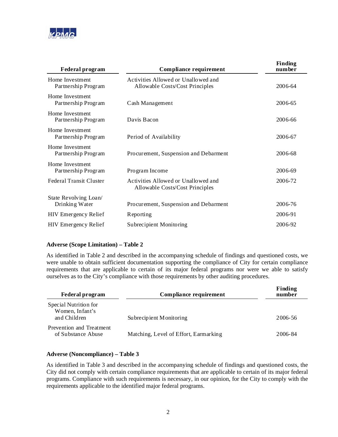

| <b>Federal program</b>                  | <b>Compliance requirement</b>                                          | <b>Finding</b><br>number |
|-----------------------------------------|------------------------------------------------------------------------|--------------------------|
| Home Investment<br>Partnership Program  | Activities Allowed or Unallowed and<br>Allowable Costs/Cost Principles | 2006-64                  |
| Home Investment<br>Partnership Program  | Cash Management                                                        | 2006-65                  |
| Home Investment<br>Partnership Program  | Davis Bacon                                                            | 2006-66                  |
| Home Investment<br>Partnership Program  | Period of Availability                                                 | 2006-67                  |
| Home Investment<br>Partnership Program  | Procurement, Suspension and Debarment                                  | 2006-68                  |
| Home Investment<br>Partnership Program  | Program Income                                                         | 2006-69                  |
| <b>Federal Transit Cluster</b>          | Activities Allowed or Unallowed and<br>Allowable Costs/Cost Principles | 2006-72                  |
| State Revolving Loan/<br>Drinking Water | Procurement, Suspension and Debarment                                  | 2006-76                  |
| <b>HIV Emergency Relief</b>             | Reporting                                                              | 2006-91                  |
| <b>HIV</b> Emergency Relief             | Subrecipient Monitoring                                                | 2006-92                  |

# **Adverse (Scope Limitation) – Table 2**

As identified in Table 2 and described in the accompanying schedule of findings and questioned costs, we were unable to obtain sufficient documentation supporting the compliance of City for certain compliance requirements that are applicable to certain of its major federal programs nor were we able to satisfy ourselves as to the City's compliance with those requirements by other auditing procedures.

| <b>Federal program</b>                                   | Compliance requirement                | Finding<br>number |
|----------------------------------------------------------|---------------------------------------|-------------------|
| Special Nutrition for<br>Women, Infant's<br>and Children | Subrecipient Monitoring               | 2006-56           |
| Prevention and Treatment<br>of Substance Abuse           | Matching, Level of Effort, Earmarking | 2006-84           |

#### **Adverse (Noncompliance) – Table 3**

As identified in Table 3 and described in the accompanying schedule of findings and questioned costs, the City did not comply with certain compliance requirements that are applicable to certain of its major federal programs. Compliance with such requirements is necessary, in our opinion, for the City to comply with the requirements applicable to the identified major federal programs.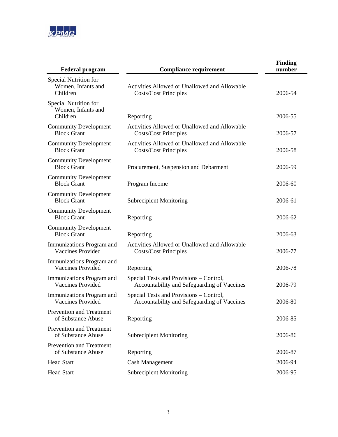

| <b>Federal program</b>                                  | <b>Compliance requirement</b>                                                          | <b>Finding</b><br>number |
|---------------------------------------------------------|----------------------------------------------------------------------------------------|--------------------------|
| Special Nutrition for<br>Women, Infants and<br>Children | Activities Allowed or Unallowed and Allowable<br><b>Costs/Cost Principles</b>          | 2006-54                  |
| Special Nutrition for<br>Women, Infants and<br>Children | Reporting                                                                              | 2006-55                  |
| <b>Community Development</b><br><b>Block Grant</b>      | Activities Allowed or Unallowed and Allowable<br><b>Costs/Cost Principles</b>          | 2006-57                  |
| <b>Community Development</b><br><b>Block Grant</b>      | Activities Allowed or Unallowed and Allowable<br><b>Costs/Cost Principles</b>          | 2006-58                  |
| <b>Community Development</b><br><b>Block Grant</b>      | Procurement, Suspension and Debarment                                                  | 2006-59                  |
| <b>Community Development</b><br><b>Block Grant</b>      | Program Income                                                                         | 2006-60                  |
| <b>Community Development</b><br><b>Block Grant</b>      | <b>Subrecipient Monitoring</b>                                                         | 2006-61                  |
| <b>Community Development</b><br><b>Block Grant</b>      | Reporting                                                                              | 2006-62                  |
| <b>Community Development</b><br><b>Block Grant</b>      | Reporting                                                                              | 2006-63                  |
| Immunizations Program and<br><b>Vaccines Provided</b>   | Activities Allowed or Unallowed and Allowable<br><b>Costs/Cost Principles</b>          | 2006-77                  |
| Immunizations Program and<br><b>Vaccines Provided</b>   | Reporting                                                                              | 2006-78                  |
| Immunizations Program and<br><b>Vaccines Provided</b>   | Special Tests and Provisions - Control,<br>Accountability and Safeguarding of Vaccines | 2006-79                  |
| Immunizations Program and<br><b>Vaccines Provided</b>   | Special Tests and Provisions – Control,<br>Accountability and Safeguarding of Vaccines | 2006-80                  |
| Prevention and Treatment<br>of Substance Abuse          | Reporting                                                                              | 2006-85                  |
| Prevention and Treatment<br>of Substance Abuse          | <b>Subrecipient Monitoring</b>                                                         | 2006-86                  |
| <b>Prevention and Treatment</b><br>of Substance Abuse   | Reporting                                                                              | 2006-87                  |
| <b>Head Start</b>                                       | <b>Cash Management</b>                                                                 | 2006-94                  |
| <b>Head Start</b>                                       | <b>Subrecipient Monitoring</b>                                                         | 2006-95                  |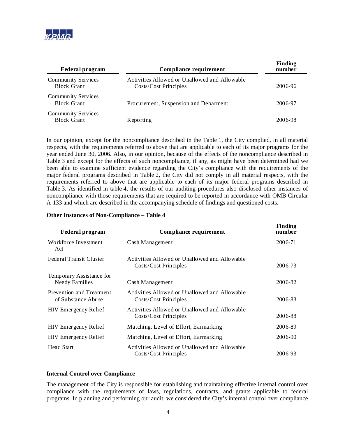

| <b>Federal program</b>                          | Compliance requirement                                                 | <b>Finding</b><br>number |
|-------------------------------------------------|------------------------------------------------------------------------|--------------------------|
| Community Services<br><b>Block Grant</b>        | Activities Allowed or Unallowed and Allowable<br>Costs/Cost Principles | 2006-96                  |
| Community Services<br><b>Block Grant</b>        | Procurement, Suspension and Debarment                                  | 2006-97                  |
| <b>Community Services</b><br><b>Block Grant</b> | Reporting                                                              | 2006-98                  |

In our opinion, except for the noncompliance described in the Table 1, the City complied, in all material respects, with the requirements referred to above that are applicable to each of its major programs for the year ended June 30, 2006. Also, in our opinion, because of the effects of the noncompliance described in Table 3 and except for the effects of such noncompliance, if any, as might have been determined had we been able to examine sufficient evidence regarding the City's compliance with the requirements of the major federal programs described in Table 2, the City did not comply in all material respects, with the requirements referred to above that are applicable to each of its major federal programs described in Table 3. As identified in table 4, the results of our auditing procedures also disclosed other instances of noncompliance with those requirements that are required to be reported in accordance with OMB Circular A-133 and which are described in the accompanying schedule of findings and questioned costs.

#### **Other Instances of Non-Compliance – Table 4**

| <b>Federal program</b>                            | <b>Compliance requirement</b>                                          | <b>Finding</b><br>number |
|---------------------------------------------------|------------------------------------------------------------------------|--------------------------|
| Workforce Investment<br>Act                       | Cash Management                                                        | 2006-71                  |
| Federal Transit Cluster                           | Activities Allowed or Unallowed and Allowable<br>Costs/Cost Principles | 2006-73                  |
| Temporary Assistance for<br><b>Needy Families</b> | Cash Management                                                        | 2006-82                  |
| Prevention and Treatment<br>of Substance Abuse    | Activities Allowed or Unallowed and Allowable<br>Costs/Cost Principles | 2006-83                  |
| <b>HIV</b> Emergency Relief                       | Activities Allowed or Unallowed and Allowable<br>Costs/Cost Principles | 2006-88                  |
| HIV Emergency Relief                              | Matching, Level of Effort, Earmarking                                  | 2006-89                  |
| HIV Emergency Relief                              | Matching, Level of Effort, Earmarking                                  | 2006-90                  |
| <b>Head Start</b>                                 | Activities Allowed or Unallowed and Allowable<br>Costs/Cost Principles | 2006-93                  |

#### **Internal Control over Compliance**

The management of the City is responsible for establishing and maintaining effective internal control over compliance with the requirements of laws, regulations, contracts, and grants applicable to federal programs. In planning and performing our audit, we considered the City's internal control over compliance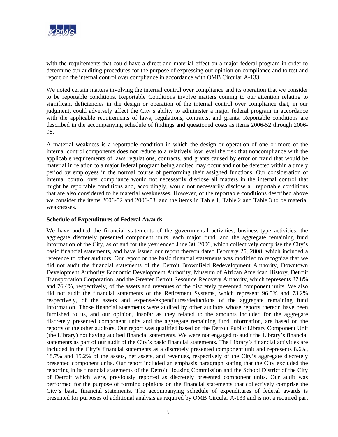

with the requirements that could have a direct and material effect on a major federal program in order to determine our auditing procedures for the purpose of expressing our opinion on compliance and to test and report on the internal control over compliance in accordance with OMB Circular A-133

We noted certain matters involving the internal control over compliance and its operation that we consider to be reportable conditions. Reportable Conditions involve matters coming to our attention relating to significant deficiencies in the design or operation of the internal control over compliance that, in our judgment, could adversely affect the City's ability to administer a major federal program in accordance with the applicable requirements of laws, regulations, contracts, and grants. Reportable conditions are described in the accompanying schedule of findings and questioned costs as items 2006-52 through 2006- 98.

A material weakness is a reportable condition in which the design or operation of one or more of the internal control components does not reduce to a relatively low level the risk that noncompliance with the applicable requirements of laws regulations, contracts, and grants caused by error or fraud that would be material in relation to a major federal program being audited may occur and not be detected within a timely period by employees in the normal course of performing their assigned functions. Our consideration of internal control over compliance would not necessarily disclose all matters in the internal control that might be reportable conditions and, accordingly, would not necessarily disclose all reportable conditions that are also considered to be material weaknesses. However, of the reportable conditions described above we consider the items 2006-52 and 2006-53, and the items in Table 1, Table 2 and Table 3 to be material weaknesses.

#### **Schedule of Expenditures of Federal Awards**

We have audited the financial statements of the governmental activities, business-type activities, the aggregate discretely presented component units, each major fund, and the aggregate remaining fund information of the City, as of and for the year ended June 30, 2006, which collectively comprise the City's basic financial statements, and have issued our report thereon dated February 25, 2008, which included a reference to other auditors. Our report on the basic financial statements was modified to recognize that we did not audit the financial statements of the Detroit Brownfield Redevelopment Authority, Downtown Development Authority Economic Development Authority, Museum of African American History, Detroit Transportation Corporation, and the Greater Detroit Resource Recovery Authority, which represents 87.8% and 76.4%, respectively, of the assets and revenues of the discretely presented component units. We also did not audit the financial statements of the Retirement Systems, which represent 96.5% and 73.2% respectively, of the assets and expense/expenditures/deductions of the aggregate remaining fund information. Those financial statements were audited by other auditors whose reports thereon have been furnished to us, and our opinion, insofar as they related to the amounts included for the aggregate discretely presented component units and the aggregate remaining fund information, are based on the reports of the other auditors. Our report was qualified based on the Detroit Public Library Component Unit (the Library) not having audited financial statements. We were not engaged to audit the Library's financial statements as part of our audit of the City's basic financial statements. The Library's financial activities are included in the City's financial statements as a discretely presented component unit and represents 8.6%, 18.7% and 15.2% of the assets, net assets, and revenues, respectively of the City's aggregate discretely presented component units. Our report included an emphasis paragraph stating that the City excluded the reporting in its financial statements of the Detroit Housing Commission and the School District of the City of Detroit which were, previously reported as discretely presented component units. Our audit was performed for the purpose of forming opinions on the financial statements that collectively comprise the City's basic financial statements. The accompanying schedule of expenditures of federal awards is presented for purposes of additional analysis as required by OMB Circular A-133 and is not a required part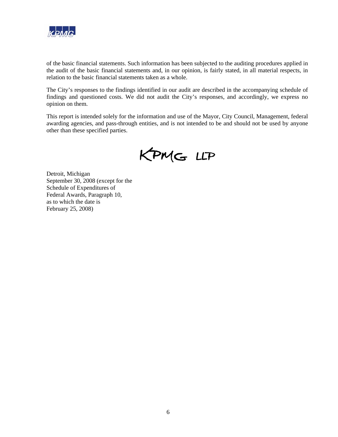

of the basic financial statements. Such information has been subjected to the auditing procedures applied in the audit of the basic financial statements and, in our opinion, is fairly stated, in all material respects, in relation to the basic financial statements taken as a whole.

The City's responses to the findings identified in our audit are described in the accompanying schedule of findings and questioned costs. We did not audit the City's responses, and accordingly, we express no opinion on them.

This report is intended solely for the information and use of the Mayor, City Council, Management, federal awarding agencies, and pass-through entities, and is not intended to be and should not be used by anyone other than these specified parties.

KPMG LLP

Detroit, Michigan September 30, 2008 (except for the Schedule of Expenditures of Federal Awards, Paragraph 10, as to which the date is February 25, 2008)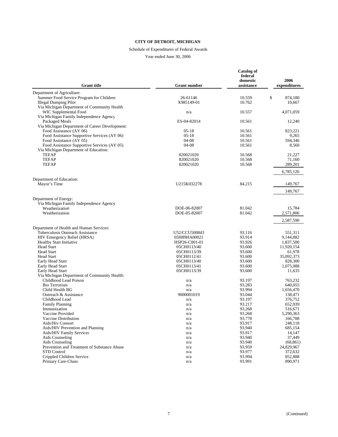#### Schedule of Expenditures of Federal Awards

Year ended June 30, 2006

| <b>Grant title</b>                                               | <b>Grant number</b> | <b>Catalog of</b><br>federal<br>domestic<br>assistance | 2006<br>expenditures |
|------------------------------------------------------------------|---------------------|--------------------------------------------------------|----------------------|
| Department of Agriculture:                                       |                     |                                                        |                      |
| Summer Food Service Program for Children                         | 26-61146            | 10.559                                                 | \$<br>874,180        |
| <b>Illegal Dumping Pilot</b>                                     | X985149-01          | 10.762                                                 | 10,667               |
| Via Michigan Department of Community Health                      |                     |                                                        |                      |
| WIC Supplemental Food                                            | n/a                 | 10.557                                                 | 4,071,059            |
| Via Michigan Family Independence Agency                          |                     |                                                        |                      |
| Packaged Meals                                                   | ES-04-82014         | 10.561                                                 | 12,240               |
| Via Michigan Department of Career Development:                   |                     |                                                        |                      |
| Food Assistance (AY 06)                                          | $05-18$             | 10.561                                                 | 823.221              |
| Food Assistance Supportive Services (AY 06)                      | $05-18$             | 10.561                                                 | 9,265                |
| Food Assistance (AY 05)                                          | $04-08$             | 10.561                                                 | 594.346              |
| Food Assistance Supportive Services (AY 05)                      | 04-08               | 10.561                                                 | 8,560                |
| Via Michigan Department of Education:                            |                     |                                                        |                      |
| <b>TEFAP</b>                                                     | 820021020           | 10.568                                                 | 21,227               |
| <b>TEFAP</b>                                                     | 820021020           | 10.568                                                 | 71,160               |
| <b>TEFAP</b>                                                     | 820021020           | 10.568                                                 | 289,201              |
|                                                                  |                     |                                                        | 6,785,126            |
| Department of Education:<br>Mayor's Time                         | U215K032278         | 84.215                                                 | 149,767              |
|                                                                  |                     |                                                        | 149,767              |
|                                                                  |                     |                                                        |                      |
| Department of Energy:                                            |                     |                                                        |                      |
| Via Michigan Family Independence Agency                          |                     |                                                        |                      |
| Weatherization                                                   | DOE-06-82007        | 81.042                                                 | 15,784               |
| Weatherization                                                   | DOE-05-82007        | 81.042                                                 | 2,571,806            |
|                                                                  |                     |                                                        | 2,587,590            |
| Department of Health and Human Services:                         |                     |                                                        |                      |
| Tuberculosis Outreach Assistance                                 | U52/CCU500843       | 93.116                                                 | 551,311              |
| HIV Emergency Relief (HRSA)                                      | 05H89HA00021        | 93.914                                                 | 9,144,882            |
| <b>Healthy Start Initiative</b>                                  | HSP26-C001-01       | 93.926                                                 | 1,837,500            |
| Head Start                                                       | 05CH0113/40         | 93.600                                                 | 11,920,154           |
| <b>Head Start</b>                                                | 05CH0113/39         | 93.600                                                 | 61,978               |
| <b>Head Start</b>                                                | 05CH0112/41         | 93.600                                                 | 35,092,373           |
| Early Head Start                                                 | 05CH0113/40         | 93.600                                                 | 828,300              |
| Early Head Start                                                 | 05CH0113/41         | 93.600<br>93.600                                       | 1,075,088            |
| Early Head Start<br>Via Michigan Department of Community Health: | 05CH0113/39         |                                                        | 11,635               |
| Childhood Lead Poison                                            | n/a                 | 93.197                                                 | 763,232              |
| <b>Bio Terrorism</b>                                             | n/a                 | 93.283                                                 | 640,055              |
| Child Health BG                                                  | n/a                 | 93.994                                                 | 1,656,470            |
| Outreach & Assistance                                            | 9000001019          | 93.044                                                 | 138,471              |
| Childhood Lead                                                   | n/a                 | 93.197                                                 | 376,752              |
| <b>Family Planning</b>                                           | n/a                 | 93.217                                                 | 652,939              |
| Immunization                                                     | n/a                 | 93.268                                                 | 516,671              |
| Vaccine Provided                                                 | n/a                 | 93.268                                                 | 5,290,363            |
| Vaccine Distribution                                             | n/a                 | 93.778                                                 | 166,788              |
| <b>Aids/Hiv Consort</b>                                          | n/a                 | 93.917                                                 | 248,118              |
| Aids/HIV Prevention and Planning                                 | n/a                 | 93.940                                                 | 685,154              |
| Aids/HIV Family Services                                         | n/a                 | 93.917                                                 | 14,147               |
| Aids Counseling                                                  | n/a                 | 93.940                                                 | 37,449               |
| Aids Counseling                                                  | n/a                 | 93.940                                                 | (68, 861)            |
| Prevention and Treatment of Substance Abuse                      | n/a                 | 93.959                                                 | 24,829,967           |
| <b>STD</b> Control                                               | n/a                 | 93.977                                                 | 372,632              |
| Crippled Children Service                                        | n/a                 | 93.994                                                 | 852,888              |
| Primary Care-Chass                                               | n/a                 | 93.991                                                 | 890,971              |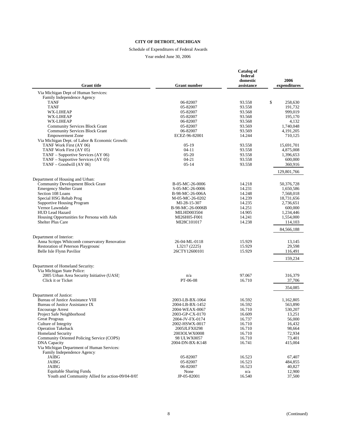#### Schedule of Expenditures of Federal Awards

Year ended June 30, 2006

| <b>Grant</b> title                                                      | <b>Grant number</b>                | Catalog of<br>federal<br>domestic<br>assistance | 2006<br>expenditures   |
|-------------------------------------------------------------------------|------------------------------------|-------------------------------------------------|------------------------|
| Via Michigan Dept of Human Services:                                    |                                    |                                                 |                        |
| Family Independence Agency:                                             |                                    |                                                 |                        |
| <b>TANF</b>                                                             | 06-82007                           | 93.558                                          | \$<br>258,630          |
| <b>TANF</b>                                                             | 05-82007                           | 93.558                                          | 191,732                |
| WX-LIHEAP                                                               | 05-82007                           | 93.568                                          | 999,019                |
| WX-LIHEAP                                                               | 05-82007                           | 93.568                                          | 195,170                |
| WX-LIHEAP                                                               | 06-82007                           | 93.568                                          | 4,132                  |
| <b>Community Services Block Grant</b>                                   | 05-82007                           | 93.569                                          | 1,740,048              |
| <b>Community Services Block Grant</b><br><b>Empowerment Zone</b>        | 06-82007<br>ECEZ-96-82001          | 93.569<br>14.244                                | 4, 191, 205<br>710,125 |
| Via Michigan Dept. of Labor & Economic Growth:                          |                                    |                                                 |                        |
| TANF Work First (AY 06)                                                 | $05-19$                            | 93.558                                          | 15,691,701             |
| TANF Work First (AY 05)                                                 | $04-11$                            | 93.558                                          | 4,875,008              |
| TANF – Supportive Services (AY 06)                                      | $05-20$                            | 93.558                                          | 1,396,653              |
| TANF – Supportive Services (AY 05)                                      | 04-21                              | 93.558                                          | 600,000                |
| TANF - Goodwill (AY 06)                                                 | $05 - 14$                          | 93.558                                          | 360,916                |
|                                                                         |                                    |                                                 | 129,801,766            |
| Department of Housing and Urban:                                        |                                    |                                                 |                        |
| <b>Community Development Block Grant</b>                                | B-05-MC-26-0006                    | 14.218                                          | 50,376,728             |
| <b>Emergency Shelter Grant</b>                                          | S-05-MC-26-0006                    | 14.231                                          | 1,650,586              |
| Section 108 Loans                                                       | B-98-MC-26-006A                    | 14.248                                          | 7,568,018              |
| Special HSG Rehab Prog                                                  | M-05-MC-26-0202                    | 14.239                                          | 18,731,656             |
| <b>Supportive Housing Program</b>                                       | MI-28-15-307                       | 14.235                                          | 2,736,651              |
| Vernor Lawndale                                                         | B-98-MC-26-0006B                   | 14.251                                          | 600,000                |
| <b>HUD Lead Hazard</b>                                                  | <b>MILHD003504</b>                 | 14.905                                          | 1,234,446              |
| Housing Opportunities for Persona with Aids<br><b>Shelter Plus Care</b> | MI26H05-F001                       | 14.241                                          | 1,554,000              |
|                                                                         | MI28C101017                        | 14.238                                          | 114,103                |
|                                                                         |                                    |                                                 | 84,566,188             |
| Department of Interior:                                                 |                                    |                                                 |                        |
| Anna Scripps Whitcomb conservatory Renovation                           | 26-04-ML-0118                      | 15.929                                          | 13,145                 |
| Restoration of Peterson Playground                                      | L3217 (2225)<br>26CTY12600101      | 15.929<br>15.929                                | 29,598                 |
| Belle Isle Flynn Pavilion                                               |                                    |                                                 | 116,491                |
|                                                                         |                                    |                                                 | 159,234                |
| Department of Homeland Security:                                        |                                    |                                                 |                        |
| Via Michigan State Police:                                              |                                    |                                                 |                        |
| 2005 Urban Area Security Initiative (UASI)<br>Click it or Ticket        | n/a<br>PT-06-08                    | 97.067<br>16.710                                | 316,379<br>37,706      |
|                                                                         |                                    |                                                 |                        |
|                                                                         |                                    |                                                 | 354,085                |
| Department of Justice:                                                  |                                    |                                                 |                        |
| Bureau of Justice Assistance VIII<br>Bureau of Justice Assistance IX    | 2003-LB-BX-1064<br>2004-LB-BX-1452 | 16.592<br>16.592                                | 1,162,805              |
| <b>Encourage Arrest</b>                                                 | 2004-WEAX-0067                     | 16.710                                          | 563,890<br>530,207     |
| Project Safe Neighborhood                                               | 2003-GP-CX-0170                    | 16.609                                          | 13,251                 |
| <b>Great Program</b>                                                    | 2004-JV-FX-0174                    | 16.737                                          | 56,000                 |
| Culture of Integrity                                                    | 2002-HSWX-0017                     | 16.710                                          | 16,432                 |
| <b>Operation Takeback</b>                                               | 2005JLFX0298                       | 16.710                                          | 98,664                 |
| <b>Homeland Security</b>                                                | 2003OLWX0008                       | 16.710                                          | 72,934                 |
| Community Oriented Policing Service (COPS)                              | 98 ULWX0057                        | 16.710                                          | 73,401                 |
| <b>DNA</b> Capacity                                                     | 2004-DN-BX-K148                    | 16.741                                          | 415,004                |
| Via Michigan Department of Human Services:                              |                                    |                                                 |                        |
| Family Independence Agency:<br>JAIBG                                    | 05-82007                           | 16.523                                          | 67,407                 |
| <b>JAIBG</b>                                                            | 05-82007                           | 16.523                                          | 484,855                |
| <b>JAIBG</b>                                                            | 06-82007                           | 16.523                                          | 40,827                 |
| <b>Equitable Sharing Funds</b>                                          | None                               | n/a                                             | 12,900                 |
| Youth and Community Allied for action-09/04-8/05                        | JP-05-82001                        | 16.540                                          | 37,500                 |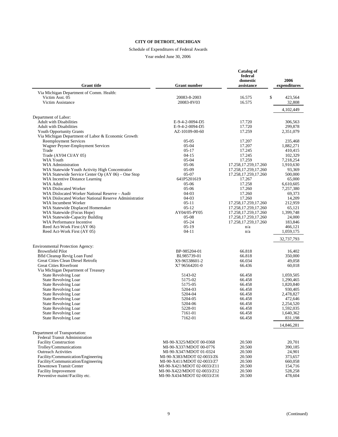#### Schedule of Expenditures of Federal Awards

Year ended June 30, 2006

| <b>Grant</b> title                                                        | <b>Grant number</b>                                | <b>Catalog of</b><br>federal<br>domestic<br>assistance | 2006<br>expenditures   |
|---------------------------------------------------------------------------|----------------------------------------------------|--------------------------------------------------------|------------------------|
| Via Michigan Department of Comm. Health:                                  |                                                    |                                                        |                        |
| Victim Asst. 05                                                           | 20083-8-2003                                       | \$<br>16.575                                           | 423,564                |
| Victim Assistance                                                         | 20083-8V03                                         | 16.575                                                 | 32,808                 |
|                                                                           |                                                    |                                                        | 4,102,449              |
| Department of Labor:<br><b>Adult with Disabilities</b>                    | E-9-4-2-0094-D5                                    | 17.720                                                 | 306,563                |
| <b>Adult with Disabilities</b>                                            | E-9-4-2-0094-D5                                    | 17.720                                                 | 299,878                |
| <b>Youth Opportunity Grants</b>                                           | AZ-10109-00-60                                     | 17.259                                                 | 2,351,079              |
| Via Michigan Department of Labor & Economic Growth:                       |                                                    |                                                        |                        |
| <b>Reemployment Services</b>                                              | $05-05$                                            | 17.207                                                 | 235,468                |
| Wagner Peyner-Employment Services                                         | $05-04$                                            | 17.207                                                 | 1,882,271              |
| Trade                                                                     | $05-17$                                            | 17.245                                                 | 410,415                |
| Trade (AY04 CI/AY 05)                                                     | $04 - 15$                                          | 17.245                                                 | 102,329                |
| WIA Youth<br><b>WIA Administration</b>                                    | $05-04$<br>$05-06$                                 | 17.259<br>17.258, 17.259, 17.260                       | 7,218,254<br>1,910,630 |
| WIA Statewide Youth Activity High Concentration                           | $05-09$                                            | 17.258, 17.259, 17.260                                 | 93,369                 |
| WIA Statewide Service Center Op (AY 06) – One Stop                        | $05-07$                                            | 17.258, 17.259, 17.260                                 | 500,000                |
| WIA Incentive Distance Learning                                           | 641P5201619                                        | 17.267                                                 | 65,000                 |
| <b>WIA Adult</b>                                                          | 05-06                                              | 17.258                                                 | 6,610,605              |
| WIA Dislocated Worker                                                     | $05-06$                                            | 17.260                                                 | 7,257,380              |
| WIA Dislocated Worker National Reserve - Audit                            | $04-03$                                            | 17.260                                                 | 69,373                 |
| WIA Dislocated Worker National Reserve Administration                     | $04-03$                                            | 17.260                                                 | 14,209                 |
| WIA Incumbent Worker                                                      | $05 - 11$<br>$05-12$                               | 17.258, 17.259, 17.260                                 | 212,959<br>65.121      |
| WIA Statewide Displaced Homemaker<br>WIA Statewide (Focus Hope)           | AY04/05-PY05                                       | 17.258, 17.259, 17.260<br>17.258, 17.259, 17.260       | 1,399,748              |
| WIA Statewide-Capacity Building                                           | $05-08$                                            | 17.258, 17.259, 17.260                                 | 24,000                 |
| WIA Performance Incentive                                                 | $05-24$                                            | 17.258, 17.259, 17.260                                 | 183,846                |
| Reed Act-Work First (AY 06)                                               | $05-19$                                            | n/a                                                    | 466,121                |
| Reed Act-Work First (AY 05)                                               | $04-11$                                            | n/a                                                    | 1,059,175              |
|                                                                           |                                                    |                                                        | 32,737,793             |
| <b>Environmental Protection Agency:</b>                                   |                                                    |                                                        |                        |
| <b>Brownfield Pilot</b>                                                   | BP-985204-01                                       | 66.818                                                 | 16,402                 |
| <b>Bfld Cleanup Revig Loan Fund</b><br>Great Cities Clean Diesel Retrofit | BL985739-01                                        | 66.818<br>66.034                                       | 350,000                |
| <b>Great Cities Riverfront</b>                                            | X9-96538601-2<br>X7 96564201-0                     | 66.436                                                 | 49,058<br>60,018       |
| Via Michigan Department of Treasury                                       |                                                    |                                                        |                        |
| <b>State Revolving Loan</b>                                               | 5143-02                                            | 66.458                                                 | 1,059,505              |
| <b>State Revolving Loan</b>                                               | 5175-02                                            | 66.458                                                 | 1,290,465              |
| <b>State Revolving Loan</b>                                               | 5175-05                                            | 66.458                                                 | 1,820,840              |
| <b>State Revolving Loan</b>                                               | 5204-03                                            | 66.458                                                 | 930,405                |
| <b>State Revolving Loan</b>                                               | 5204-04                                            | 66.458                                                 | 2,478,827              |
| <b>State Revolving Loan</b><br>State Revolving Loan                       | 5204-05<br>5204-06                                 | 66.458<br>66.458                                       | 472,646<br>2,254,520   |
| <b>State Revolving Loan</b>                                               | 5228-01                                            | 66.458                                                 | 1,592,035              |
| <b>State Revolving Loan</b>                                               | 7161-01                                            | 66.458                                                 | 1,640,362              |
| <b>State Revolving Loan</b>                                               | 7162-01                                            | 66.458                                                 | 831,198                |
|                                                                           |                                                    |                                                        | 14,846,281             |
| Department of Transportation:                                             |                                                    |                                                        |                        |
| <b>Federal Transit Administration</b>                                     |                                                    |                                                        |                        |
| <b>Facility Construction</b>                                              | MI-90-X325/MDOT 00-0368<br>MI-90-X337/MDOT 00-0776 | 20.500                                                 | 20,701                 |
| Trolley/Communications<br><b>Outreach Activities</b>                      | MI-90-X347/MDOT 01-0324                            | 20.500<br>20.500                                       | 390,185<br>24,901      |
| Facility/Communication/Engineering                                        | MI-90-X383/MDOT 02-0033/Z6                         | 20.500                                                 | 373,657                |
| Facility/Communication/Engineering                                        | MI-90-X411/MDOT 02-0033/Z7                         | 20.500                                                 | 660,058                |
| Downtown Transit Center                                                   | MI-90-X421/MDOT 02-0033/Z11                        | 20.500                                                 | 154,716                |
| <b>Facility Improvement</b>                                               | MI-90-X422/MDOT 02-0033/Z12                        | 20.500                                                 | 528,258                |
| Preventive maint//Facility etc.                                           | MI-90-X434/MDOT 02-0033/Z16                        | 20.500                                                 | 478,604                |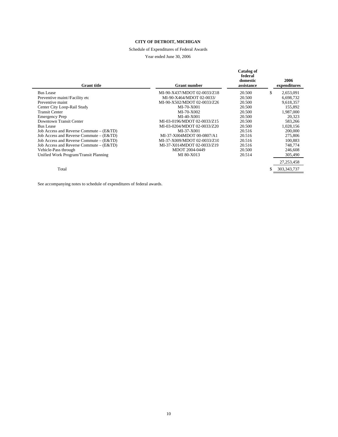# Schedule of Expenditures of Federal Awards

#### Year ended June 30, 2006

| <b>Grant</b> title                      | <b>Grant number</b>         | Catalog of<br>federal<br>domestic<br>assistance | 2006<br>expenditures |
|-----------------------------------------|-----------------------------|-------------------------------------------------|----------------------|
| <b>Bus Lease</b>                        | MI-90-X437/MDOT 02-0033/Z18 | 20.500                                          | \$<br>2,653,091      |
| Preventive maint//Facility etc          | MI-90-X464/MDOT 02-0033/    | 20.500                                          | 6,698,732            |
| Preventive maint                        | MI-90-X502/MDOT 02-0033/Z26 | 20.500                                          | 9,618,357            |
| Center City Loop-Rail Study             | MI-70-X001                  | 20.500                                          | 155,892              |
| <b>Transit Center</b>                   | $MI-70-X002$                | 20.500                                          | 1,987,000            |
| <b>Emergency Prep</b>                   | MI-40-X001                  | 20.500                                          | 20,323               |
| Downtown Transit Center                 | MI-03-0196/MDOT 02-0033/Z15 | 20.500                                          | 583,266              |
| <b>Bus Lease</b>                        | MI-03-0204/MDOT 02-0033/Z20 | 20.500                                          | 1,028,156            |
| Job Access and Reverse Commute – (E&TD) | MI-37-X001                  | 20.516                                          | 200,000              |
| Job Access and Reverse Commute – (E&TD) | MI-37-X004MDOT 00-0807/A1   | 20.516                                          | 275,806              |
| Job Access and Reverse Commute – (E&TD) | MI-37-X009/MDOT 02-0033/Z10 | 20.516                                          | 100,883              |
| Job Access and Reverse Commute – (E&TD) | MI-37-X014MDOT 02-0033/Z19  | 20.516                                          | 748,774              |
| Vehicle-Pass through                    | MDOT 2004-0449              | 20.500                                          | 246,608              |
| Unified Work Program/Transit Planning   | MI 80-X013                  | 20.514                                          | 305,490              |
|                                         |                             |                                                 | 27, 253, 458         |
| Total                                   |                             |                                                 | 303, 343, 737        |

See accompanying notes to schedule of expenditures of federal awards.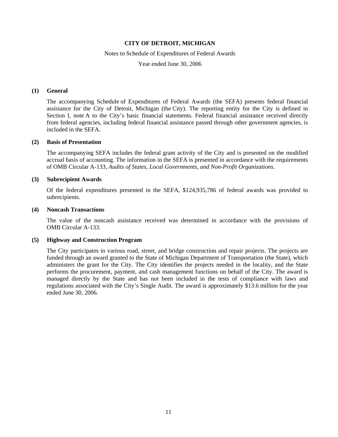#### Notes to Schedule of Expenditures of Federal Awards

Year ended June 30, 2006

#### **(1) General**

The accompanying Schedule of Expenditures of Federal Awards (the SEFA) presents federal financial assistance for the City of Detroit, Michigan (the City). The reporting entity for the City is defined in Section I, note A to the City's basic financial statements. Federal financial assistance received directly from federal agencies, including federal financial assistance passed through other government agencies, is included in the SEFA.

#### **(2) Basis of Presentation**

The accompanying SEFA includes the federal grant activity of the City and is presented on the modified accrual basis of accounting. The information in the SEFA is presented in accordance with the requirements of OMB Circular A-133, *Audits of States, Local Governments, and Non-Profit Organizations*.

#### **(3) Subrecipient Awards**

Of the federal expenditures presented in the SEFA, \$124,935,786 of federal awards was provided to subrecipients.

#### **(4) Noncash Transactions**

The value of the noncash assistance received was determined in accordance with the provisions of OMB Circular A-133.

#### **(5) Highway and Construction Program**

The City participates in various road, street, and bridge construction and repair projects. The projects are funded through an award granted to the State of Michigan Department of Transportation (the State), which administers the grant for the City. The City identifies the projects needed in the locality, and the State performs the procurement, payment, and cash management functions on behalf of the City. The award is managed directly by the State and has not been included in the tests of compliance with laws and regulations associated with the City's Single Audit. The award is approximately \$13.6 million for the year ended June 30, 2006.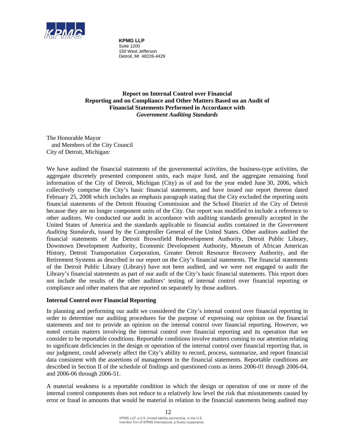

**KPMG LLP** Suite 1200 150 West Jefferson Detroit, MI 48226-4429

**Report on Internal Control over Financial Reporting and on Compliance and Other Matters Based on an Audit of Financial Statements Performed in Accordance with**  *Government Auditing Standards*

The Honorable Mayor and Members of the City Council City of Detroit, Michigan:

We have audited the financial statements of the governmental activities, the business-type activities, the aggregate discretely presented component units, each major fund, and the aggregate remaining fund information of the City of Detroit, Michigan (City) as of and for the year ended June 30, 2006, which collectively comprise the City's basic financial statements, and have issued our report thereon dated February 25, 2008 which includes an emphasis paragraph stating that the City excluded the reporting units financial statements of the Detroit Housing Commission and the School District of the City of Detroit because they are no longer component units of the City. Our report was modified to include a reference to other auditors. We conducted our audit in accordance with auditing standards generally accepted in the United States of America and the standards applicable to financial audits contained in the *Government Auditing Standards*, issued by the Comptroller General of the United States. Other auditors audited the financial statements of the Detroit Brownfield Redevelopment Authority, Detroit Public Library, Downtown Development Authority, Economic Development Authority, Museum of African American History, Detroit Transportation Corporation, Greater Detroit Resource Recovery Authority, and the Retirement Systems as described in our report on the City's financial statements. The financial statements of the Detroit Public Library (Library) have not been audited, and we were not engaged to audit the Library's financial statements as part of our audit of the City's basic financial statements. This report does not include the results of the other auditors' testing of internal control over financial reporting or compliance and other matters that are reported on separately by those auditors.

# **Internal Control over Financial Reporting**

In planning and performing our audit we considered the City's internal control over financial reporting in order to determine our auditing procedures for the purpose of expressing our opinion on the financial statements and not to provide an opinion on the internal control over financial reporting. However, we noted certain matters involving the internal control over financial reporting and its operation that we consider to be reportable conditions. Reportable conditions involve matters coming to our attention relating to significant deficiencies in the design or operation of the internal control over financial reporting that, in our judgment, could adversely affect the City's ability to record, process, summarize, and report financial data consistent with the assertions of management in the financial statements. Reportable conditions are described in Section II of the schedule of findings and questioned costs as items 2006-01 through 2006-04, and 2006-06 through 2006-51.

A material weakness is a reportable condition in which the design or operation of one or more of the internal control components does not reduce to a relatively low level the risk that misstatements caused by error or fraud in amounts that would be material in relation to the financial statements being audited may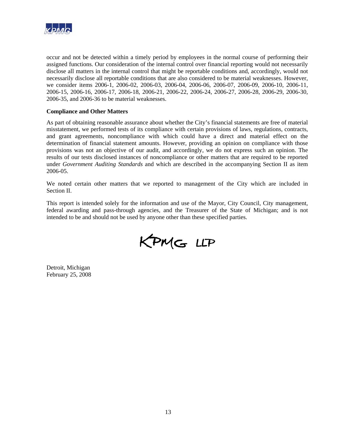

occur and not be detected within a timely period by employees in the normal course of performing their assigned functions. Our consideration of the internal control over financial reporting would not necessarily disclose all matters in the internal control that might be reportable conditions and, accordingly, would not necessarily disclose all reportable conditions that are also considered to be material weaknesses. However, we consider items 2006-1, 2006-02, 2006-03, 2006-04, 2006-06, 2006-07, 2006-09, 2006-10, 2006-11, 2006-15, 2006-16, 2006-17, 2006-18, 2006-21, 2006-22, 2006-24, 2006-27, 2006-28, 2006-29, 2006-30, 2006-35, and 2006-36 to be material weaknesses.

#### **Compliance and Other Matters**

As part of obtaining reasonable assurance about whether the City's financial statements are free of material misstatement, we performed tests of its compliance with certain provisions of laws, regulations, contracts, and grant agreements, noncompliance with which could have a direct and material effect on the determination of financial statement amounts. However, providing an opinion on compliance with those provisions was not an objective of our audit, and accordingly, we do not express such an opinion. The results of our tests disclosed instances of noncompliance or other matters that are required to be reported under *Government Auditing Standards* and which are described in the accompanying Section II as item 2006-05.

We noted certain other matters that we reported to management of the City which are included in Section II.

This report is intended solely for the information and use of the Mayor, City Council, City management, federal awarding and pass-through agencies, and the Treasurer of the State of Michigan; and is not intended to be and should not be used by anyone other than these specified parties.

KPMG LLP

Detroit, Michigan February 25, 2008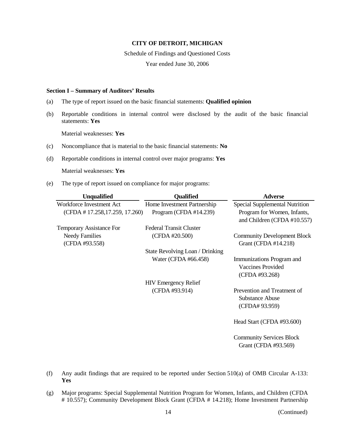Schedule of Findings and Questioned Costs

Year ended June 30, 2006

#### **Section I – Summary of Auditors' Results**

- (a) The type of report issued on the basic financial statements: **Qualified opinion**
- (b) Reportable conditions in internal control were disclosed by the audit of the basic financial statements: **Yes**

Material weaknesses: **Yes**

- (c) Noncompliance that is material to the basic financial statements: **No**
- (d) Reportable conditions in internal control over major programs: **Yes**

Material weaknesses: **Yes**

(e) The type of report issued on compliance for major programs:

| <b>Unqualified</b>                      | <b>Qualified</b>                | <b>Adverse</b>                                                          |
|-----------------------------------------|---------------------------------|-------------------------------------------------------------------------|
| Workforce Investment Act                | Home Investment Partnership     | Special Supplemental Nutrition                                          |
| (CFDA # 17.258, 17.259, 17.260)         | Program (CFDA $#14.239$ )       | Program for Women, Infants,<br>and Children (CFDA #10.557)              |
| Temporary Assistance For                | <b>Federal Transit Cluster</b>  |                                                                         |
| <b>Needy Families</b><br>(CFDA #93.558) | (CFDA #20.500)                  | <b>Community Development Block</b><br>Grant (CFDA #14.218)              |
|                                         | State Revolving Loan / Drinking |                                                                         |
|                                         | Water (CFDA #66.458)            | Immunizations Program and<br><b>Vaccines Provided</b><br>(CFDA #93.268) |
|                                         | <b>HIV</b> Emergency Relief     |                                                                         |
|                                         | (CFDA #93.914)                  | Prevention and Treatment of<br><b>Substance Abuse</b><br>(CFDA# 93.959) |
|                                         |                                 | Head Start (CFDA #93.600)                                               |
|                                         |                                 | <b>Community Services Block</b><br>Grant (CFDA #93.569)                 |

- (f) Any audit findings that are required to be reported under Section 510(a) of OMB Circular A-133: **Yes**
- (g) Major programs: Special Supplemental Nutrition Program for Women, Infants, and Children (CFDA # 10.557); Community Development Block Grant (CFDA # 14.218); Home Investment Partnership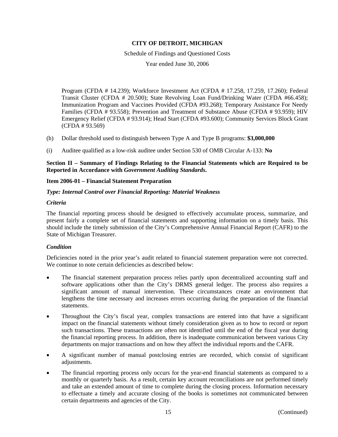Schedule of Findings and Questioned Costs

Year ended June 30, 2006

Program (CFDA # 14.239); Workforce Investment Act (CFDA # 17.258, 17.259, 17.260); Federal Transit Cluster (CFDA # 20.500); State Revolving Loan Fund/Drinking Water (CFDA #66.458); Immunization Program and Vaccines Provided (CFDA #93.268); Temporary Assistance For Needy Families (CFDA # 93.558); Prevention and Treatment of Substance Abuse (CFDA # 93.959); HIV Emergency Relief (CFDA # 93.914); Head Start (CFDA #93.600); Community Services Block Grant (CFDA # 93.569)

- (h) Dollar threshold used to distinguish between Type A and Type B programs: **\$3,000,000**
- (i) Auditee qualified as a low-risk auditee under Section 530 of OMB Circular A-133: **No**

**Section II – Summary of Findings Relating to the Financial Statements which are Required to be Reported in Accordance with** *Government Auditing Standards***.** 

# **Item 2006-01 – Financial Statement Preparation**

# *Type: Internal Control over Financial Reporting: Material Weakness*

# *Criteria*

The financial reporting process should be designed to effectively accumulate process, summarize, and present fairly a complete set of financial statements and supporting information on a timely basis. This should include the timely submission of the City's Comprehensive Annual Financial Report (CAFR) to the State of Michigan Treasurer.

# *Condition*

Deficiencies noted in the prior year's audit related to financial statement preparation were not corrected. We continue to note certain deficiencies as described below:

- The financial statement preparation process relies partly upon decentralized accounting staff and software applications other than the City's DRMS general ledger. The process also requires a significant amount of manual intervention. These circumstances create an environment that lengthens the time necessary and increases errors occurring during the preparation of the financial statements.
- Throughout the City's fiscal year, complex transactions are entered into that have a significant impact on the financial statements without timely consideration given as to how to record or report such transactions. These transactions are often not identified until the end of the fiscal year during the financial reporting process. In addition, there is inadequate communication between various City departments on major transactions and on how they affect the individual reports and the CAFR.
- A significant number of manual postclosing entries are recorded, which consist of significant adjustments.
- The financial reporting process only occurs for the year-end financial statements as compared to a monthly or quarterly basis. As a result, certain key account reconciliations are not performed timely and take an extended amount of time to complete during the closing process. Information necessary to effectuate a timely and accurate closing of the books is sometimes not communicated between certain departments and agencies of the City.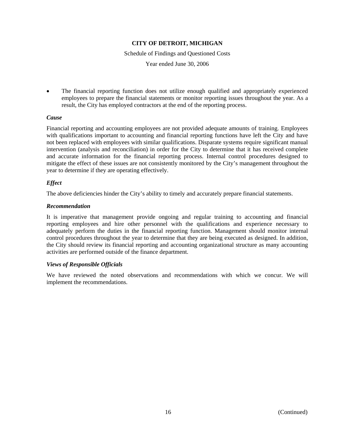Schedule of Findings and Questioned Costs

Year ended June 30, 2006

• The financial reporting function does not utilize enough qualified and appropriately experienced employees to prepare the financial statements or monitor reporting issues throughout the year. As a result, the City has employed contractors at the end of the reporting process.

#### *Cause*

Financial reporting and accounting employees are not provided adequate amounts of training. Employees with qualifications important to accounting and financial reporting functions have left the City and have not been replaced with employees with similar qualifications. Disparate systems require significant manual intervention (analysis and reconciliation) in order for the City to determine that it has received complete and accurate information for the financial reporting process. Internal control procedures designed to mitigate the effect of these issues are not consistently monitored by the City's management throughout the year to determine if they are operating effectively.

#### *Effect*

The above deficiencies hinder the City's ability to timely and accurately prepare financial statements.

#### *Recommendation*

It is imperative that management provide ongoing and regular training to accounting and financial reporting employees and hire other personnel with the qualifications and experience necessary to adequately perform the duties in the financial reporting function. Management should monitor internal control procedures throughout the year to determine that they are being executed as designed. In addition, the City should review its financial reporting and accounting organizational structure as many accounting activities are performed outside of the finance department.

# *Views of Responsible Officials*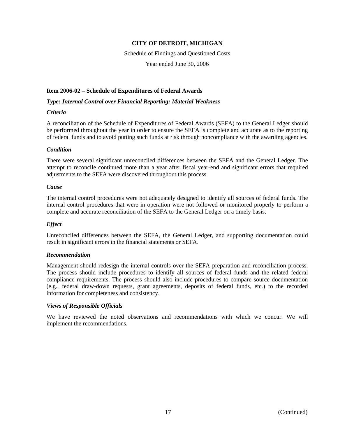Schedule of Findings and Questioned Costs Year ended June 30, 2006

# **Item 2006-02 – Schedule of Expenditures of Federal Awards**

#### *Type: Internal Control over Financial Reporting: Material Weakness*

#### *Criteria*

A reconciliation of the Schedule of Expenditures of Federal Awards (SEFA) to the General Ledger should be performed throughout the year in order to ensure the SEFA is complete and accurate as to the reporting of federal funds and to avoid putting such funds at risk through noncompliance with the awarding agencies.

# *Condition*

There were several significant unreconciled differences between the SEFA and the General Ledger. The attempt to reconcile continued more than a year after fiscal year-end and significant errors that required adjustments to the SEFA were discovered throughout this process.

#### *Cause*

The internal control procedures were not adequately designed to identify all sources of federal funds. The internal control procedures that were in operation were not followed or monitored properly to perform a complete and accurate reconciliation of the SEFA to the General Ledger on a timely basis.

# *Effect*

Unreconciled differences between the SEFA, the General Ledger, and supporting documentation could result in significant errors in the financial statements or SEFA.

# *Recommendation*

Management should redesign the internal controls over the SEFA preparation and reconciliation process. The process should include procedures to identify all sources of federal funds and the related federal compliance requirements. The process should also include procedures to compare source documentation (e.g., federal draw-down requests, grant agreements, deposits of federal funds, etc.) to the recorded information for completeness and consistency.

# *Views of Responsible Officials*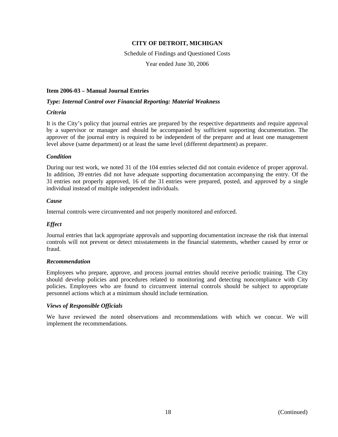Schedule of Findings and Questioned Costs

Year ended June 30, 2006

#### **Item 2006-03 – Manual Journal Entries**

#### *Type: Internal Control over Financial Reporting: Material Weakness*

# *Crit*e*ria*

It is the City's policy that journal entries are prepared by the respective departments and require approval by a supervisor or manager and should be accompanied by sufficient supporting documentation. The approver of the journal entry is required to be independent of the preparer and at least one management level above (same department) or at least the same level (different department) as preparer.

#### *Condition*

During our test work, we noted 31 of the 104 entries selected did not contain evidence of proper approval. In addition, 39 entries did not have adequate supporting documentation accompanying the entry. Of the 31 entries not properly approved, 16 of the 31 entries were prepared, posted, and approved by a single individual instead of multiple independent individuals.

#### *Cause*

Internal controls were circumvented and not properly monitored and enforced.

# *Effect*

Journal entries that lack appropriate approvals and supporting documentation increase the risk that internal controls will not prevent or detect misstatements in the financial statements, whether caused by error or fraud.

#### *Recommendation*

Employees who prepare, approve, and process journal entries should receive periodic training. The City should develop policies and procedures related to monitoring and detecting noncompliance with City policies. Employees who are found to circumvent internal controls should be subject to appropriate personnel actions which at a minimum should include termination.

# *Views of Responsible Officials*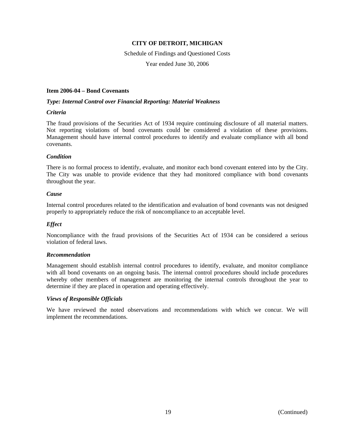Schedule of Findings and Questioned Costs Year ended June 30, 2006

# **Item 2006-04 – Bond Covenants**

#### *Type: Internal Control over Financial Reporting: Material Weakness*

#### *Criteria*

The fraud provisions of the Securities Act of 1934 require continuing disclosure of all material matters. Not reporting violations of bond covenants could be considered a violation of these provisions. Management should have internal control procedures to identify and evaluate compliance with all bond covenants.

#### *Condition*

There is no formal process to identify, evaluate, and monitor each bond covenant entered into by the City. The City was unable to provide evidence that they had monitored compliance with bond covenants throughout the year.

#### *Cause*

Internal control procedures related to the identification and evaluation of bond covenants was not designed properly to appropriately reduce the risk of noncompliance to an acceptable level.

#### *Effect*

Noncompliance with the fraud provisions of the Securities Act of 1934 can be considered a serious violation of federal laws.

#### *Recommendation*

Management should establish internal control procedures to identify, evaluate, and monitor compliance with all bond covenants on an ongoing basis. The internal control procedures should include procedures whereby other members of management are monitoring the internal controls throughout the year to determine if they are placed in operation and operating effectively.

#### *Views of Responsible Officials*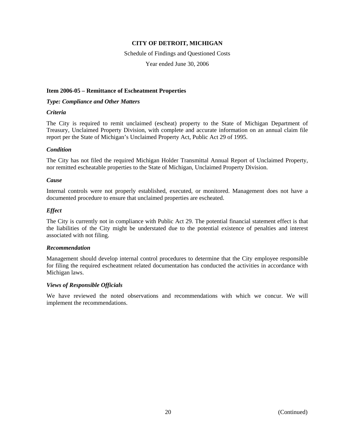# Schedule of Findings and Questioned Costs

Year ended June 30, 2006

# **Item 2006-05 – Remittance of Escheatment Properties**

# *Type: Compliance and Other Matters*

#### *Criteria*

The City is required to remit unclaimed (escheat) property to the State of Michigan Department of Treasury, Unclaimed Property Division, with complete and accurate information on an annual claim file report per the State of Michigan's Unclaimed Property Act, Public Act 29 of 1995.

# *Condition*

The City has not filed the required Michigan Holder Transmittal Annual Report of Unclaimed Property, nor remitted escheatable properties to the State of Michigan, Unclaimed Property Division.

# *Cause*

Internal controls were not properly established, executed, or monitored. Management does not have a documented procedure to ensure that unclaimed properties are escheated.

# *Effect*

The City is currently not in compliance with Public Act 29. The potential financial statement effect is that the liabilities of the City might be understated due to the potential existence of penalties and interest associated with not filing.

# *Recommendation*

Management should develop internal control procedures to determine that the City employee responsible for filing the required escheatment related documentation has conducted the activities in accordance with Michigan laws.

# *Views of Responsible Officials*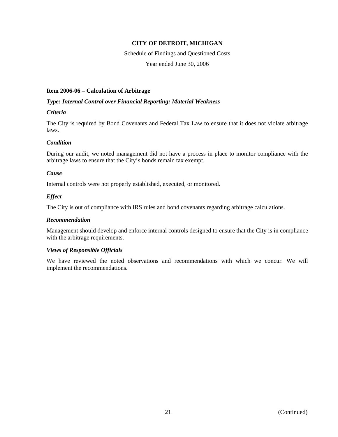# Schedule of Findings and Questioned Costs

Year ended June 30, 2006

# **Item 2006-06 – Calculation of Arbitrage**

# *Type: Internal Control over Financial Reporting: Material Weakness*

# *Criteria*

The City is required by Bond Covenants and Federal Tax Law to ensure that it does not violate arbitrage laws.

# *Condition*

During our audit, we noted management did not have a process in place to monitor compliance with the arbitrage laws to ensure that the City's bonds remain tax exempt.

# *Cause*

Internal controls were not properly established, executed, or monitored.

# *Effect*

The City is out of compliance with IRS rules and bond covenants regarding arbitrage calculations.

#### *Recommendation*

Management should develop and enforce internal controls designed to ensure that the City is in compliance with the arbitrage requirements.

# *Views of Responsible Officials*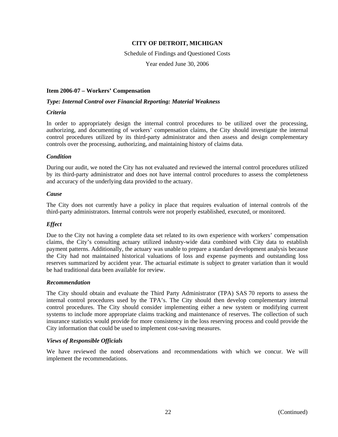Schedule of Findings and Questioned Costs

Year ended June 30, 2006

#### **Item 2006-07 – Workers' Compensation**

#### *Type: Internal Control over Financial Reporting: Material Weakness*

#### *Criteria*

In order to appropriately design the internal control procedures to be utilized over the processing, authorizing, and documenting of workers' compensation claims, the City should investigate the internal control procedures utilized by its third-party administrator and then assess and design complementary controls over the processing, authorizing, and maintaining history of claims data.

#### *Condition*

During our audit, we noted the City has not evaluated and reviewed the internal control procedures utilized by its third-party administrator and does not have internal control procedures to assess the completeness and accuracy of the underlying data provided to the actuary.

#### *Cause*

The City does not currently have a policy in place that requires evaluation of internal controls of the third-party administrators. Internal controls were not properly established, executed, or monitored.

# *Effect*

Due to the City not having a complete data set related to its own experience with workers' compensation claims, the City's consulting actuary utilized industry-wide data combined with City data to establish payment patterns. Additionally, the actuary was unable to prepare a standard development analysis because the City had not maintained historical valuations of loss and expense payments and outstanding loss reserves summarized by accident year. The actuarial estimate is subject to greater variation than it would be had traditional data been available for review.

#### *Recommendation*

The City should obtain and evaluate the Third Party Administrator (TPA) SAS 70 reports to assess the internal control procedures used by the TPA's. The City should then develop complementary internal control procedures. The City should consider implementing either a new system or modifying current systems to include more appropriate claims tracking and maintenance of reserves. The collection of such insurance statistics would provide for more consistency in the loss reserving process and could provide the City information that could be used to implement cost-saving measures.

#### *Views of Responsible Officials*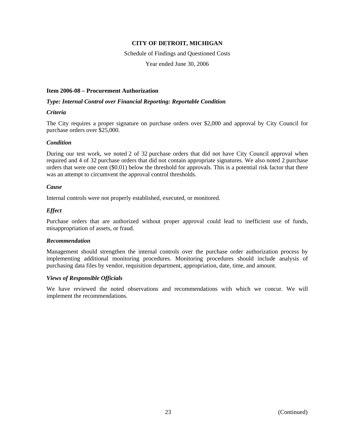# Schedule of Findings and Questioned Costs

Year ended June 30, 2006

#### **Item 2006-08 – Procurement Authorization**

#### *Type: Internal Control over Financial Reporting: Reportable Condition*

#### *Criteria*

The City requires a proper signature on purchase orders over \$2,000 and approval by City Council for purchase orders over \$25,000.

#### *Condition*

During our test work, we noted 2 of 32 purchase orders that did not have City Council approval when required and 4 of 32 purchase orders that did not contain appropriate signatures. We also noted 2 purchase orders that were one cent (\$0.01) below the threshold for approvals. This is a potential risk factor that there was an attempt to circumvent the approval control thresholds.

#### *Cause*

Internal controls were not properly established, executed, or monitored.

# *Effect*

Purchase orders that are authorized without proper approval could lead to inefficient use of funds, misappropriation of assets, or fraud.

#### *Recommendation*

Management should strengthen the internal controls over the purchase order authorization process by implementing additional monitoring procedures. Monitoring procedures should include analysis of purchasing data files by vendor, requisition department, appropriation, date, time, and amount.

# *Views of Responsible Officials*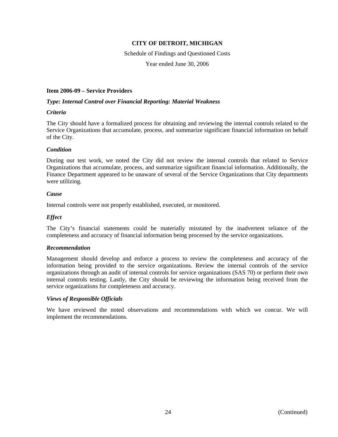Schedule of Findings and Questioned Costs

Year ended June 30, 2006

# **Item 2006-09 – Service Providers**

# *Type: Internal Control over Financial Reporting: Material Weakness*

#### *Criteria*

The City should have a formalized process for obtaining and reviewing the internal controls related to the Service Organizations that accumulate, process, and summarize significant financial information on behalf of the City.

# *Condition*

During our test work, we noted the City did not review the internal controls that related to Service Organizations that accumulate, process, and summarize significant financial information. Additionally, the Finance Department appeared to be unaware of several of the Service Organizations that City departments were utilizing.

#### *Cause*

Internal controls were not properly established, executed, or monitored.

# *Effect*

The City's financial statements could be materially misstated by the inadvertent reliance of the completeness and accuracy of financial information being processed by the service organizations.

# *Recommendation*

Management should develop and enforce a process to review the completeness and accuracy of the information being provided to the service organizations. Review the internal controls of the service organizations through an audit of internal controls for service organizations (SAS 70) or perform their own internal controls testing. Lastly, the City should be reviewing the information being received from the service organizations for completeness and accuracy.

# *Views of Responsible Officials*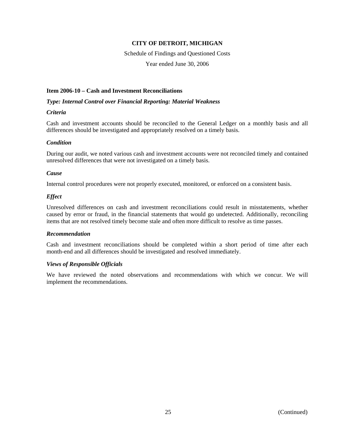# Schedule of Findings and Questioned Costs

Year ended June 30, 2006

#### **Item 2006-10 – Cash and Investment Reconciliations**

#### *Type: Internal Control over Financial Reporting: Material Weakness*

#### *Criteria*

Cash and investment accounts should be reconciled to the General Ledger on a monthly basis and all differences should be investigated and appropriately resolved on a timely basis.

# *Condition*

During our audit, we noted various cash and investment accounts were not reconciled timely and contained unresolved differences that were not investigated on a timely basis.

#### *Cause*

Internal control procedures were not properly executed, monitored, or enforced on a consistent basis.

# *Effect*

Unresolved differences on cash and investment reconciliations could result in misstatements, whether caused by error or fraud, in the financial statements that would go undetected. Additionally, reconciling items that are not resolved timely become stale and often more difficult to resolve as time passes.

# *Recommendation*

Cash and investment reconciliations should be completed within a short period of time after each month-end and all differences should be investigated and resolved immediately.

# *Views of Responsible Officials*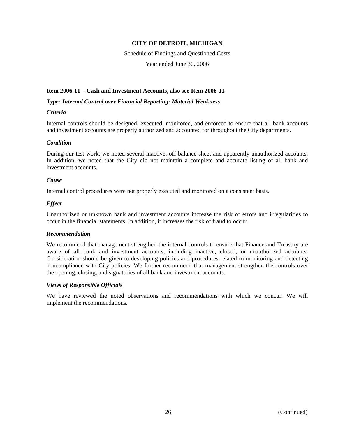Schedule of Findings and Questioned Costs Year ended June 30, 2006

# **Item 2006-11 – Cash and Investment Accounts, also see Item 2006-11**

*Type: Internal Control over Financial Reporting: Material Weakness* 

# *Criteria*

Internal controls should be designed, executed, monitored, and enforced to ensure that all bank accounts and investment accounts are properly authorized and accounted for throughout the City departments.

# *Condition*

During our test work, we noted several inactive, off-balance-sheet and apparently unauthorized accounts. In addition, we noted that the City did not maintain a complete and accurate listing of all bank and investment accounts.

#### *Cause*

Internal control procedures were not properly executed and monitored on a consistent basis.

# *Effect*

Unauthorized or unknown bank and investment accounts increase the risk of errors and irregularities to occur in the financial statements. In addition, it increases the risk of fraud to occur.

# *Recommendation*

We recommend that management strengthen the internal controls to ensure that Finance and Treasury are aware of all bank and investment accounts, including inactive, closed, or unauthorized accounts. Consideration should be given to developing policies and procedures related to monitoring and detecting noncompliance with City policies. We further recommend that management strengthen the controls over the opening, closing, and signatories of all bank and investment accounts.

# *Views of Responsible Officials*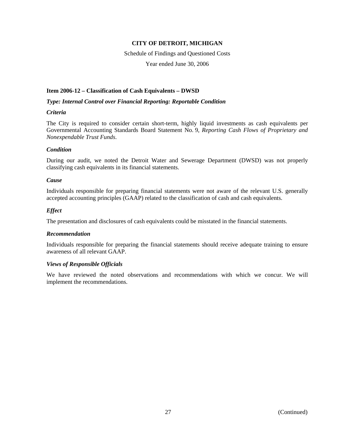# Schedule of Findings and Questioned Costs

Year ended June 30, 2006

# **Item 2006-12 – Classification of Cash Equivalents – DWSD**

#### *Type: Internal Control over Financial Reporting: Reportable Condition*

# *Criteria*

The City is required to consider certain short-term, highly liquid investments as cash equivalents per Governmental Accounting Standards Board Statement No. 9, *Reporting Cash Flows of Proprietary and Nonexpendable Trust Funds*.

# *Condition*

During our audit, we noted the Detroit Water and Sewerage Department (DWSD) was not properly classifying cash equivalents in its financial statements.

#### *Cause*

Individuals responsible for preparing financial statements were not aware of the relevant U.S. generally accepted accounting principles (GAAP) related to the classification of cash and cash equivalents.

#### *Effect*

The presentation and disclosures of cash equivalents could be misstated in the financial statements.

# *Recommendation*

Individuals responsible for preparing the financial statements should receive adequate training to ensure awareness of all relevant GAAP.

# *Views of Responsible Officials*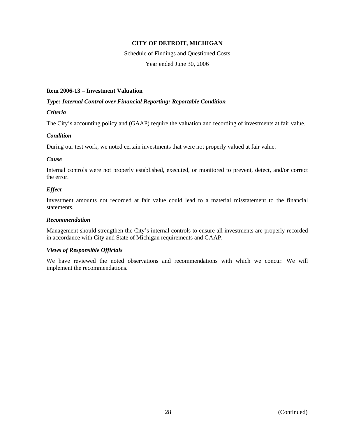Schedule of Findings and Questioned Costs Year ended June 30, 2006

#### **Item 2006-13 – Investment Valuation**

#### *Type: Internal Control over Financial Reporting: Reportable Condition*

# *Criteria*

The City's accounting policy and (GAAP) require the valuation and recording of investments at fair value.

#### *Condition*

During our test work, we noted certain investments that were not properly valued at fair value.

#### *Cause*

Internal controls were not properly established, executed, or monitored to prevent, detect, and/or correct the error.

# *Effect*

Investment amounts not recorded at fair value could lead to a material misstatement to the financial statements.

#### *Recommendation*

Management should strengthen the City's internal controls to ensure all investments are properly recorded in accordance with City and State of Michigan requirements and GAAP.

# *Views of Responsible Officials*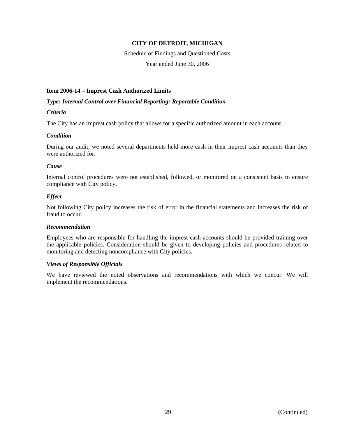# Schedule of Findings and Questioned Costs

Year ended June 30, 2006

# **Item 2006-14 – Imprest Cash Authorized Limits**

# *Type: Internal Control over Financial Reporting: Reportable Condition*

# *Criteria*

The City has an imprest cash policy that allows for a specific authorized amount in each account.

# *Condition*

During our audit, we noted several departments held more cash in their imprest cash accounts than they were authorized for.

# *Cause*

Internal control procedures were not established, followed, or monitored on a consistent basis to ensure compliance with City policy.

# *Effect*

Not following City policy increases the risk of error in the financial statements and increases the risk of fraud to occur.

# *Recommendation*

Employees who are responsible for handling the imprest cash accounts should be provided training over the applicable policies. Consideration should be given to developing policies and procedures related to monitoring and detecting noncompliance with City policies.

# *Views of Responsible Officials*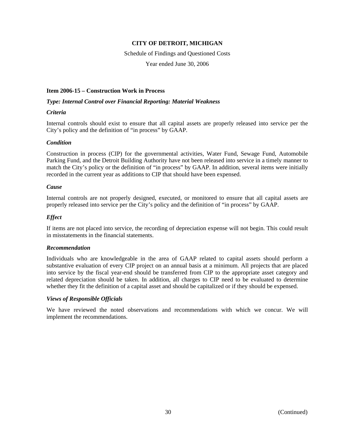# Schedule of Findings and Questioned Costs

Year ended June 30, 2006

# **Item 2006-15 – Construction Work in Process**

# *Type: Internal Control over Financial Reporting: Material Weakness*

# *Criteria*

Internal controls should exist to ensure that all capital assets are properly released into service per the City's policy and the definition of "in process" by GAAP.

# *Condition*

Construction in process (CIP) for the governmental activities, Water Fund, Sewage Fund, Automobile Parking Fund, and the Detroit Building Authority have not been released into service in a timely manner to match the City's policy or the definition of "in process" by GAAP. In addition, several items were initially recorded in the current year as additions to CIP that should have been expensed.

# *Cause*

Internal controls are not properly designed, executed, or monitored to ensure that all capital assets are properly released into service per the City's policy and the definition of "in process" by GAAP.

# *Effect*

If items are not placed into service, the recording of depreciation expense will not begin. This could result in misstatements in the financial statements.

# *Recommendation*

Individuals who are knowledgeable in the area of GAAP related to capital assets should perform a substantive evaluation of every CIP project on an annual basis at a minimum. All projects that are placed into service by the fiscal year-end should be transferred from CIP to the appropriate asset category and related depreciation should be taken. In addition, all charges to CIP need to be evaluated to determine whether they fit the definition of a capital asset and should be capitalized or if they should be expensed.

# *Views of Responsible Officials*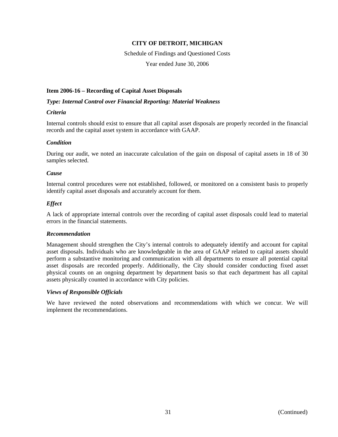Schedule of Findings and Questioned Costs

Year ended June 30, 2006

#### **Item 2006-16 – Recording of Capital Asset Disposals**

#### *Type: Internal Control over Financial Reporting: Material Weakness*

#### *Criteria*

Internal controls should exist to ensure that all capital asset disposals are properly recorded in the financial records and the capital asset system in accordance with GAAP.

# *Condition*

During our audit, we noted an inaccurate calculation of the gain on disposal of capital assets in 18 of 30 samples selected.

#### *Cause*

Internal control procedures were not established, followed, or monitored on a consistent basis to properly identify capital asset disposals and accurately account for them.

# *Effect*

A lack of appropriate internal controls over the recording of capital asset disposals could lead to material errors in the financial statements.

#### *Recommendation*

Management should strengthen the City's internal controls to adequately identify and account for capital asset disposals. Individuals who are knowledgeable in the area of GAAP related to capital assets should perform a substantive monitoring and communication with all departments to ensure all potential capital asset disposals are recorded properly. Additionally, the City should consider conducting fixed asset physical counts on an ongoing department by department basis so that each department has all capital assets physically counted in accordance with City policies.

#### *Views of Responsible Officials*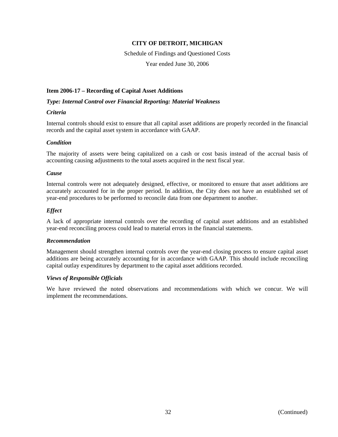Schedule of Findings and Questioned Costs

Year ended June 30, 2006

#### **Item 2006-17 – Recording of Capital Asset Additions**

#### *Type: Internal Control over Financial Reporting: Material Weakness*

# *Criteria*

Internal controls should exist to ensure that all capital asset additions are properly recorded in the financial records and the capital asset system in accordance with GAAP.

#### *Condition*

The majority of assets were being capitalized on a cash or cost basis instead of the accrual basis of accounting causing adjustments to the total assets acquired in the next fiscal year.

#### *Cause*

Internal controls were not adequately designed, effective, or monitored to ensure that asset additions are accurately accounted for in the proper period. In addition, the City does not have an established set of year-end procedures to be performed to reconcile data from one department to another.

#### *Effect*

A lack of appropriate internal controls over the recording of capital asset additions and an established year-end reconciling process could lead to material errors in the financial statements.

#### *Recommendation*

Management should strengthen internal controls over the year-end closing process to ensure capital asset additions are being accurately accounting for in accordance with GAAP. This should include reconciling capital outlay expenditures by department to the capital asset additions recorded.

#### *Views of Responsible Officials*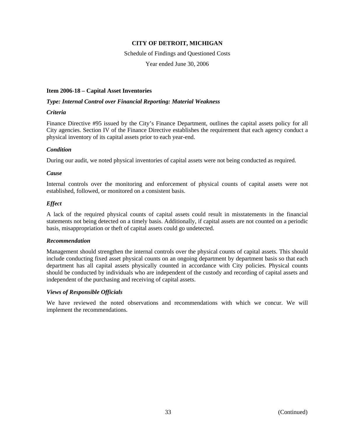Schedule of Findings and Questioned Costs

Year ended June 30, 2006

# **Item 2006-18 – Capital Asset Inventories**

#### *Type: Internal Control over Financial Reporting: Material Weakness*

#### *Criteria*

Finance Directive #95 issued by the City's Finance Department, outlines the capital assets policy for all City agencies. Section IV of the Finance Directive establishes the requirement that each agency conduct a physical inventory of its capital assets prior to each year-end.

# *Condition*

During our audit, we noted physical inventories of capital assets were not being conducted as required.

#### *Cause*

Internal controls over the monitoring and enforcement of physical counts of capital assets were not established, followed, or monitored on a consistent basis.

# *Effect*

A lack of the required physical counts of capital assets could result in misstatements in the financial statements not being detected on a timely basis. Additionally, if capital assets are not counted on a periodic basis, misappropriation or theft of capital assets could go undetected.

#### *Recommendation*

Management should strengthen the internal controls over the physical counts of capital assets. This should include conducting fixed asset physical counts on an ongoing department by department basis so that each department has all capital assets physically counted in accordance with City policies. Physical counts should be conducted by individuals who are independent of the custody and recording of capital assets and independent of the purchasing and receiving of capital assets.

# *Views of Responsible Officials*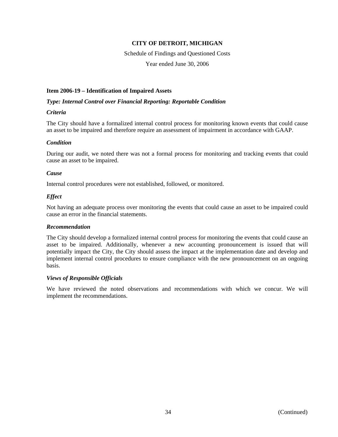# Schedule of Findings and Questioned Costs

Year ended June 30, 2006

#### **Item 2006-19 – Identification of Impaired Assets**

#### *Type: Internal Control over Financial Reporting: Reportable Condition*

#### *Criteria*

The City should have a formalized internal control process for monitoring known events that could cause an asset to be impaired and therefore require an assessment of impairment in accordance with GAAP.

# *Condition*

During our audit, we noted there was not a formal process for monitoring and tracking events that could cause an asset to be impaired.

#### *Cause*

Internal control procedures were not established, followed, or monitored.

#### *Effect*

Not having an adequate process over monitoring the events that could cause an asset to be impaired could cause an error in the financial statements.

#### *Recommendation*

The City should develop a formalized internal control process for monitoring the events that could cause an asset to be impaired. Additionally, whenever a new accounting pronouncement is issued that will potentially impact the City, the City should assess the impact at the implementation date and develop and implement internal control procedures to ensure compliance with the new pronouncement on an ongoing basis.

# *Views of Responsible Officials*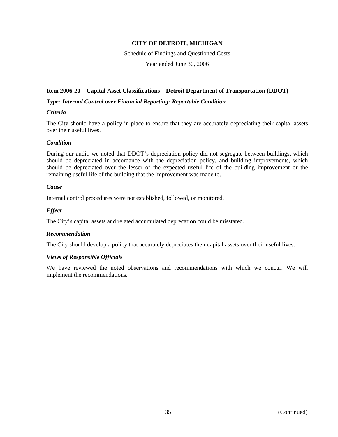#### Schedule of Findings and Questioned Costs

Year ended June 30, 2006

#### **It**e**m 2006-20 – Capital Asset Classifications – Detroit Department of Transportation (DDOT)**

#### *Type: Internal Control over Financial Reporting: Reportable Condition*

#### *Criteria*

The City should have a policy in place to ensure that they are accurately depreciating their capital assets over their useful lives.

#### *Condition*

During our audit, we noted that DDOT's depreciation policy did not segregate between buildings, which should be depreciated in accordance with the depreciation policy, and building improvements, which should be depreciated over the lesser of the expected useful life of the building improvement or the remaining useful life of the building that the improvement was made to.

#### *Cause*

Internal control procedures were not established, followed, or monitored.

#### *Effect*

The City's capital assets and related accumulated deprecation could be misstated.

#### *Recommendation*

The City should develop a policy that accurately depreciates their capital assets over their useful lives.

#### *Views of Responsible Officials*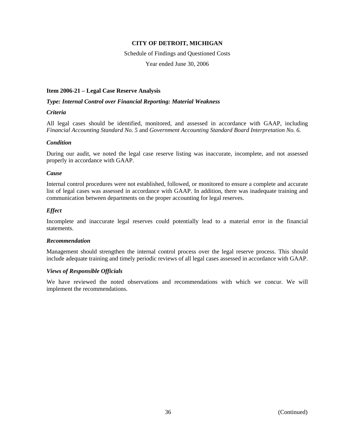# Schedule of Findings and Questioned Costs

Year ended June 30, 2006

#### **Item 2006-21 – Legal Case Reserve Analysis**

#### *Type: Internal Control over Financial Reporting: Material Weakness*

#### *Criteria*

All legal cases should be identified, monitored, and assessed in accordance with GAAP, including *Financial Accounting Standard No. 5* and *Government Accounting Standard Board Interpretation No. 6.*

#### *Condition*

During our audit, we noted the legal case reserve listing was inaccurate, incomplete, and not assessed properly in accordance with GAAP.

#### *Cause*

Internal control procedures were not established, followed, or monitored to ensure a complete and accurate list of legal cases was assessed in accordance with GAAP. In addition, there was inadequate training and communication between departments on the proper accounting for legal reserves.

#### *Effect*

Incomplete and inaccurate legal reserves could potentially lead to a material error in the financial statements.

#### *Recommendation*

Management should strengthen the internal control process over the legal reserve process. This should include adequate training and timely periodic reviews of all legal cases assessed in accordance with GAAP.

#### *Views of Responsible Officials*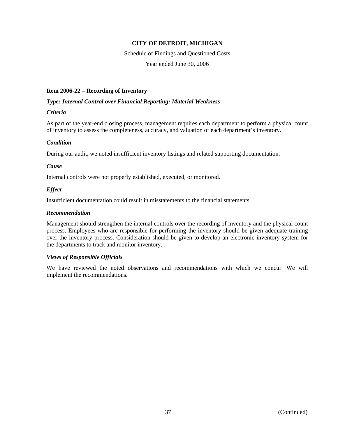Schedule of Findings and Questioned Costs Year ended June 30, 2006

#### **Item 2006-22 – Recording of Inventory**

#### *Type: Internal Control over Financial Reporting: Material Weakness*

#### *Criteria*

As part of the year-end closing process, management requires each department to perform a physical count of inventory to assess the completeness, accuracy, and valuation of each department's inventory.

#### *Condition*

During our audit, we noted insufficient inventory listings and related supporting documentation.

#### *Cause*

Internal controls were not properly established, executed, or monitored.

#### *Effect*

Insufficient documentation could result in misstatements to the financial statements.

#### *Recommendation*

Management should strengthen the internal controls over the recording of inventory and the physical count process. Employees who are responsible for performing the inventory should be given adequate training over the inventory process. Consideration should be given to develop an electronic inventory system for the departments to track and monitor inventory.

#### *Views of Responsible Officials*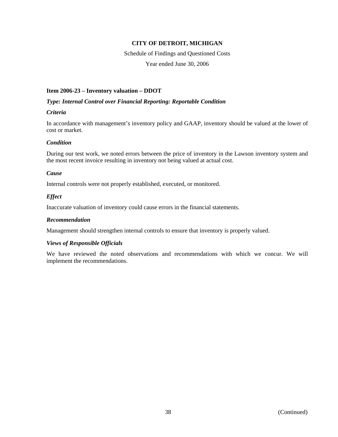# Schedule of Findings and Questioned Costs

Year ended June 30, 2006

#### **Item 2006-23 – Inventory valuation – DDOT**

#### *Type: Internal Control over Financial Reporting: Reportable Condition*

#### *Criteria*

In accordance with management's inventory policy and GAAP, inventory should be valued at the lower of cost or market.

#### *Condition*

During our test work, we noted errors between the price of inventory in the Lawson inventory system and the most recent invoice resulting in inventory not being valued at actual cost.

#### *Cause*

Internal controls were not properly established, executed, or monitored.

#### *Effect*

Inaccurate valuation of inventory could cause errors in the financial statements.

#### *Recommendation*

Management should strengthen internal controls to ensure that inventory is properly valued.

#### *Views of Responsible Officials*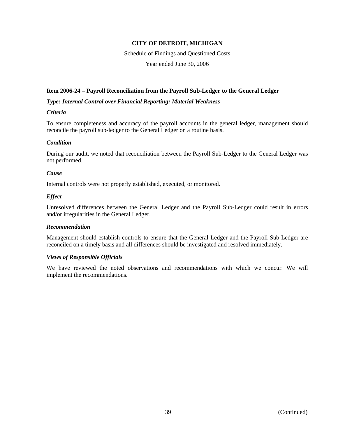# Schedule of Findings and Questioned Costs

Year ended June 30, 2006

#### **Item 2006-24 – Payroll Reconciliation from the Payroll Sub-Ledger to the General Ledger**

#### *Type: Internal Control over Financial Reporting: Material Weakness*

#### *Criteria*

To ensure completeness and accuracy of the payroll accounts in the general ledger, management should reconcile the payroll sub-ledger to the General Ledger on a routine basis.

#### *Condition*

During our audit, we noted that reconciliation between the Payroll Sub-Ledger to the General Ledger was not performed.

#### *Cause*

Internal controls were not properly established, executed, or monitored.

#### *Effect*

Unresolved differences between the General Ledger and the Payroll Sub-Ledger could result in errors and/or irregularities in the General Ledger.

#### *Recommendation*

Management should establish controls to ensure that the General Ledger and the Payroll Sub-Ledger are reconciled on a timely basis and all differences should be investigated and resolved immediately.

#### *Views of Responsible Officials*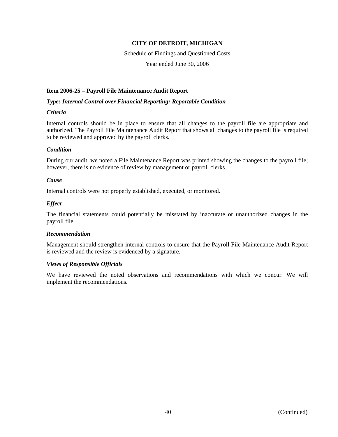## Schedule of Findings and Questioned Costs

Year ended June 30, 2006

#### **Item 2006-25 – Payroll File Maintenance Audit Report**

#### *Type: Internal Control over Financial Reporting: Reportable Condition*

#### *Criteria*

Internal controls should be in place to ensure that all changes to the payroll file are appropriate and authorized. The Payroll File Maintenance Audit Report that shows all changes to the payroll file is required to be reviewed and approved by the payroll clerks.

#### *Condition*

During our audit, we noted a File Maintenance Report was printed showing the changes to the payroll file; however, there is no evidence of review by management or payroll clerks.

#### *Cause*

Internal controls were not properly established, executed, or monitored.

#### *Effect*

The financial statements could potentially be misstated by inaccurate or unauthorized changes in the payroll file.

#### *Recommendation*

Management should strengthen internal controls to ensure that the Payroll File Maintenance Audit Report is reviewed and the review is evidenced by a signature.

#### *Views of Responsible Officials*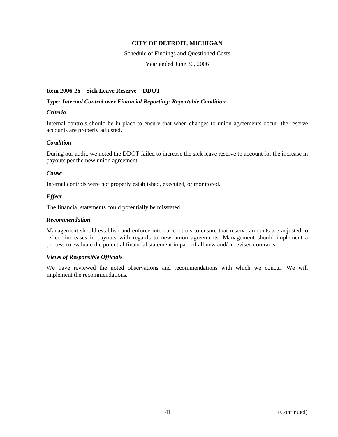Schedule of Findings and Questioned Costs

Year ended June 30, 2006

#### **Item 2006-26 – Sick Leave Reserve – DDOT**

#### *Type: Internal Control over Financial Reporting: Reportable Condition*

#### *Criteria*

Internal controls should be in place to ensure that when changes to union agreements occur, the reserve accounts are properly adjusted.

#### *Condition*

During our audit, we noted the DDOT failed to increase the sick leave reserve to account for the increase in payouts per the new union agreement.

#### *Cause*

Internal controls were not properly established, executed, or monitored.

#### *Effect*

The financial statements could potentially be misstated.

#### *Recommendation*

Management should establish and enforce internal controls to ensure that reserve amounts are adjusted to reflect increases in payouts with regards to new union agreements. Management should implement a process to evaluate the potential financial statement impact of all new and/or revised contracts.

#### *Views of Responsible Officials*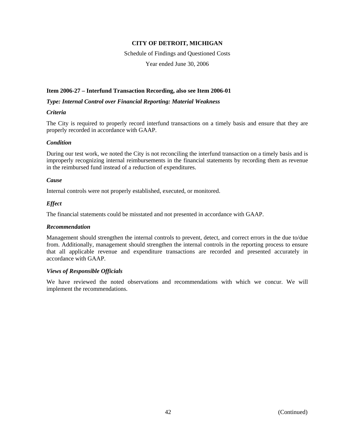# Schedule of Findings and Questioned Costs

Year ended June 30, 2006

#### **Item 2006-27 – Interfund Transaction Recording, also see Item 2006-01**

#### *Type: Internal Control over Financial Reporting: Material Weakness*

#### *Criteria*

The City is required to properly record interfund transactions on a timely basis and ensure that they are properly recorded in accordance with GAAP.

#### *Condition*

During our test work, we noted the City is not reconciling the interfund transaction on a timely basis and is improperly recognizing internal reimbursements in the financial statements by recording them as revenue in the reimbursed fund instead of a reduction of expenditures.

#### *Cause*

Internal controls were not properly established, executed, or monitored.

#### *Effect*

The financial statements could be misstated and not presented in accordance with GAAP.

#### *Recommendation*

Management should strengthen the internal controls to prevent, detect, and correct errors in the due to/due from. Additionally, management should strengthen the internal controls in the reporting process to ensure that all applicable revenue and expenditure transactions are recorded and presented accurately in accordance with GAAP.

#### *Views of Responsible Officials*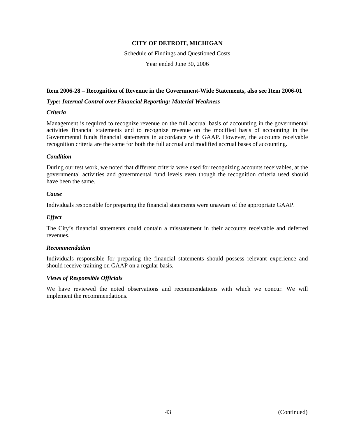Schedule of Findings and Questioned Costs Year ended June 30, 2006

#### **Item 2006-28 – Recognition of Revenue in the Government-Wide Statements, also see Item 2006-01**

#### *Type: Internal Control over Financial Reporting: Material Weakness*

#### *Criteria*

Management is required to recognize revenue on the full accrual basis of accounting in the governmental activities financial statements and to recognize revenue on the modified basis of accounting in the Governmental funds financial statements in accordance with GAAP. However, the accounts receivable recognition criteria are the same for both the full accrual and modified accrual bases of accounting.

#### *Condition*

During our test work, we noted that different criteria were used for recognizing accounts receivables, at the governmental activities and governmental fund levels even though the recognition criteria used should have been the same.

#### *Cause*

Individuals responsible for preparing the financial statements were unaware of the appropriate GAAP.

#### *Effect*

The City's financial statements could contain a misstatement in their accounts receivable and deferred revenues.

#### *Recommendation*

Individuals responsible for preparing the financial statements should possess relevant experience and should receive training on GAAP on a regular basis.

#### *Views of Responsible Officials*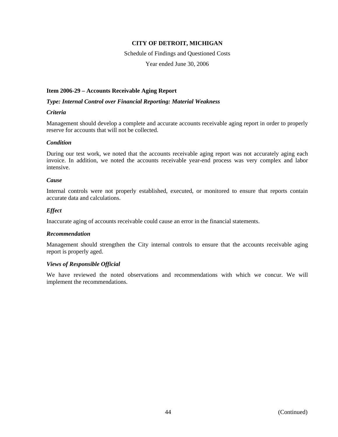#### Schedule of Findings and Questioned Costs

Year ended June 30, 2006

#### **Item 2006-29 – Accounts Receivable Aging Report**

#### *Type: Internal Control over Financial Reporting: Material Weakness*

#### *Criteria*

Management should develop a complete and accurate accounts receivable aging report in order to properly reserve for accounts that will not be collected.

#### *Condition*

During our test work, we noted that the accounts receivable aging report was not accurately aging each invoice. In addition, we noted the accounts receivable year-end process was very complex and labor intensive.

#### *Cause*

Internal controls were not properly established, executed, or monitored to ensure that reports contain accurate data and calculations.

#### *Effect*

Inaccurate aging of accounts receivable could cause an error in the financial statements.

#### *Recommendation*

Management should strengthen the City internal controls to ensure that the accounts receivable aging report is properly aged.

#### *Views of Responsible Official*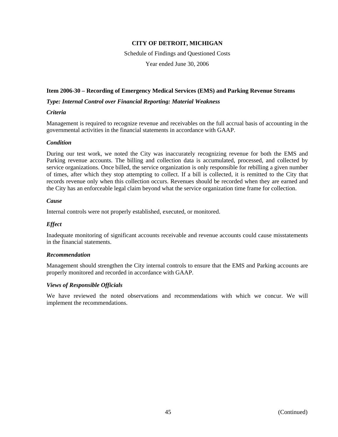Schedule of Findings and Questioned Costs

Year ended June 30, 2006

#### **Item 2006-30 – Recording of Emergency Medical Services (EMS) and Parking Revenue Streams**

#### *Type: Internal Control over Financial Reporting: Material Weakness*

#### *Criteria*

Management is required to recognize revenue and receivables on the full accrual basis of accounting in the governmental activities in the financial statements in accordance with GAAP.

#### *Condition*

During our test work, we noted the City was inaccurately recognizing revenue for both the EMS and Parking revenue accounts. The billing and collection data is accumulated, processed, and collected by service organizations. Once billed, the service organization is only responsible for rebilling a given number of times, after which they stop attempting to collect. If a bill is collected, it is remitted to the City that records revenue only when this collection occurs. Revenues should be recorded when they are earned and the City has an enforceable legal claim beyond what the service organization time frame for collection.

#### *Cause*

Internal controls were not properly established, executed, or monitored.

#### *Effect*

Inadequate monitoring of significant accounts receivable and revenue accounts could cause misstatements in the financial statements.

#### *Recommendation*

Management should strengthen the City internal controls to ensure that the EMS and Parking accounts are properly monitored and recorded in accordance with GAAP.

#### *Views of Responsible Officials*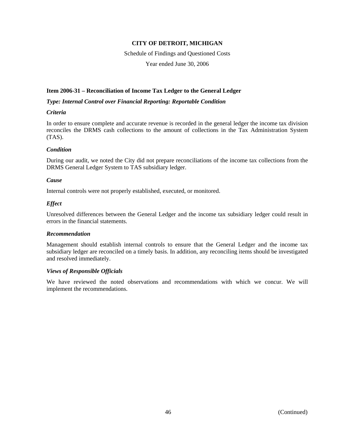# Schedule of Findings and Questioned Costs

Year ended June 30, 2006

#### **Item 2006-31 – Reconciliation of Income Tax Ledger to the General Ledger**

#### *Type: Internal Control over Financial Reporting: Reportable Condition*

#### *Criteria*

In order to ensure complete and accurate revenue is recorded in the general ledger the income tax division reconciles the DRMS cash collections to the amount of collections in the Tax Administration System (TAS).

#### *Condition*

During our audit, we noted the City did not prepare reconciliations of the income tax collections from the DRMS General Ledger System to TAS subsidiary ledger.

#### *Cause*

Internal controls were not properly established, executed, or monitored.

#### *Effect*

Unresolved differences between the General Ledger and the income tax subsidiary ledger could result in errors in the financial statements.

#### *Recommendation*

Management should establish internal controls to ensure that the General Ledger and the income tax subsidiary ledger are reconciled on a timely basis. In addition, any reconciling items should be investigated and resolved immediately.

#### *Views of Responsible Officials*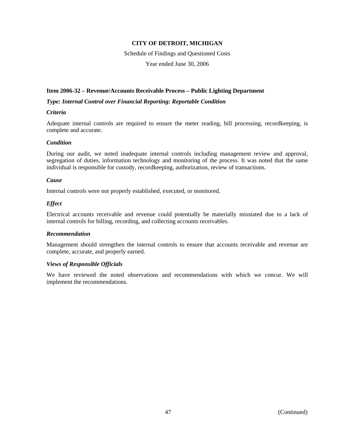#### Schedule of Findings and Questioned Costs

Year ended June 30, 2006

#### **Item 2006-32 – Revenue/Accounts Receivable Process – Public Lighting Department**

#### *Type: Internal Control over Financial Reporting: Reportable Condition*

#### *Criteria*

Adequate internal controls are required to ensure the meter reading, bill processing, recordkeeping, is complete and accurate.

#### *Condition*

During our audit, we noted inadequate internal controls including management review and approval, segregation of duties, information technology and monitoring of the process. It was noted that the same individual is responsible for custody, recordkeeping, authorization, review of transactions.

#### *Cause*

Internal controls were not properly established, executed, or monitored.

#### *Effect*

Electrical accounts receivable and revenue could potentially be materially misstated due to a lack of internal controls for billing, recording, and collecting accounts receivables.

#### *Recommendation*

Management should strengthen the internal controls to ensure that accounts receivable and revenue are complete, accurate, and properly earned.

#### *Views of Responsible Officials*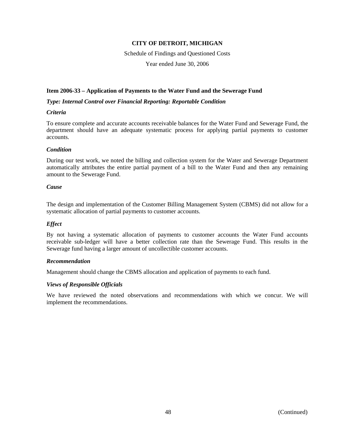Schedule of Findings and Questioned Costs

Year ended June 30, 2006

#### **Item 2006-33 – Application of Payments to the Water Fund and the Sewerage Fund**

#### *Type: Internal Control over Financial Reporting: Reportable Condition*

#### *Criteria*

To ensure complete and accurate accounts receivable balances for the Water Fund and Sewerage Fund, the department should have an adequate systematic process for applying partial payments to customer accounts.

#### *Condition*

During our test work, we noted the billing and collection system for the Water and Sewerage Department automatically attributes the entire partial payment of a bill to the Water Fund and then any remaining amount to the Sewerage Fund.

#### *Cause*

The design and implementation of the Customer Billing Management System (CBMS) did not allow for a systematic allocation of partial payments to customer accounts.

#### *Effect*

By not having a systematic allocation of payments to customer accounts the Water Fund accounts receivable sub-ledger will have a better collection rate than the Sewerage Fund. This results in the Sewerage fund having a larger amount of uncollectible customer accounts.

#### *Recommendation*

Management should change the CBMS allocation and application of payments to each fund.

#### *Views of Responsible Officials*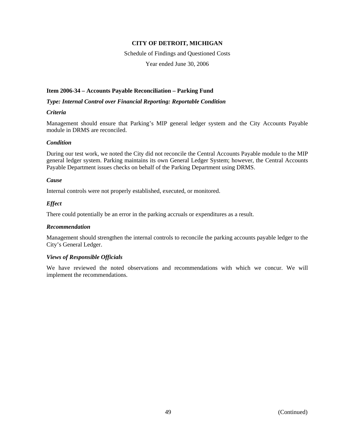### Schedule of Findings and Questioned Costs

Year ended June 30, 2006

#### **Item 2006-34 – Accounts Payable Reconciliation – Parking Fund**

#### *Type: Internal Control over Financial Reporting: Reportable Condition*

#### *Criteria*

Management should ensure that Parking's MIP general ledger system and the City Accounts Payable module in DRMS are reconciled.

#### *Condition*

During our test work, we noted the City did not reconcile the Central Accounts Payable module to the MIP general ledger system. Parking maintains its own General Ledger System; however, the Central Accounts Payable Department issues checks on behalf of the Parking Department using DRMS.

#### *Cause*

Internal controls were not properly established, executed, or monitored.

#### *Effect*

There could potentially be an error in the parking accruals or expenditures as a result.

#### *Recommendation*

Management should strengthen the internal controls to reconcile the parking accounts payable ledger to the City's General Ledger.

#### *Views of Responsible Officials*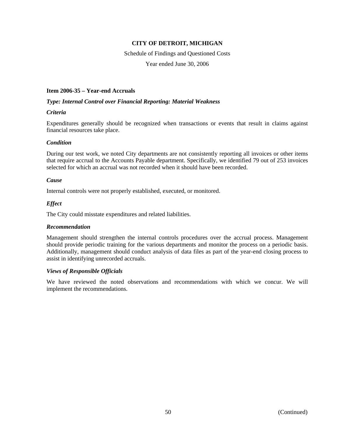### Schedule of Findings and Questioned Costs

Year ended June 30, 2006

#### **Item 2006-35 – Year-end Accruals**

#### *Type: Internal Control over Financial Reporting: Material Weakness*

#### *Criteria*

Expenditures generally should be recognized when transactions or events that result in claims against financial resources take place.

#### *Condition*

During our test work, we noted City departments are not consistently reporting all invoices or other items that require accrual to the Accounts Payable department. Specifically, we identified 79 out of 253 invoices selected for which an accrual was not recorded when it should have been recorded.

#### *Cause*

Internal controls were not properly established, executed, or monitored.

#### *Effect*

The City could misstate expenditures and related liabilities.

#### *Recommendation*

Management should strengthen the internal controls procedures over the accrual process. Management should provide periodic training for the various departments and monitor the process on a periodic basis. Additionally, management should conduct analysis of data files as part of the year-end closing process to assist in identifying unrecorded accruals.

#### *Views of Responsible Officials*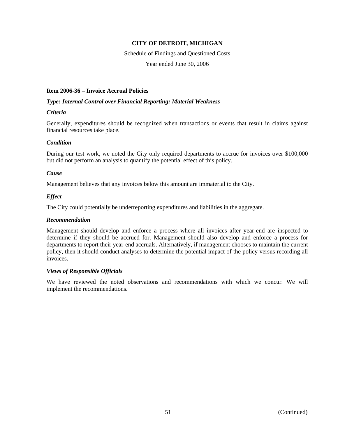#### Schedule of Findings and Questioned Costs

Year ended June 30, 2006

#### **Item 2006-36 – Invoice Accrual Policies**

#### *Type: Internal Control over Financial Reporting: Material Weakness*

#### *Criteria*

Generally, expenditures should be recognized when transactions or events that result in claims against financial resources take place.

#### *Condition*

During our test work, we noted the City only required departments to accrue for invoices over \$100,000 but did not perform an analysis to quantify the potential effect of this policy.

#### *Cause*

Management believes that any invoices below this amount are immaterial to the City.

#### *Effect*

The City could potentially be underreporting expenditures and liabilities in the aggregate.

#### *Recommendation*

Management should develop and enforce a process where all invoices after year-end are inspected to determine if they should be accrued for. Management should also develop and enforce a process for departments to report their year-end accruals. Alternatively, if management chooses to maintain the current policy, then it should conduct analyses to determine the potential impact of the policy versus recording all invoices.

#### *Views of Responsible Officials*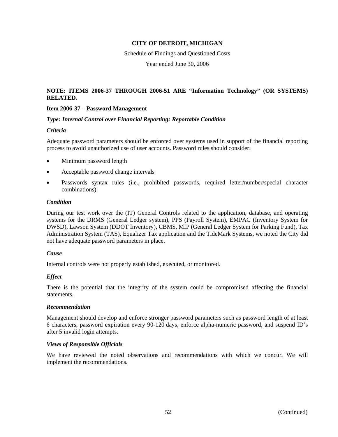Schedule of Findings and Questioned Costs

Year ended June 30, 2006

#### **NOTE: ITEMS 2006-37 THROUGH 2006-51 ARE "Information Technology" (OR SYSTEMS) RELATED.**

#### **Item 2006-37 – Password Management**

#### *Type: Internal Control over Financial Reporting: Reportable Condition*

#### *Criteria*

Adequate password parameters should be enforced over systems used in support of the financial reporting process to avoid unauthorized use of user accounts. Password rules should consider:

- Minimum password length
- Acceptable password change intervals
- Passwords syntax rules (i.e., prohibited passwords, required letter/number/special character combinations)

#### *Condition*

During our test work over the (IT) General Controls related to the application, database, and operating systems for the DRMS (General Ledger system), PPS (Payroll System), EMPAC (Inventory System for DWSD), Lawson System (DDOT Inventory), CBMS, MIP (General Ledger System for Parking Fund), Tax Administration System (TAS), Equalizer Tax application and the TideMark Systems, we noted the City did not have adequate password parameters in place.

#### *Cause*

Internal controls were not properly established, executed, or monitored.

#### *Effect*

There is the potential that the integrity of the system could be compromised affecting the financial statements.

#### *Recommendation*

Management should develop and enforce stronger password parameters such as password length of at least 6 characters, password expiration every 90-120 days, enforce alpha-numeric password, and suspend ID's after 5 invalid login attempts.

#### *Views of Responsible Officials*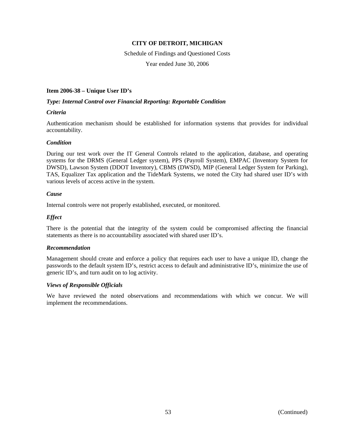# Schedule of Findings and Questioned Costs

Year ended June 30, 2006

#### **Item 2006-38 – Unique User ID's**

#### *Type: Internal Control over Financial Reporting: Reportable Condition*

#### *Criteria*

Authentication mechanism should be established for information systems that provides for individual accountability.

#### *Condition*

During our test work over the IT General Controls related to the application, database, and operating systems for the DRMS (General Ledger system), PPS (Payroll System), EMPAC (Inventory System for DWSD), Lawson System (DDOT Inventory), CBMS (DWSD), MIP (General Ledger System for Parking), TAS, Equalizer Tax application and the TideMark Systems, we noted the City had shared user ID's with various levels of access active in the system.

#### *Cause*

Internal controls were not properly established, executed, or monitored.

#### *Effect*

There is the potential that the integrity of the system could be compromised affecting the financial statements as there is no accountability associated with shared user ID's.

#### *Recommendation*

Management should create and enforce a policy that requires each user to have a unique ID, change the passwords to the default system ID's, restrict access to default and administrative ID's, minimize the use of generic ID's, and turn audit on to log activity.

#### *Views of Responsible Officials*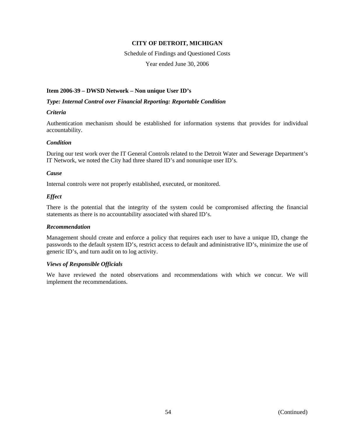#### Schedule of Findings and Questioned Costs

Year ended June 30, 2006

#### **Item 2006-39 – DWSD Network – Non unique User ID's**

#### *Type: Internal Control over Financial Reporting: Reportable Condition*

#### *Criteria*

Authentication mechanism should be established for information systems that provides for individual accountability.

#### *Condition*

During our test work over the IT General Controls related to the Detroit Water and Sewerage Department's IT Network, we noted the City had three shared ID's and nonunique user ID's.

#### *Cause*

Internal controls were not properly established, executed, or monitored.

#### *Effect*

There is the potential that the integrity of the system could be compromised affecting the financial statements as there is no accountability associated with shared ID's.

#### *Recommendation*

Management should create and enforce a policy that requires each user to have a unique ID, change the passwords to the default system ID's, restrict access to default and administrative ID's, minimize the use of generic ID's, and turn audit on to log activity.

#### *Views of Responsible Officials*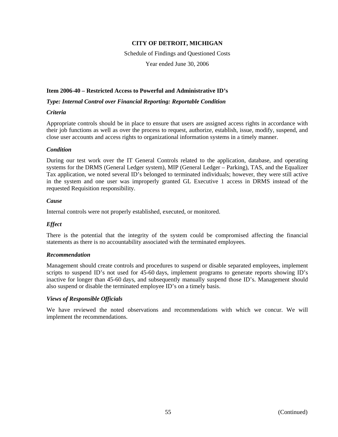Schedule of Findings and Questioned Costs Year ended June 30, 2006

#### **Item 2006-40 – Restricted Access to Powerful and Administrative ID's**

*Type: Internal Control over Financial Reporting: Reportable Condition* 

#### *Criteria*

Appropriate controls should be in place to ensure that users are assigned access rights in accordance with their job functions as well as over the process to request, authorize, establish, issue, modify, suspend, and close user accounts and access rights to organizational information systems in a timely manner.

#### *Condition*

During our test work over the IT General Controls related to the application, database, and operating systems for the DRMS (General Ledger system), MIP (General Ledger – Parking), TAS, and the Equalizer Tax application, we noted several ID's belonged to terminated individuals; however, they were still active in the system and one user was improperly granted GL Executive 1 access in DRMS instead of the requested Requisition responsibility.

#### *Cause*

Internal controls were not properly established, executed, or monitored.

#### *Effect*

There is the potential that the integrity of the system could be compromised affecting the financial statements as there is no accountability associated with the terminated employees.

#### *Recommendation*

Management should create controls and procedures to suspend or disable separated employees, implement scripts to suspend ID's not used for 45-60 days, implement programs to generate reports showing ID's inactive for longer than 45-60 days, and subsequently manually suspend those ID's. Management should also suspend or disable the terminated employee ID's on a timely basis.

#### *Views of Responsible Officials*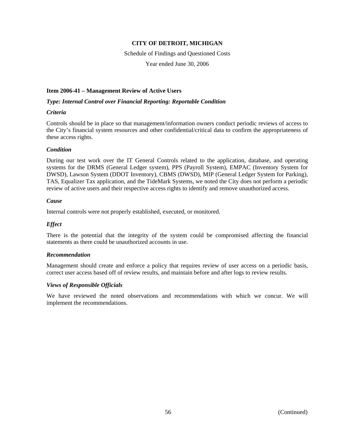Schedule of Findings and Questioned Costs

Year ended June 30, 2006

#### **Item 2006-41 – Management Review of Active Users**

#### *Type: Internal Control over Financial Reporting: Reportable Condition*

#### *Criteria*

Controls should be in place so that management/information owners conduct periodic reviews of access to the City's financial system resources and other confidential/critical data to confirm the appropriateness of these access rights.

#### *Condition*

During our test work over the IT General Controls related to the application, database, and operating systems for the DRMS (General Ledger system), PPS (Payroll System), EMPAC (Inventory System for DWSD), Lawson System (DDOT Inventory), CBMS (DWSD), MIP (General Ledger System for Parking), TAS, Equalizer Tax application, and the TideMark Systems, we noted the City does not perform a periodic review of active users and their respective access rights to identify and remove unauthorized access.

#### *Cause*

Internal controls were not properly established, executed, or monitored.

#### *Effect*

There is the potential that the integrity of the system could be compromised affecting the financial statements as there could be unauthorized accounts in use.

#### *Recommendation*

Management should create and enforce a policy that requires review of user access on a periodic basis, correct user access based off of review results, and maintain before and after logs to review results.

#### *Views of Responsible Officials*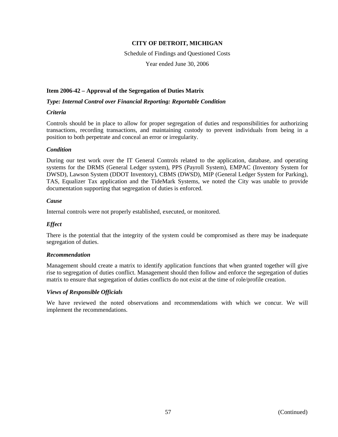Schedule of Findings and Questioned Costs

Year ended June 30, 2006

#### **Item 2006-42 – Approval of the Segregation of Duties Matrix**

#### *Type: Internal Control over Financial Reporting: Reportable Condition*

#### *Criteria*

Controls should be in place to allow for proper segregation of duties and responsibilities for authorizing transactions, recording transactions, and maintaining custody to prevent individuals from being in a position to both perpetrate and conceal an error or irregularity.

#### *Condition*

During our test work over the IT General Controls related to the application, database, and operating systems for the DRMS (General Ledger system), PPS (Payroll System), EMPAC (Inventory System for DWSD), Lawson System (DDOT Inventory), CBMS (DWSD), MIP (General Ledger System for Parking), TAS, Equalizer Tax application and the TideMark Systems, we noted the City was unable to provide documentation supporting that segregation of duties is enforced.

#### *Cause*

Internal controls were not properly established, executed, or monitored.

#### *Effect*

There is the potential that the integrity of the system could be compromised as there may be inadequate segregation of duties.

#### *Recommendation*

Management should create a matrix to identify application functions that when granted together will give rise to segregation of duties conflict. Management should then follow and enforce the segregation of duties matrix to ensure that segregation of duties conflicts do not exist at the time of role/profile creation.

#### *Views of Responsible Officials*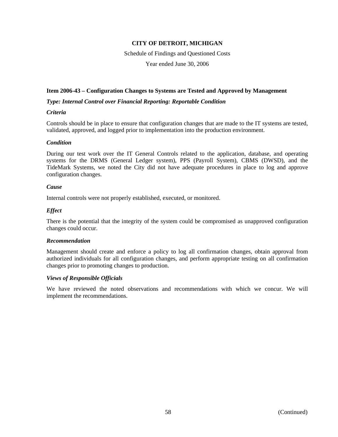Schedule of Findings and Questioned Costs

Year ended June 30, 2006

#### **Item 2006-43 – Configuration Changes to Systems are Tested and Approved by Management**

#### *Type: Internal Control over Financial Reporting: Reportable Condition*

#### *Criteria*

Controls should be in place to ensure that configuration changes that are made to the IT systems are tested, validated, approved, and logged prior to implementation into the production environment.

#### *Condition*

During our test work over the IT General Controls related to the application, database, and operating systems for the DRMS (General Ledger system), PPS (Payroll System), CBMS (DWSD), and the TideMark Systems, we noted the City did not have adequate procedures in place to log and approve configuration changes.

#### *Cause*

Internal controls were not properly established, executed, or monitored.

#### *Effect*

There is the potential that the integrity of the system could be compromised as unapproved configuration changes could occur.

#### *Recommendation*

Management should create and enforce a policy to log all confirmation changes, obtain approval from authorized individuals for all configuration changes, and perform appropriate testing on all confirmation changes prior to promoting changes to production.

#### *Views of Responsible Officials*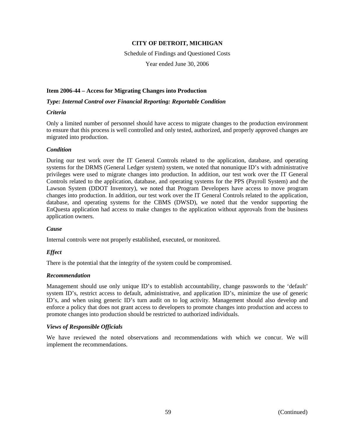Schedule of Findings and Questioned Costs

Year ended June 30, 2006

#### **Item 2006-44 – Access for Migrating Changes into Production**

*Type: Internal Control over Financial Reporting: Reportable Condition* 

#### *Criteria*

Only a limited number of personnel should have access to migrate changes to the production environment to ensure that this process is well controlled and only tested, authorized, and properly approved changes are migrated into production.

#### *Condition*

During our test work over the IT General Controls related to the application, database, and operating systems for the DRMS (General Ledger system) system, we noted that nonunique ID's with administrative privileges were used to migrate changes into production. In addition, our test work over the IT General Controls related to the application, database, and operating systems for the PPS (Payroll System) and the Lawson System (DDOT Inventory), we noted that Program Developers have access to move program changes into production. In addition, our test work over the IT General Controls related to the application, database, and operating systems for the CBMS (DWSD), we noted that the vendor supporting the EnQuesta application had access to make changes to the application without approvals from the business application owners.

#### *Cause*

Internal controls were not properly established, executed, or monitored.

#### *Effect*

There is the potential that the integrity of the system could be compromised.

#### *Recommendation*

Management should use only unique ID's to establish accountability, change passwords to the 'default' system ID's, restrict access to default, administrative, and application ID's, minimize the use of generic ID's, and when using generic ID's turn audit on to log activity. Management should also develop and enforce a policy that does not grant access to developers to promote changes into production and access to promote changes into production should be restricted to authorized individuals.

#### *Views of Responsible Officials*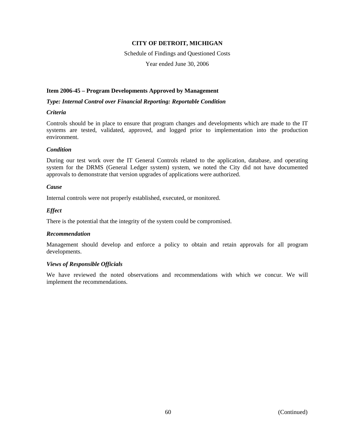#### Schedule of Findings and Questioned Costs

Year ended June 30, 2006

#### **Item 2006-45 – Program Developments Approved by Management**

*Type: Internal Control over Financial Reporting: Reportable Condition* 

#### *Criteria*

Controls should be in place to ensure that program changes and developments which are made to the IT systems are tested, validated, approved, and logged prior to implementation into the production environment.

#### *Condition*

During our test work over the IT General Controls related to the application, database, and operating system for the DRMS (General Ledger system) system, we noted the City did not have documented approvals to demonstrate that version upgrades of applications were authorized.

#### *Cause*

Internal controls were not properly established, executed, or monitored.

#### *Effect*

There is the potential that the integrity of the system could be compromised.

#### *Recommendation*

Management should develop and enforce a policy to obtain and retain approvals for all program developments.

#### *Views of Responsible Officials*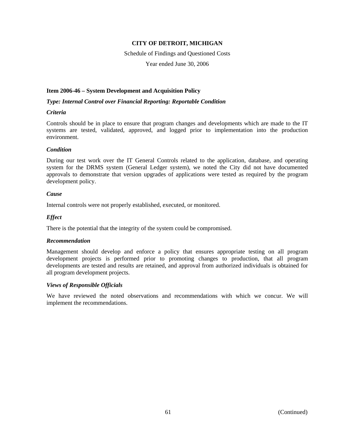Schedule of Findings and Questioned Costs

Year ended June 30, 2006

#### **Item 2006-46 – System Development and Acquisition Policy**

*Type: Internal Control over Financial Reporting: Reportable Condition* 

#### *Criteria*

Controls should be in place to ensure that program changes and developments which are made to the IT systems are tested, validated, approved, and logged prior to implementation into the production environment.

#### *Condition*

During our test work over the IT General Controls related to the application, database, and operating system for the DRMS system (General Ledger system), we noted the City did not have documented approvals to demonstrate that version upgrades of applications were tested as required by the program development policy.

#### *Cause*

Internal controls were not properly established, executed, or monitored.

#### *Effect*

There is the potential that the integrity of the system could be compromised.

#### *Recommendation*

Management should develop and enforce a policy that ensures appropriate testing on all program development projects is performed prior to promoting changes to production, that all program developments are tested and results are retained, and approval from authorized individuals is obtained for all program development projects.

#### *Views of Responsible Officials*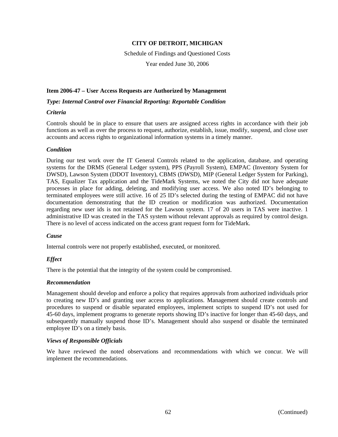Schedule of Findings and Questioned Costs

Year ended June 30, 2006

#### **Item 2006-47 – User Access Requests are Authorized by Management**

*Type: Internal Control over Financial Reporting: Reportable Condition* 

#### *Criteria*

Controls should be in place to ensure that users are assigned access rights in accordance with their job functions as well as over the process to request, authorize, establish, issue, modify, suspend, and close user accounts and access rights to organizational information systems in a timely manner.

#### *Condition*

During our test work over the IT General Controls related to the application, database, and operating systems for the DRMS (General Ledger system), PPS (Payroll System), EMPAC (Inventory System for DWSD), Lawson System (DDOT Inventory), CBMS (DWSD), MIP (General Ledger System for Parking), TAS, Equalizer Tax application and the TideMark Systems, we noted the City did not have adequate processes in place for adding, deleting, and modifying user access. We also noted ID's belonging to terminated employees were still active. 16 of 25 ID's selected during the testing of EMPAC did not have documentation demonstrating that the ID creation or modification was authorized. Documentation regarding new user ids is not retained for the Lawson system. 17 of 20 users in TAS were inactive. 1 administrative ID was created in the TAS system without relevant approvals as required by control design. There is no level of access indicated on the access grant request form for TideMark.

#### *Cause*

Internal controls were not properly established, executed, or monitored.

#### *Effect*

There is the potential that the integrity of the system could be compromised.

#### *Recommendation*

Management should develop and enforce a policy that requires approvals from authorized individuals prior to creating new ID's and granting user access to applications. Management should create controls and procedures to suspend or disable separated employees, implement scripts to suspend ID's not used for 45-60 days, implement programs to generate reports showing ID's inactive for longer than 45-60 days, and subsequently manually suspend those ID's. Management should also suspend or disable the terminated employee ID's on a timely basis.

#### *Views of Responsible Officials*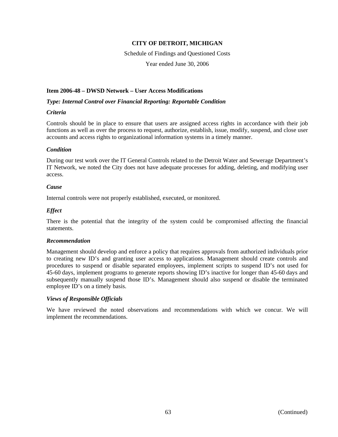Schedule of Findings and Questioned Costs Year ended June 30, 2006

#### **Item 2006-48 – DWSD Network – User Access Modifications**

#### *Type: Internal Control over Financial Reporting: Reportable Condition*

#### *Criteria*

Controls should be in place to ensure that users are assigned access rights in accordance with their job functions as well as over the process to request, authorize, establish, issue, modify, suspend, and close user accounts and access rights to organizational information systems in a timely manner.

#### *Condition*

During our test work over the IT General Controls related to the Detroit Water and Sewerage Department's IT Network, we noted the City does not have adequate processes for adding, deleting, and modifying user access.

#### *Cause*

Internal controls were not properly established, executed, or monitored.

#### *Effect*

There is the potential that the integrity of the system could be compromised affecting the financial statements.

#### *Recommendation*

Management should develop and enforce a policy that requires approvals from authorized individuals prior to creating new ID's and granting user access to applications. Management should create controls and procedures to suspend or disable separated employees, implement scripts to suspend ID's not used for 45-60 days, implement programs to generate reports showing ID's inactive for longer than 45-60 days and subsequently manually suspend those ID's. Management should also suspend or disable the terminated employee ID's on a timely basis.

#### *Views of Responsible Officials*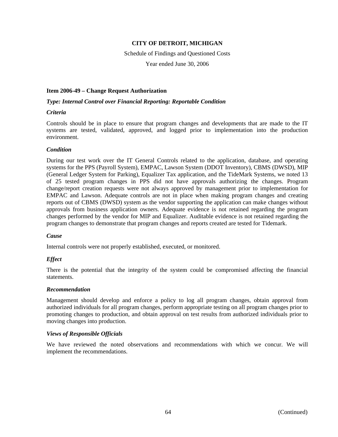Schedule of Findings and Questioned Costs

Year ended June 30, 2006

#### **Item 2006-49 – Change Request Authorization**

#### *Type: Internal Control over Financial Reporting: Reportable Condition*

#### *Criteria*

Controls should be in place to ensure that program changes and developments that are made to the IT systems are tested, validated, approved, and logged prior to implementation into the production environment.

#### *Condition*

During our test work over the IT General Controls related to the application, database, and operating systems for the PPS (Payroll System), EMPAC, Lawson System (DDOT Inventory), CBMS (DWSD), MIP (General Ledger System for Parking), Equalizer Tax application, and the TideMark Systems, we noted 13 of 25 tested program changes in PPS did not have approvals authorizing the changes. Program change/report creation requests were not always approved by management prior to implementation for EMPAC and Lawson. Adequate controls are not in place when making program changes and creating reports out of CBMS (DWSD) system as the vendor supporting the application can make changes without approvals from business application owners. Adequate evidence is not retained regarding the program changes performed by the vendor for MIP and Equalizer. Auditable evidence is not retained regarding the program changes to demonstrate that program changes and reports created are tested for Tidemark.

#### *Cause*

Internal controls were not properly established, executed, or monitored.

#### *Effect*

There is the potential that the integrity of the system could be compromised affecting the financial statements.

#### *Recommendation*

Management should develop and enforce a policy to log all program changes, obtain approval from authorized individuals for all program changes, perform appropriate testing on all program changes prior to promoting changes to production, and obtain approval on test results from authorized individuals prior to moving changes into production.

#### *Views of Responsible Officials*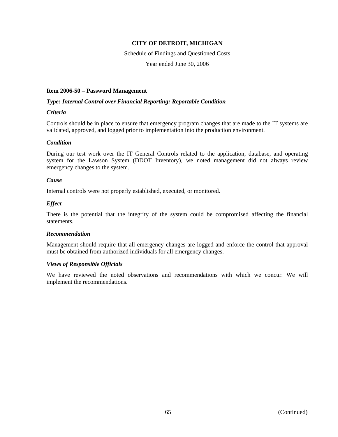Schedule of Findings and Questioned Costs

Year ended June 30, 2006

#### **Item 2006-50 – Password Management**

#### *Type: Internal Control over Financial Reporting: Reportable Condition*

#### *Criteria*

Controls should be in place to ensure that emergency program changes that are made to the IT systems are validated, approved, and logged prior to implementation into the production environment.

#### *Condition*

During our test work over the IT General Controls related to the application, database, and operating system for the Lawson System (DDOT Inventory), we noted management did not always review emergency changes to the system.

#### *Cause*

Internal controls were not properly established, executed, or monitored.

#### *Effect*

There is the potential that the integrity of the system could be compromised affecting the financial statements.

#### *Recommendation*

Management should require that all emergency changes are logged and enforce the control that approval must be obtained from authorized individuals for all emergency changes.

#### *Views of Responsible Officials*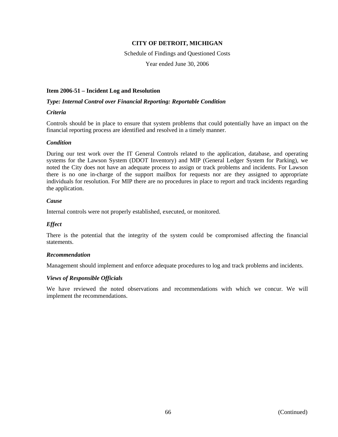Schedule of Findings and Questioned Costs

Year ended June 30, 2006

#### **Item 2006-51 – Incident Log and Resolution**

#### *Type: Internal Control over Financial Reporting: Reportable Condition*

#### *Criteria*

Controls should be in place to ensure that system problems that could potentially have an impact on the financial reporting process are identified and resolved in a timely manner.

#### *Condition*

During our test work over the IT General Controls related to the application, database, and operating systems for the Lawson System (DDOT Inventory) and MIP (General Ledger System for Parking), we noted the City does not have an adequate process to assign or track problems and incidents. For Lawson there is no one in-charge of the support mailbox for requests nor are they assigned to appropriate individuals for resolution. For MIP there are no procedures in place to report and track incidents regarding the application.

#### *Cause*

Internal controls were not properly established, executed, or monitored.

#### *Effect*

There is the potential that the integrity of the system could be compromised affecting the financial statements.

#### *Recommendation*

Management should implement and enforce adequate procedures to log and track problems and incidents.

#### *Views of Responsible Officials*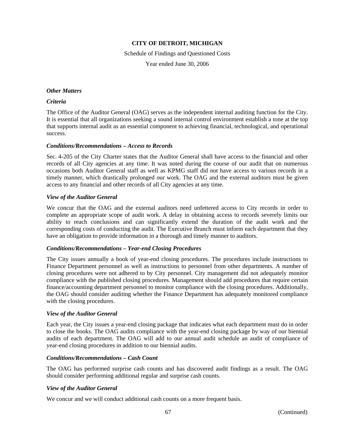Schedule of Findings and Questioned Costs Year ended June 30, 2006

#### *Other Matters*

#### *Criteria*

The Office of the Auditor General (OAG) serves as the independent internal auditing function for the City. It is essential that all organizations seeking a sound internal control environment establish a tone at the top that supports internal audit as an essential component to achieving financial, technological, and operational success.

#### *Conditions/Recommendations – Access to Records*

Sec. 4-205 of the City Charter states that the Auditor General shall have access to the financial and other records of all City agencies at any time. It was noted during the course of our audit that on numerous occasions both Auditor General staff as well as KPMG staff did not have access to various records in a timely manner, which drastically prolonged our work. The OAG and the external auditors must be given access to any financial and other records of all City agencies at any time.

#### *View of the Auditor General*

We concur that the OAG and the external auditors need unfettered access to City records in order to complete an appropriate scope of audit work. A delay in obtaining access to records severely limits our ability to reach conclusions and can significantly extend the duration of the audit work and the corresponding costs of conducting the audit. The Executive Branch must inform each department that they have an obligation to provide information in a thorough and timely manner to auditors.

#### *Conditions/Recommendations – Year-end Closing Procedures*

The City issues annually a book of year-end closing procedures. The procedures include instructions to Finance Department personnel as well as instructions to personnel from other departments. A number of closing procedures were not adhered to by City personnel. City management did not adequately monitor compliance with the published closing procedures. Management should add procedures that require certain finance/accounting department personnel to monitor compliance with the closing procedures. Additionally, the OAG should consider auditing whether the Finance Department has adequately monitored compliance with the closing procedures.

#### *View of the Auditor General*

Each year, the City issues a year-end closing package that indicates what each department must do in order to close the books. The OAG audits compliance with the year-end closing package by way of our biennial audits of each department. The OAG will add to our annual audit schedule an audit of compliance of year-end closing procedures in addition to our biennial audits.

#### *Conditions/Recommendations – Cash Count*

The OAG has performed surprise cash counts and has discovered audit findings as a result. The OAG should consider performing additional regular and surprise cash counts.

#### *View of the Auditor General*

We concur and we will conduct additional cash counts on a more frequent basis.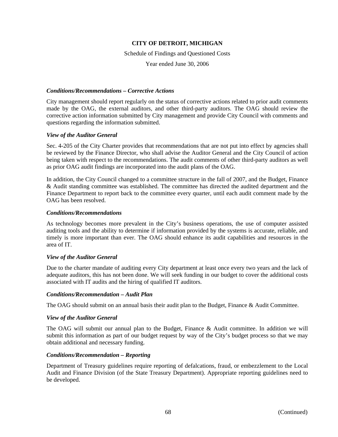Schedule of Findings and Questioned Costs

Year ended June 30, 2006

#### *Conditions/Recommendations – Corrective Actions*

City management should report regularly on the status of corrective actions related to prior audit comments made by the OAG, the external auditors, and other third-party auditors. The OAG should review the corrective action information submitted by City management and provide City Council with comments and questions regarding the information submitted.

#### *View of the Auditor General*

Sec. 4-205 of the City Charter provides that recommendations that are not put into effect by agencies shall be reviewed by the Finance Director, who shall advise the Auditor General and the City Council of action being taken with respect to the recommendations. The audit comments of other third-party auditors as well as prior OAG audit findings are incorporated into the audit plans of the OAG.

In addition, the City Council changed to a committee structure in the fall of 2007, and the Budget, Finance & Audit standing committee was established. The committee has directed the audited department and the Finance Department to report back to the committee every quarter, until each audit comment made by the OAG has been resolved.

#### *Conditions/Recommendations*

As technology becomes more prevalent in the City's business operations, the use of computer assisted auditing tools and the ability to determine if information provided by the systems is accurate, reliable, and timely is more important than ever. The OAG should enhance its audit capabilities and resources in the area of IT.

#### *View of the Auditor General*

Due to the charter mandate of auditing every City department at least once every two years and the lack of adequate auditors, this has not been done. We will seek funding in our budget to cover the additional costs associated with IT audits and the hiring of qualified IT auditors.

#### *Conditions/Recommendation – Audit Plan*

The OAG should submit on an annual basis their audit plan to the Budget, Finance & Audit Committee.

#### *View of the Auditor General*

The OAG will submit our annual plan to the Budget, Finance & Audit committee. In addition we will submit this information as part of our budget request by way of the City's budget process so that we may obtain additional and necessary funding.

#### *Conditions/Recommendation – Reporting*

Department of Treasury guidelines require reporting of defalcations, fraud, or embezzlement to the Local Audit and Finance Division (of the State Treasury Department). Appropriate reporting guidelines need to be developed.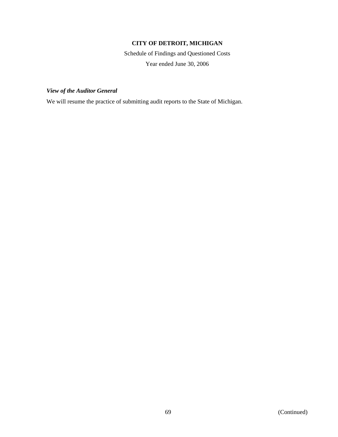Schedule of Findings and Questioned Costs Year ended June 30, 2006

## *View of the Auditor General*

We will resume the practice of submitting audit reports to the State of Michigan.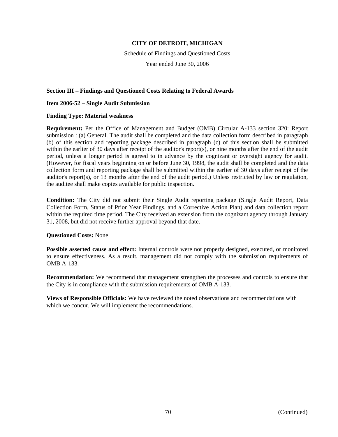Schedule of Findings and Questioned Costs Year ended June 30, 2006

#### **Section III – Findings and Questioned Costs Relating to Federal Awards**

#### **Item 2006-52 – Single Audit Submission**

#### **Finding Type: Material weakness**

**Requirement:** Per the Office of Management and Budget (OMB) Circular A-133 section 320: Report submission : (a) General. The audit shall be completed and the data collection form described in paragraph (b) of this section and reporting package described in paragraph (c) of this section shall be submitted within the earlier of 30 days after receipt of the auditor's report(s), or nine months after the end of the audit period, unless a longer period is agreed to in advance by the cognizant or oversight agency for audit. (However, for fiscal years beginning on or before June 30, 1998, the audit shall be completed and the data collection form and reporting package shall be submitted within the earlier of 30 days after receipt of the auditor's report(s), or 13 months after the end of the audit period.) Unless restricted by law or regulation, the auditee shall make copies available for public inspection.

**Condition:** The City did not submit their Single Audit reporting package (Single Audit Report, Data Collection Form, Status of Prior Year Findings, and a Corrective Action Plan) and data collection report within the required time period. The City received an extension from the cognizant agency through January 31, 2008, but did not receive further approval beyond that date.

#### **Questioned Costs:** None

**Possible asserted cause and effect:** Internal controls were not properly designed, executed, or monitored to ensure effectiveness. As a result, management did not comply with the submission requirements of OMB A-133.

**Recommendation:** We recommend that management strengthen the processes and controls to ensure that the City is in compliance with the submission requirements of OMB A-133.

**Views of Responsible Officials:** We have reviewed the noted observations and recommendations with which we concur. We will implement the recommendations.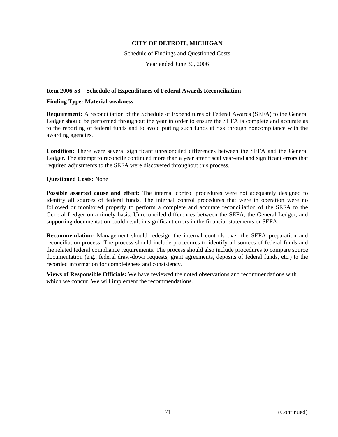Schedule of Findings and Questioned Costs Year ended June 30, 2006

## **Item 2006-53 – Schedule of Expenditures of Federal Awards Reconciliation**

## **Finding Type: Material weakness**

**Requirement:** A reconciliation of the Schedule of Expenditures of Federal Awards (SEFA) to the General Ledger should be performed throughout the year in order to ensure the SEFA is complete and accurate as to the reporting of federal funds and to avoid putting such funds at risk through noncompliance with the awarding agencies.

**Condition:** There were several significant unreconciled differences between the SEFA and the General Ledger. The attempt to reconcile continued more than a year after fiscal year-end and significant errors that required adjustments to the SEFA were discovered throughout this process.

## **Questioned Costs:** None

**Possible asserted cause and effect:** The internal control procedures were not adequately designed to identify all sources of federal funds. The internal control procedures that were in operation were no followed or monitored properly to perform a complete and accurate reconciliation of the SEFA to the General Ledger on a timely basis. Unreconciled differences between the SEFA, the General Ledger, and supporting documentation could result in significant errors in the financial statements or SEFA.

**Recommendation:** Management should redesign the internal controls over the SEFA preparation and reconciliation process. The process should include procedures to identify all sources of federal funds and the related federal compliance requirements. The process should also include procedures to compare source documentation (e.g., federal draw-down requests, grant agreements, deposits of federal funds, etc.) to the recorded information for completeness and consistency.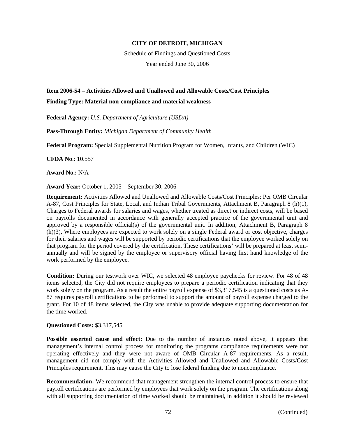Schedule of Findings and Questioned Costs Year ended June 30, 2006

# **Item 2006-54 – Activities Allowed and Unallowed and Allowable Costs/Cost Principles**

## **Finding Type: Material non-compliance and material weakness**

**Federal Agency:** *U.S. Department of Agriculture (USDA)*

**Pass-Through Entity:** *Michigan Department of Community Health*

**Federal Program:** Special Supplemental Nutrition Program for Women, Infants, and Children (WIC)

**CFDA No**.: 10.557

**Award No.:** N/A

**Award Year:** October 1, 2005 – September 30, 2006

**Requirement:** Activities Allowed and Unallowed and Allowable Costs/Cost Principles: Per OMB Circular A-87, Cost Principles for State, Local, and Indian Tribal Governments, Attachment B, Paragraph 8 (h)(1), Charges to Federal awards for salaries and wages, whether treated as direct or indirect costs, will be based on payrolls documented in accordance with generally accepted practice of the governmental unit and approved by a responsible official(s) of the governmental unit. In addition, Attachment B, Paragraph 8 (h)(3), Where employees are expected to work solely on a single Federal award or cost objective, charges for their salaries and wages will be supported by periodic certifications that the employee worked solely on that program for the period covered by the certification. These certifications' will be prepared at least semiannually and will be signed by the employee or supervisory official having first hand knowledge of the work performed by the employee.

**Condition:** During our testwork over WIC, we selected 48 employee paychecks for review. For 48 of 48 items selected, the City did not require employees to prepare a periodic certification indicating that they work solely on the program. As a result the entire payroll expense of \$3,317,545 is a questioned costs as A-87 requires payroll certifications to be performed to support the amount of payroll expense charged to the grant. For 10 of 48 items selected, the City was unable to provide adequate supporting documentation for the time worked.

## **Questioned Costs:** \$3,317,545

**Possible asserted cause and effect:** Due to the number of instances noted above, it appears that management's internal control process for monitoring the programs compliance requirements were not operating effectively and they were not aware of OMB Circular A-87 requirements. As a result, management did not comply with the Activities Allowed and Unallowed and Allowable Costs/Cost Principles requirement. This may cause the City to lose federal funding due to noncompliance.

**Recommendation:** We recommend that management strengthen the internal control process to ensure that payroll certifications are performed by employees that work solely on the program. The certifications along with all supporting documentation of time worked should be maintained, in addition it should be reviewed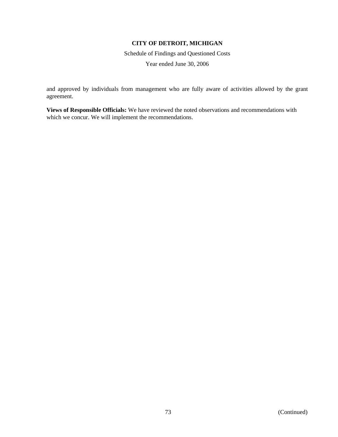Schedule of Findings and Questioned Costs Year ended June 30, 2006

and approved by individuals from management who are fully aware of activities allowed by the grant agreement.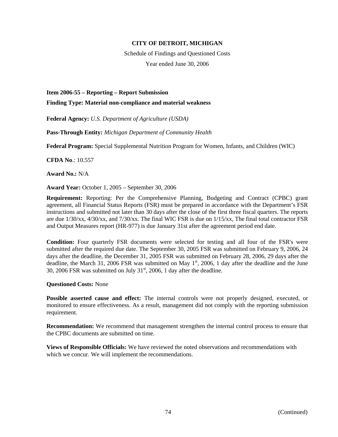Schedule of Findings and Questioned Costs Year ended June 30, 2006

**Item 2006-55 – Reporting – Report Submission** 

**Finding Type: Material non-compliance and material weakness** 

**Federal Agency:** *U.S. Department of Agriculture (USDA)*

**Pass-Through Entity:** *Michigan Department of Community Health*

**Federal Program:** Special Supplemental Nutrition Program for Women, Infants, and Children (WIC)

**CFDA No**.: 10.557

**Award No.:** N/A

**Award Year:** October 1, 2005 – September 30, 2006

**Requirement:** Reporting: Per the Comprehensive Planning, Budgeting and Contract (CPBC) grant agreement, all Financial Status Reports (FSR) must be prepared in accordance with the Department's FSR instructions and submitted not later than 30 days after the close of the first three fiscal quarters. The reports are due 1/30/xx, 4/30/xx, and 7/30/xx. The final WIC FSR is due on 1/15/xx, The final total contractor FSR and Output Measures report (HR-977) is due January 31st after the agreement period end date.

**Condition:** Four quarterly FSR documents were selected for testing and all four of the FSR's were submitted after the required due date. The September 30, 2005 FSR was submitted on February 9, 2006, 24 days after the deadline, the December 31, 2005 FSR was submitted on February 28, 2006, 29 days after the deadline, the March 31, 2006 FSR was submitted on May  $1<sup>st</sup>$ , 2006, 1 day after the deadline and the June 30, 2006 FSR was submitted on July  $31<sup>st</sup>$ , 2006, 1 day after the deadline.

**Questioned Costs:** None

**Possible asserted cause and effect:** The internal controls were not properly designed, executed, or monitored to ensure effectiveness. As a result, management did not comply with the reporting submission requirement.

**Recommendation:** We recommend that management strengthen the internal control process to ensure that the CPBC documents are submitted on time.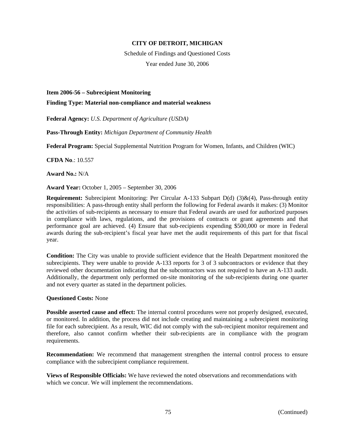Schedule of Findings and Questioned Costs Year ended June 30, 2006

### **Item 2006-56 – Subrecipient Monitoring**

**Finding Type: Material non-compliance and material weakness** 

**Federal Agency:** *U.S. Department of Agriculture (USDA)*

**Pass-Through Entity:** *Michigan Department of Community Health*

**Federal Program:** Special Supplemental Nutrition Program for Women, Infants, and Children (WIC)

**CFDA No**.: 10.557

**Award No.:** N/A

**Award Year:** October 1, 2005 – September 30, 2006

**Requirement:** Subrecipient Monitoring: Per Circular A-133 Subpart D(d) (3)&(4), Pass-through entity responsibilities: A pass-through entity shall perform the following for Federal awards it makes: (3) Monitor the activities of sub-recipients as necessary to ensure that Federal awards are used for authorized purposes in compliance with laws, regulations, and the provisions of contracts or grant agreements and that performance goal are achieved. (4) Ensure that sub-recipients expending \$500,000 or more in Federal awards during the sub-recipient's fiscal year have met the audit requirements of this part for that fiscal year.

**Condition:** The City was unable to provide sufficient evidence that the Health Department monitored the subrecipients. They were unable to provide A-133 reports for 3 of 3 subcontractors or evidence that they reviewed other documentation indicating that the subcontractors was not required to have an A-133 audit. Additionally, the department only performed on-site monitoring of the sub-recipients during one quarter and not every quarter as stated in the department policies.

### **Questioned Costs:** None

**Possible asserted cause and effect:** The internal control procedures were not properly designed, executed, or monitored. In addition, the process did not include creating and maintaining a subrecipient monitoring file for each subrecipient. As a result, WIC did not comply with the sub-recipient monitor requirement and therefore, also cannot confirm whether their sub-recipients are in compliance with the program requirements.

**Recommendation:** We recommend that management strengthen the internal control process to ensure compliance with the subrecipient compliance requirement.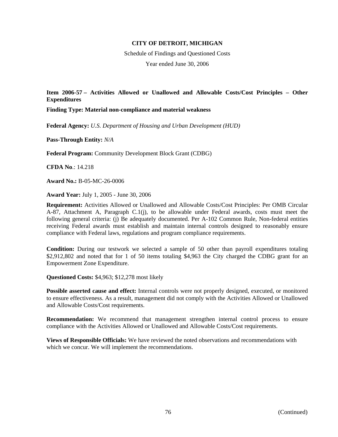Schedule of Findings and Questioned Costs Year ended June 30, 2006

**Item 2006-57 – Activities Allowed or Unallowed and Allowable Costs/Cost Principles – Other Expenditures** 

**Finding Type: Material non-compliance and material weakness** 

**Federal Agency:** *U.S. Department of Housing and Urban Development (HUD)*

**Pass-Through Entity:** *N/A*

**Federal Program:** Community Development Block Grant (CDBG)

**CFDA No**.: 14.218

**Award No.:** B-05-MC-26-0006

**Award Year:** July 1, 2005 - June 30, 2006

**Requirement:** Activities Allowed or Unallowed and Allowable Costs/Cost Principles: Per OMB Circular A-87, Attachment A, Paragraph C.1(j), to be allowable under Federal awards, costs must meet the following general criteria: (j) Be adequately documented. Per A-102 Common Rule, Non-federal entities receiving Federal awards must establish and maintain internal controls designed to reasonably ensure compliance with Federal laws, regulations and program compliance requirements.

**Condition:** During our testwork we selected a sample of 50 other than payroll expenditures totaling \$2,912,802 and noted that for 1 of 50 items totaling \$4,963 the City charged the CDBG grant for an Empowerment Zone Expenditure.

**Questioned Costs:** \$4,963; \$12,278 most likely

**Possible asserted cause and effect:** Internal controls were not properly designed, executed, or monitored to ensure effectiveness. As a result, management did not comply with the Activities Allowed or Unallowed and Allowable Costs/Cost requirements.

**Recommendation:** We recommend that management strengthen internal control process to ensure compliance with the Activities Allowed or Unallowed and Allowable Costs/Cost requirements.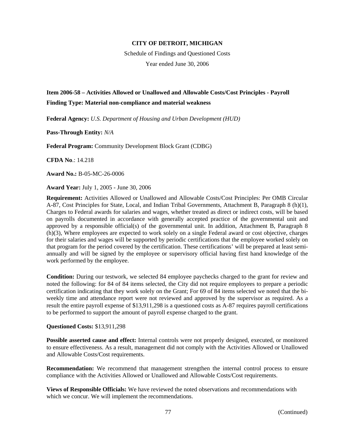Schedule of Findings and Questioned Costs Year ended June 30, 2006

# **Item 2006-58 – Activities Allowed or Unallowed and Allowable Costs/Cost Principles - Payroll Finding Type: Material non-compliance and material weakness**

**Federal Agency:** *U.S. Department of Housing and Urban Development (HUD)*

**Pass-Through Entity:** *N/A*

**Federal Program:** Community Development Block Grant (CDBG)

**CFDA No**.: 14.218

**Award No.:** B-05-MC-26-0006

**Award Year:** July 1, 2005 - June 30, 2006

**Requirement:** Activities Allowed or Unallowed and Allowable Costs/Cost Principles: Per OMB Circular A-87, Cost Principles for State, Local, and Indian Tribal Governments, Attachment B, Paragraph 8 (h)(1), Charges to Federal awards for salaries and wages, whether treated as direct or indirect costs, will be based on payrolls documented in accordance with generally accepted practice of the governmental unit and approved by a responsible official(s) of the governmental unit. In addition, Attachment B, Paragraph 8 (h)(3), Where employees are expected to work solely on a single Federal award or cost objective, charges for their salaries and wages will be supported by periodic certifications that the employee worked solely on that program for the period covered by the certification. These certifications' will be prepared at least semiannually and will be signed by the employee or supervisory official having first hand knowledge of the work performed by the employee.

**Condition:** During our testwork, we selected 84 employee paychecks charged to the grant for review and noted the following: for 84 of 84 items selected, the City did not require employees to prepare a periodic certification indicating that they work solely on the Grant; For 69 of 84 items selected we noted that the biweekly time and attendance report were not reviewed and approved by the supervisor as required. As a result the entire payroll expense of \$13,911,298 is a questioned costs as A-87 requires payroll certifications to be performed to support the amount of payroll expense charged to the grant.

### **Questioned Costs:** \$13,911,298

**Possible asserted cause and effect:** Internal controls were not properly designed, executed, or monitored to ensure effectiveness. As a result, management did not comply with the Activities Allowed or Unallowed and Allowable Costs/Cost requirements.

**Recommendation:** We recommend that management strengthen the internal control process to ensure compliance with the Activities Allowed or Unallowed and Allowable Costs/Cost requirements.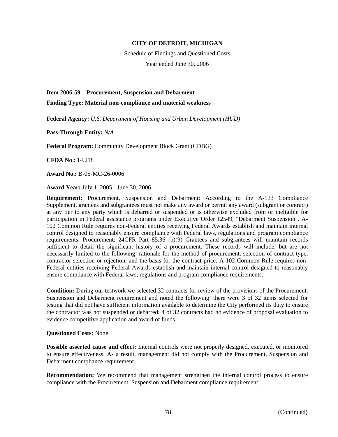Schedule of Findings and Questioned Costs Year ended June 30, 2006

**Item 2006-59 – Procurement, Suspension and Debarment** 

**Finding Type: Material non-compliance and material weakness** 

**Federal Agency:** *U.S. Department of Housing and Urban Development (HUD)* 

**Pass-Through Entity:** *N/A*

**Federal Program:** Community Development Block Grant (CDBG)

**CFDA No**.: 14.218

**Award No.:** B-05-MC-26-0006

**Award Year:** July 1, 2005 - June 30, 2006

**Requirement:** Procurement, Suspension and Debarment: According to the A-133 Compliance Supplement, grantees and subgrantees must not make any award or permit any award (subgrant or contract) at any tier to any party which is debarred or suspended or is otherwise excluded from or ineligible for participation in Federal assistance programs under Executive Order 12549, "Debarment Suspension". A-102 Common Rule requires non-Federal entities receiving Federal Awards establish and maintain internal control designed to reasonably ensure compliance with Federal laws, regulations and program compliance requirements. Procurement: 24CFR Part 85.36 (b)(9) Grantees and subgrantees will maintain records sufficient to detail the significant history of a procurement. These records will include, but are not necessarily limited to the following: rationale for the method of procurement, selection of contract type, contractor selection or rejection, and the basis for the contract price. A-102 Common Rule requires non-Federal entities receiving Federal Awards establish and maintain internal control designed to reasonably ensure compliance with Federal laws, regulations and program compliance requirements.

**Condition:** During our testwork we selected 32 contracts for review of the provisions of the Procurement, Suspension and Debarment requirement and noted the following: there were 3 of 32 items selected for testing that did not have sufficient information available to determine the City performed its duty to ensure the contractor was not suspended or debarred; 4 of 32 contracts had no evidence of proposal evaluation to evidence competitive application and award of funds.

### **Questioned Costs:** None

**Possible asserted cause and effect:** Internal controls were not properly designed, executed, or monitored to ensure effectiveness. As a result, management did not comply with the Procurement, Suspension and Debarment compliance requirement.

**Recommendation:** We recommend that management strengthen the internal control process to ensure compliance with the Procurement, Suspension and Debarment compliance requirement.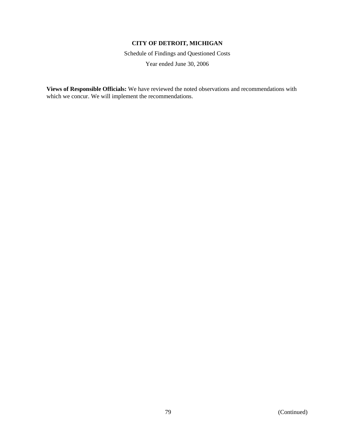Schedule of Findings and Questioned Costs Year ended June 30, 2006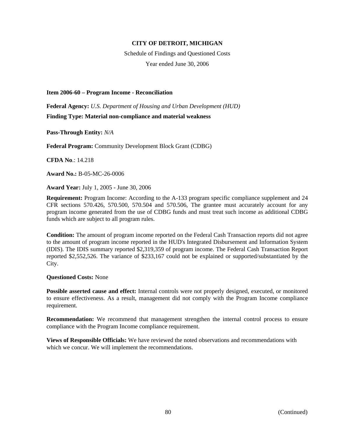Schedule of Findings and Questioned Costs Year ended June 30, 2006

**Item 2006-60 – Program Income - Reconciliation** 

**Federal Agency:** *U.S. Department of Housing and Urban Development (HUD)* **Finding Type: Material non-compliance and material weakness** 

**Pass-Through Entity:** *N/A*

**Federal Program:** Community Development Block Grant (CDBG)

**CFDA No**.: 14.218

**Award No.:** B-05-MC-26-0006

**Award Year:** July 1, 2005 - June 30, 2006

**Requirement:** Program Income: According to the A-133 program specific compliance supplement and 24 CFR sections 570.426, 570.500, 570.504 and 570.506, The grantee must accurately account for any program income generated from the use of CDBG funds and must treat such income as additional CDBG funds which are subject to all program rules.

**Condition:** The amount of program income reported on the Federal Cash Transaction reports did not agree to the amount of program income reported in the HUD's Integrated Disbursement and Information System (IDIS). The IDIS summary reported \$2,319,359 of program income. The Federal Cash Transaction Report reported \$2,552,526. The variance of \$233,167 could not be explained or supported/substantiated by the City.

**Questioned Costs:** None

**Possible asserted cause and effect:** Internal controls were not properly designed, executed, or monitored to ensure effectiveness. As a result, management did not comply with the Program Income compliance requirement.

**Recommendation:** We recommend that management strengthen the internal control process to ensure compliance with the Program Income compliance requirement.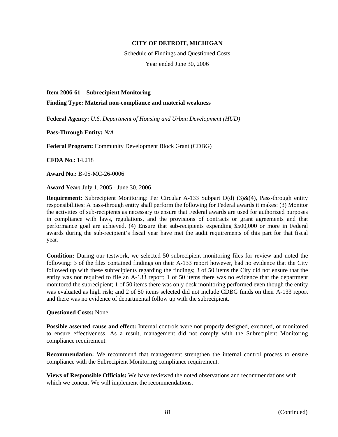Schedule of Findings and Questioned Costs Year ended June 30, 2006

### **Item 2006-61 – Subrecipient Monitoring**

**Finding Type: Material non-compliance and material weakness** 

**Federal Agency:** *U.S. Department of Housing and Urban Development (HUD)*

**Pass-Through Entity:** *N/A*

**Federal Program:** Community Development Block Grant (CDBG)

**CFDA No**.: 14.218

**Award No.:** B-05-MC-26-0006

**Award Year:** July 1, 2005 - June 30, 2006

**Requirement:** Subrecipient Monitoring: Per Circular A-133 Subpart D(d) (3)&(4), Pass-through entity responsibilities: A pass-through entity shall perform the following for Federal awards it makes: (3) Monitor the activities of sub-recipients as necessary to ensure that Federal awards are used for authorized purposes in compliance with laws, regulations, and the provisions of contracts or grant agreements and that performance goal are achieved. (4) Ensure that sub-recipients expending \$500,000 or more in Federal awards during the sub-recipient's fiscal year have met the audit requirements of this part for that fiscal year.

**Condition:** During our testwork, we selected 50 subrecipient monitoring files for review and noted the following: 3 of the files contained findings on their A-133 report however, had no evidence that the City followed up with these subrecipients regarding the findings; 3 of 50 items the City did not ensure that the entity was not required to file an A-133 report; 1 of 50 items there was no evidence that the department monitored the subrecipient; 1 of 50 items there was only desk monitoring performed even though the entity was evaluated as high risk; and 2 of 50 items selected did not include CDBG funds on their A-133 report and there was no evidence of departmental follow up with the subrecipient.

### **Questioned Costs:** None

**Possible asserted cause and effect:** Internal controls were not properly designed, executed, or monitored to ensure effectiveness. As a result, management did not comply with the Subrecipient Monitoring compliance requirement.

**Recommendation:** We recommend that management strengthen the internal control process to ensure compliance with the Subrecipient Monitoring compliance requirement.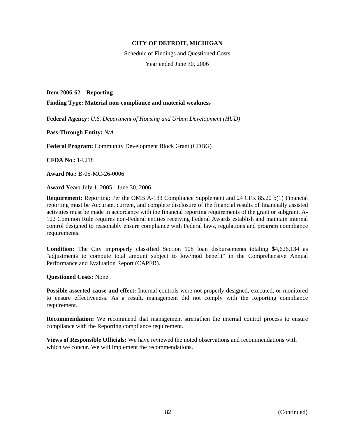Schedule of Findings and Questioned Costs Year ended June 30, 2006

**Item 2006-62 – Reporting** 

**Finding Type: Material non-compliance and material weakness** 

**Federal Agency:** *U.S. Department of Housing and Urban Development (HUD)*

**Pass-Through Entity:** *N/A*

**Federal Program:** Community Development Block Grant (CDBG)

**CFDA No**.: 14.218

**Award No.:** B-05-MC-26-0006

**Award Year:** July 1, 2005 - June 30, 2006

**Requirement:** Reporting: Per the OMB A-133 Compliance Supplement and 24 CFR 85.20 b(1) Financial reporting must be Accurate, current, and complete disclosure of the financial results of financially assisted activities must be made in accordance with the financial reporting requirements of the grant or subgrant. A-102 Common Rule requires non-Federal entities receiving Federal Awards establish and maintain internal control designed to reasonably ensure compliance with Federal laws, regulations and program compliance requirements.

**Condition:** The City improperly classified Section 108 loan disbursements totaling \$4,626,134 as "adjustments to compute total amount subject to low/mod benefit" in the Comprehensive Annual Performance and Evaluation Report (CAPER).

**Questioned Costs:** None

**Possible asserted cause and effect:** Internal controls were not properly designed, executed, or monitored to ensure effectiveness. As a result, management did not comply with the Reporting compliance requirement.

**Recommendation:** We recommend that management strengthen the internal control process to ensure compliance with the Reporting compliance requirement.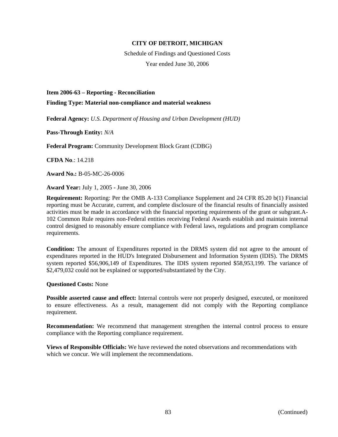Schedule of Findings and Questioned Costs Year ended June 30, 2006

**Item 2006-63 – Reporting - Reconciliation** 

**Finding Type: Material non-compliance and material weakness** 

**Federal Agency:** *U.S. Department of Housing and Urban Development (HUD)*

**Pass-Through Entity:** *N/A*

**Federal Program:** Community Development Block Grant (CDBG)

**CFDA No**.: 14.218

**Award No.:** B-05-MC-26-0006

**Award Year:** July 1, 2005 - June 30, 2006

**Requirement:** Reporting: Per the OMB A-133 Compliance Supplement and 24 CFR 85.20 b(1) Financial reporting must be Accurate, current, and complete disclosure of the financial results of financially assisted activities must be made in accordance with the financial reporting requirements of the grant or subgrant.A-102 Common Rule requires non-Federal entities receiving Federal Awards establish and maintain internal control designed to reasonably ensure compliance with Federal laws, regulations and program compliance requirements.

**Condition:** The amount of Expenditures reported in the DRMS system did not agree to the amount of expenditures reported in the HUD's Integrated Disbursement and Information System (IDIS). The DRMS system reported \$56,906,149 of Expenditures. The IDIS system reported \$58,953,199. The variance of \$2,479,032 could not be explained or supported/substantiated by the City.

**Questioned Costs:** None

**Possible asserted cause and effect:** Internal controls were not properly designed, executed, or monitored to ensure effectiveness. As a result, management did not comply with the Reporting compliance requirement.

**Recommendation:** We recommend that management strengthen the internal control process to ensure compliance with the Reporting compliance requirement.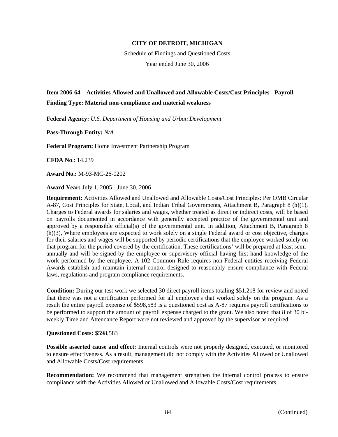Schedule of Findings and Questioned Costs Year ended June 30, 2006

# **Item 2006-64 – Activities Allowed and Unallowed and Allowable Costs/Cost Principles - Payroll Finding Type: Material non-compliance and material weakness**

**Federal Agency:** *U.S. Department of Housing and Urban Development*

**Pass-Through Entity:** *N/A*

**Federal Program:** Home Investment Partnership Program

**CFDA No**.: 14.239

**Award No.:** M-93-MC-26-0202

**Award Year:** July 1, 2005 - June 30, 2006

**Requirement:** Activities Allowed and Unallowed and Allowable Costs/Cost Principles: Per OMB Circular A-87, Cost Principles for State, Local, and Indian Tribal Governments, Attachment B, Paragraph 8 (h)(1), Charges to Federal awards for salaries and wages, whether treated as direct or indirect costs, will be based on payrolls documented in accordance with generally accepted practice of the governmental unit and approved by a responsible official(s) of the governmental unit. In addition, Attachment B, Paragraph 8 (h)(3), Where employees are expected to work solely on a single Federal award or cost objective, charges for their salaries and wages will be supported by periodic certifications that the employee worked solely on that program for the period covered by the certification. These certifications' will be prepared at least semiannually and will be signed by the employee or supervisory official having first hand knowledge of the work performed by the employee. A-102 Common Rule requires non-Federal entities receiving Federal Awards establish and maintain internal control designed to reasonably ensure compliance with Federal laws, regulations and program compliance requirements.

**Condition:** During our test work we selected 30 direct payroll items totaling \$51,218 for review and noted that there was not a certification performed for all employee's that worked solely on the program. As a result the entire payroll expense of \$598,583 is a questioned cost as A-87 requires payroll certifications to be performed to support the amount of payroll expense charged to the grant. We also noted that 8 of 30 biweekly Time and Attendance Report were not reviewed and approved by the supervisor as required.

### **Questioned Costs:** \$598,583

**Possible asserted cause and effect:** Internal controls were not properly designed, executed, or monitored to ensure effectiveness. As a result, management did not comply with the Activities Allowed or Unallowed and Allowable Costs/Cost requirements.

**Recommendation:** We recommend that management strengthen the internal control process to ensure compliance with the Activities Allowed or Unallowed and Allowable Costs/Cost requirements.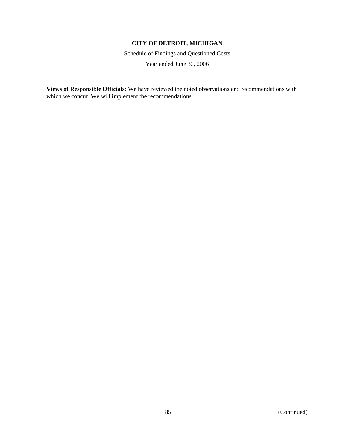Schedule of Findings and Questioned Costs Year ended June 30, 2006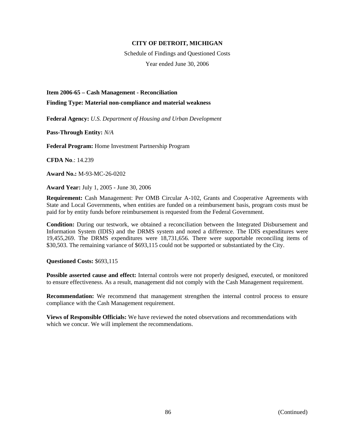Schedule of Findings and Questioned Costs Year ended June 30, 2006

**Item 2006-65 – Cash Management - Reconciliation** 

**Finding Type: Material non-compliance and material weakness** 

**Federal Agency:** *U.S. Department of Housing and Urban Development*

**Pass-Through Entity:** *N/A*

**Federal Program:** Home Investment Partnership Program

**CFDA No**.: 14.239

**Award No.:** M-93-MC-26-0202

**Award Year:** July 1, 2005 - June 30, 2006

**Requirement:** Cash Management: Per OMB Circular A-102, Grants and Cooperative Agreements with State and Local Governments, when entities are funded on a reimbursement basis, program costs must be paid for by entity funds before reimbursement is requested from the Federal Government.

**Condition:** During our testwork, we obtained a reconciliation between the Integrated Disbursement and Information System (IDIS) and the DRMS system and noted a difference. The IDIS expenditures were 19,455,269. The DRMS expenditures were 18,731,656. There were supportable reconciling items of \$30,503. The remaining variance of \$693,115 could not be supported or substantiated by the City.

**Questioned Costs:** \$693,115

**Possible asserted cause and effect:** Internal controls were not properly designed, executed, or monitored to ensure effectiveness. As a result, management did not comply with the Cash Management requirement.

**Recommendation:** We recommend that management strengthen the internal control process to ensure compliance with the Cash Management requirement.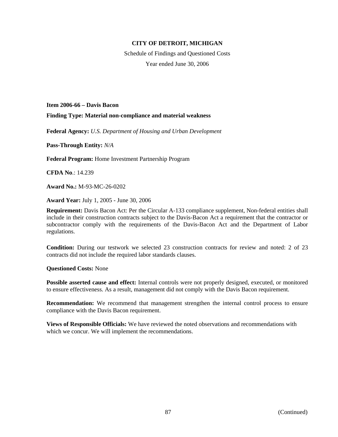Schedule of Findings and Questioned Costs Year ended June 30, 2006

**Item 2006-66 – Davis Bacon Finding Type: Material non-compliance and material weakness** 

**Federal Agency:** *U.S. Department of Housing and Urban Development*

**Pass-Through Entity:** *N/A*

**Federal Program:** Home Investment Partnership Program

**CFDA No**.: 14.239

**Award No.:** M-93-MC-26-0202

**Award Year:** July 1, 2005 - June 30, 2006

**Requirement:** Davis Bacon Act: Per the Circular A-133 compliance supplement, Non-federal entities shall include in their construction contracts subject to the Davis-Bacon Act a requirement that the contractor or subcontractor comply with the requirements of the Davis-Bacon Act and the Department of Labor regulations.

**Condition:** During our testwork we selected 23 construction contracts for review and noted: 2 of 23 contracts did not include the required labor standards clauses.

**Questioned Costs:** None

**Possible asserted cause and effect:** Internal controls were not properly designed, executed, or monitored to ensure effectiveness. As a result, management did not comply with the Davis Bacon requirement.

**Recommendation:** We recommend that management strengthen the internal control process to ensure compliance with the Davis Bacon requirement.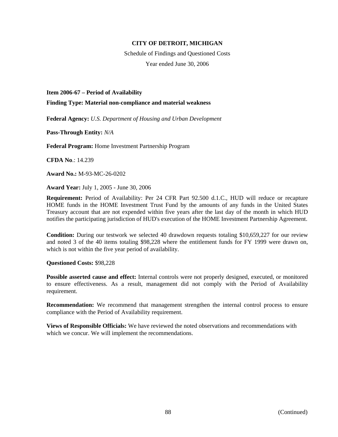Schedule of Findings and Questioned Costs Year ended June 30, 2006

**Item 2006-67 – Period of Availability** 

**Finding Type: Material non-compliance and material weakness** 

**Federal Agency:** *U.S. Department of Housing and Urban Development*

**Pass-Through Entity:** *N/A*

**Federal Program:** Home Investment Partnership Program

**CFDA No**.: 14.239

**Award No.:** M-93-MC-26-0202

**Award Year:** July 1, 2005 - June 30, 2006

**Requirement:** Period of Availability: Per 24 CFR Part 92.500 d.1.C., HUD will reduce or recapture HOME funds in the HOME Investment Trust Fund by the amounts of any funds in the United States Treasury account that are not expended within five years after the last day of the month in which HUD notifies the participating jurisdiction of HUD's execution of the HOME Investment Partnership Agreement.

**Condition:** During our testwork we selected 40 drawdown requests totaling \$10,659,227 for our review and noted 3 of the 40 items totaling \$98,228 where the entitlement funds for FY 1999 were drawn on, which is not within the five year period of availability.

**Questioned Costs:** \$98,228

**Possible asserted cause and effect:** Internal controls were not properly designed, executed, or monitored to ensure effectiveness. As a result, management did not comply with the Period of Availability requirement.

**Recommendation:** We recommend that management strengthen the internal control process to ensure compliance with the Period of Availability requirement.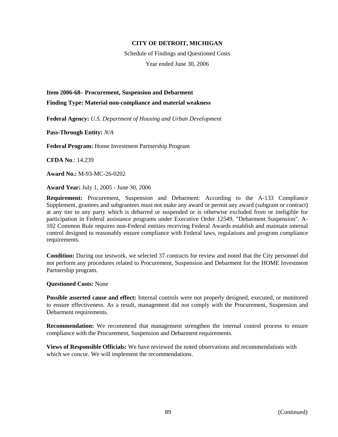Schedule of Findings and Questioned Costs Year ended June 30, 2006

**Item 2006-68– Procurement, Suspension and Debarment** 

**Finding Type: Material non-compliance and material weakness** 

**Federal Agency:** *U.S. Department of Housing and Urban Development*

**Pass-Through Entity:** *N/A*

**Federal Program:** Home Investment Partnership Program

**CFDA No**.: 14.239

**Award No.:** M-93-MC-26-0202

**Award Year:** July 1, 2005 - June 30, 2006

**Requirement:** Procurement, Suspension and Debarment: According to the A-133 Compliance Supplement, grantees and subgrantees must not make any award or permit any award (subgrant or contract) at any tier to any party which is debarred or suspended or is otherwise excluded from or ineligible for participation in Federal assistance programs under Executive Order 12549, "Debarment Suspension". A-102 Common Rule requires non-Federal entities receiving Federal Awards establish and maintain internal control designed to reasonably ensure compliance with Federal laws, regulations and program compliance requirements.

**Condition:** During our testwork, we selected 37 contracts for review and noted that the City personnel did not perform any procedures related to Procurement, Suspension and Debarment for the HOME Investment Partnership program.

**Questioned Costs:** None

**Possible asserted cause and effect:** Internal controls were not properly designed, executed, or monitored to ensure effectiveness. As a result, management did not comply with the Procurement, Suspension and Debarment requirements.

**Recommendation:** We recommend that management strengthen the internal control process to ensure compliance with the Procurement, Suspension and Debarment requirements.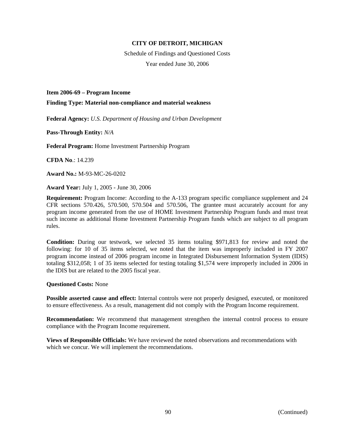Schedule of Findings and Questioned Costs Year ended June 30, 2006

**Item 2006-69 – Program Income** 

**Finding Type: Material non-compliance and material weakness** 

**Federal Agency:** *U.S. Department of Housing and Urban Development*

**Pass-Through Entity:** *N/A*

**Federal Program:** Home Investment Partnership Program

**CFDA No**.: 14.239

**Award No.:** M-93-MC-26-0202

**Award Year:** July 1, 2005 - June 30, 2006

**Requirement:** Program Income: According to the A-133 program specific compliance supplement and 24 CFR sections 570.426, 570.500, 570.504 and 570.506, The grantee must accurately account for any program income generated from the use of HOME Investment Partnership Program funds and must treat such income as additional Home Investment Partnership Program funds which are subject to all program rules.

**Condition:** During our testwork, we selected 35 items totaling \$971,813 for review and noted the following: for 10 of 35 items selected, we noted that the item was improperly included in FY 2007 program income instead of 2006 program income in Integrated Disbursement Information System (IDIS) totaling \$312,058; 1 of 35 items selected for testing totaling \$1,574 were improperly included in 2006 in the IDIS but are related to the 2005 fiscal year.

**Questioned Costs:** None

**Possible asserted cause and effect:** Internal controls were not properly designed, executed, or monitored to ensure effectiveness. As a result, management did not comply with the Program Income requirement.

**Recommendation:** We recommend that management strengthen the internal control process to ensure compliance with the Program Income requirement.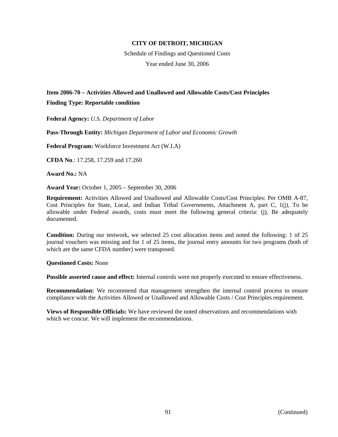Schedule of Findings and Questioned Costs Year ended June 30, 2006

# **Item 2006-70 – Activities Allowed and Unallowed and Allowable Costs/Cost Principles Finding Type: Reportable condition**

**Federal Agency:** *U.S. Department of Labor*

**Pass-Through Entity:** *Michigan Department of Labor and Economic Growth*

**Federal Program:** Workforce Investment Act (W.I.A)

**CFDA No**.: 17.258, 17.259 and 17.260

**Award No.:** NA

**Award Year:** October 1, 2005 – September 30, 2006

**Requirement:** Activities Allowed and Unallowed and Allowable Costs/Cost Principles: Per OMB A-87, Cost Principles for State, Local, and Indian Tribal Governments, Attachment A, part C, 1(j), To be allowable under Federal awards, costs must meet the following general criteria: (j), Be adequately documented.

**Condition:** During our testwork, we selected 25 cost allocation items and noted the following: 1 of 25 journal vouchers was missing and for 1 of 25 items, the journal entry amounts for two programs (both of which are the same CFDA number) were transposed.

**Questioned Costs:** None

**Possible asserted cause and effect:** Internal controls were not properly executed to ensure effectiveness.

**Recommendation:** We recommend that management strengthen the internal control process to ensure compliance with the Activities Allowed or Unallowed and Allowable Costs / Cost Principles requirement.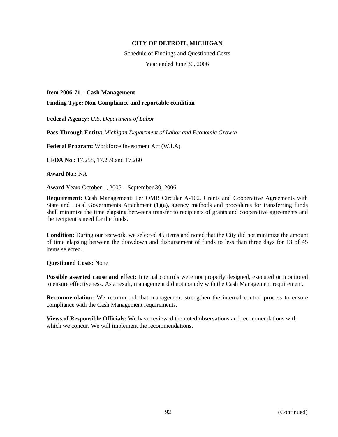Schedule of Findings and Questioned Costs Year ended June 30, 2006

**Item 2006-71 – Cash Management** 

**Finding Type: Non-Compliance and reportable condition** 

**Federal Agency:** *U.S. Department of Labor*

**Pass-Through Entity:** *Michigan Department of Labor and Economic Growth*

**Federal Program:** Workforce Investment Act (W.I.A)

**CFDA No**.: 17.258, 17.259 and 17.260

**Award No.:** NA

**Award Year:** October 1, 2005 – September 30, 2006

**Requirement:** Cash Management: Per OMB Circular A-102, Grants and Cooperative Agreements with State and Local Governments Attachment  $(1)(a)$ , agency methods and procedures for transferring funds shall minimize the time elapsing betweens transfer to recipients of grants and cooperative agreements and the recipient's need for the funds.

**Condition:** During our testwork, we selected 45 items and noted that the City did not minimize the amount of time elapsing between the drawdown and disbursement of funds to less than three days for 13 of 45 items selected.

**Questioned Costs:** None

**Possible asserted cause and effect:** Internal controls were not properly designed, executed or monitored to ensure effectiveness. As a result, management did not comply with the Cash Management requirement.

**Recommendation:** We recommend that management strengthen the internal control process to ensure compliance with the Cash Management requirements.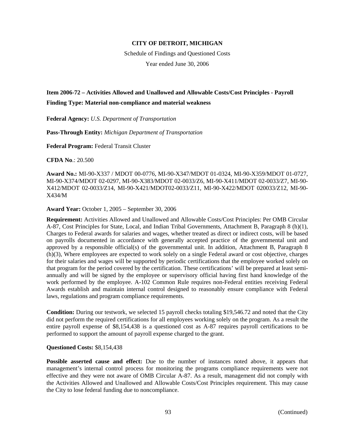Schedule of Findings and Questioned Costs Year ended June 30, 2006

# **Item 2006-72 – Activities Allowed and Unallowed and Allowable Costs/Cost Principles - Payroll Finding Type: Material non-compliance and material weakness**

**Federal Agency:** *U.S. Department of Transportation*

**Pass-Through Entity:** *Michigan Department of Transportation*

**Federal Program:** Federal Transit Cluster

**CFDA No**.: 20.500

**Award No.:** MI-90-X337 / MDOT 00-0776, MI-90-X347/MDOT 01-0324, MI-90-X359/MDOT 01-0727, MI-90-X374/MDOT 02-0297, MI-90-X383/MDOT 02-0033/Z6, MI-90-X411/MDOT 02-0033/Z7, MI-90- X412/MDOT 02-0033/Z14, MI-90-X421/MDOT02-0033/Z11, MI-90-X422/MDOT 020033/Z12, MI-90- X434/M

**Award Year:** October 1, 2005 – September 30, 2006

**Requirement:** Activities Allowed and Unallowed and Allowable Costs/Cost Principles: Per OMB Circular A-87, Cost Principles for State, Local, and Indian Tribal Governments, Attachment B, Paragraph 8 (h)(1), Charges to Federal awards for salaries and wages, whether treated as direct or indirect costs, will be based on payrolls documented in accordance with generally accepted practice of the governmental unit and approved by a responsible official(s) of the governmental unit. In addition, Attachment B, Paragraph 8 (h)(3), Where employees are expected to work solely on a single Federal award or cost objective, charges for their salaries and wages will be supported by periodic certifications that the employee worked solely on that program for the period covered by the certification. These certifications' will be prepared at least semiannually and will be signed by the employee or supervisory official having first hand knowledge of the work performed by the employee. A-102 Common Rule requires non-Federal entities receiving Federal Awards establish and maintain internal control designed to reasonably ensure compliance with Federal laws, regulations and program compliance requirements.

**Condition:** During our testwork, we selected 15 payroll checks totaling \$19,546.72 and noted that the City did not perform the required certifications for all employees working solely on the program. As a result the entire payroll expense of \$8,154,438 is a questioned cost as A-87 requires payroll certifications to be performed to support the amount of payroll expense charged to the grant.

## **Questioned Costs:** \$8,154,438

**Possible asserted cause and effect:** Due to the number of instances noted above, it appears that management's internal control process for monitoring the programs compliance requirements were not effective and they were not aware of OMB Circular A-87. As a result, management did not comply with the Activities Allowed and Unallowed and Allowable Costs/Cost Principles requirement. This may cause the City to lose federal funding due to noncompliance.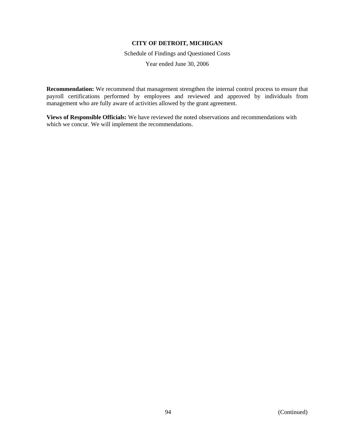Schedule of Findings and Questioned Costs

Year ended June 30, 2006

**Recommendation:** We recommend that management strengthen the internal control process to ensure that payroll certifications performed by employees and reviewed and approved by individuals from management who are fully aware of activities allowed by the grant agreement.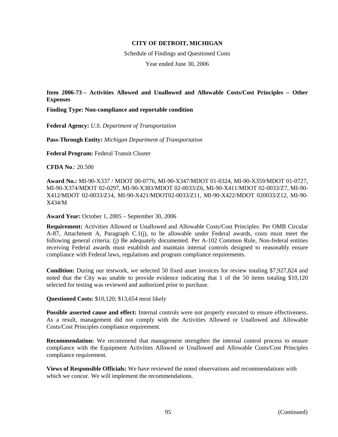Schedule of Findings and Questioned Costs Year ended June 30, 2006

**Item 2006-73 – Activities Allowed and Unallowed and Allowable Costs/Cost Principles – Other Expenses** 

**Finding Type: Non-compliance and reportable condition** 

**Federal Agency:** *U.S. Department of Transportation*

**Pass-Through Entity:** *Michigan Department of Transportation*

**Federal Program:** Federal Transit Cluster

**CFDA No**.: 20.500

**Award No.:** MI-90-X337 / MDOT 00-0776, MI-90-X347/MDOT 01-0324, MI-90-X359/MDOT 01-0727, MI-90-X374/MDOT 02-0297, MI-90-X383/MDOT 02-0033/Z6, MI-90-X411/MDOT 02-0033/Z7, MI-90- X412/MDOT 02-0033/Z14, MI-90-X421/MDOT02-0033/Z11, MI-90-X422/MDOT 020033/Z12, MI-90- X434/M

**Award Year:** October 1, 2005 – September 30, 2006

**Requirement:** Activities Allowed or Unallowed and Allowable Costs/Cost Principles: Per OMB Circular A-87, Attachment A, Paragraph C.1(j), to be allowable under Federal awards, costs must meet the following general criteria: (j) Be adequately documented. Per A-102 Common Rule, Non-federal entities receiving Federal awards must establish and maintain internal controls designed to reasonably ensure compliance with Federal laws, regulations and program compliance requirements.

**Condition:** During our testwork, we selected 50 fixed asset invoices for review totaling \$7,927,824 and noted that the City was unable to provide evidence indicating that 1 of the 50 items totaling \$10,120 selected for testing was reviewed and authorized prior to purchase.

**Questioned Costs:** \$10,120; \$13,654 most likely

**Possible asserted cause and effect:** Internal controls were not properly executed to ensure effectiveness. As a result, management did not comply with the Activities Allowed or Unallowed and Allowable Costs/Cost Principles compliance requirement.

**Recommendation:** We recommend that management strengthen the internal control process to ensure compliance with the Equipment Activities Allowed or Unallowed and Allowable Costs/Cost Principles compliance requirement.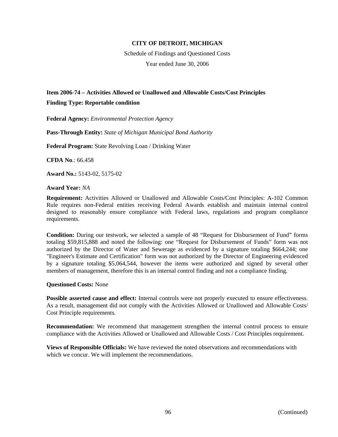Schedule of Findings and Questioned Costs Year ended June 30, 2006

# **Item 2006-74 – Activities Allowed or Unallowed and Allowable Costs/Cost Principles**

# **Finding Type: Reportable condition**

**Federal Agency:** *Environmental Protection Agency*

**Pass-Through Entity:** *State of Michigan Municipal Bond Authority*

**Federal Program:** State Revolving Loan / Drinking Water

**CFDA No**.: 66.458

**Award No.:** 5143-02, 5175-02

## **Award Year:** *NA*

**Requirement:** Activities Allowed or Unallowed and Allowable Costs/Cost Principles: A-102 Common Rule requires non-Federal entities receiving Federal Awards establish and maintain internal control designed to reasonably ensure compliance with Federal laws, regulations and program compliance requirements.

**Condition:** During our testwork, we selected a sample of 48 "Request for Disbursement of Fund" forms totaling \$59,815,888 and noted the following: one "Request for Disbursement of Funds" form was not authorized by the Director of Water and Sewerage as evidenced by a signature totaling \$664,244; one "Engineer's Estimate and Certification" form was not authorized by the Director of Engineering evidenced by a signature totaling \$5,064,544, however the items were authorized and signed by several other members of management, therefore this is an internal control finding and not a compliance finding.

## **Questioned Costs:** None

**Possible asserted cause and effect:** Internal controls were not properly executed to ensure effectiveness. As a result, management did not comply with the Activities Allowed or Unallowed and Allowable Costs/ Cost Principle requirements.

**Recommendation:** We recommend that management strengthen the internal control process to ensure compliance with the Activities Allowed or Unallowed and Allowable Costs / Cost Principles requirement.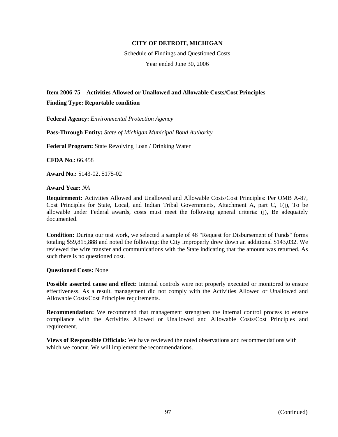Schedule of Findings and Questioned Costs Year ended June 30, 2006

# **Item 2006-75 – Activities Allowed or Unallowed and Allowable Costs/Cost Principles**

# **Finding Type: Reportable condition**

**Federal Agency:** *Environmental Protection Agency*

**Pass-Through Entity:** *State of Michigan Municipal Bond Authority*

**Federal Program:** State Revolving Loan / Drinking Water

**CFDA No**.: 66.458

**Award No.:** 5143-02, 5175-02

**Award Year:** *NA*

**Requirement:** Activities Allowed and Unallowed and Allowable Costs/Cost Principles: Per OMB A-87, Cost Principles for State, Local, and Indian Tribal Governments, Attachment A, part C, 1(j), To be allowable under Federal awards, costs must meet the following general criteria: (j), Be adequately documented.

**Condition:** During our test work, we selected a sample of 48 "Request for Disbursement of Funds" forms totaling \$59,815,888 and noted the following: the City improperly drew down an additional \$143,032. We reviewed the wire transfer and communications with the State indicating that the amount was returned. As such there is no questioned cost.

## **Questioned Costs:** None

**Possible asserted cause and effect:** Internal controls were not properly executed or monitored to ensure effectiveness. As a result, management did not comply with the Activities Allowed or Unallowed and Allowable Costs/Cost Principles requirements.

**Recommendation:** We recommend that management strengthen the internal control process to ensure compliance with the Activities Allowed or Unallowed and Allowable Costs/Cost Principles and requirement.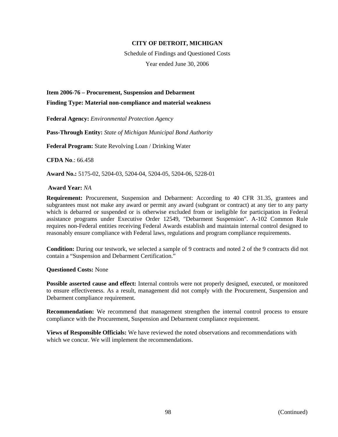Schedule of Findings and Questioned Costs Year ended June 30, 2006

**Item 2006-76 – Procurement, Suspension and Debarment** 

**Finding Type: Material non-compliance and material weakness** 

**Federal Agency:** *Environmental Protection Agency*

**Pass-Through Entity:** *State of Michigan Municipal Bond Authority*

**Federal Program:** State Revolving Loan / Drinking Water

**CFDA No**.: 66.458

**Award No.:** 5175-02, 5204-03, 5204-04, 5204-05, 5204-06, 5228-01

 **Award Year:** *NA*

**Requirement:** Procurement, Suspension and Debarment: According to 40 CFR 31.35, grantees and subgrantees must not make any award or permit any award (subgrant or contract) at any tier to any party which is debarred or suspended or is otherwise excluded from or ineligible for participation in Federal assistance programs under Executive Order 12549, "Debarment Suspension". A-102 Common Rule requires non-Federal entities receiving Federal Awards establish and maintain internal control designed to reasonably ensure compliance with Federal laws, regulations and program compliance requirements.

**Condition:** During our testwork, we selected a sample of 9 contracts and noted 2 of the 9 contracts did not contain a "Suspension and Debarment Certification."

**Questioned Costs:** None

**Possible asserted cause and effect:** Internal controls were not properly designed, executed, or monitored to ensure effectiveness. As a result, management did not comply with the Procurement, Suspension and Debarment compliance requirement.

**Recommendation:** We recommend that management strengthen the internal control process to ensure compliance with the Procurement, Suspension and Debarment compliance requirement.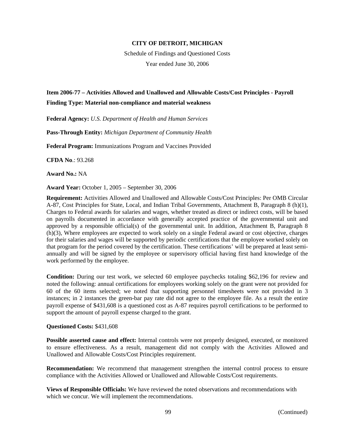Schedule of Findings and Questioned Costs Year ended June 30, 2006

# **Item 2006-77 – Activities Allowed and Unallowed and Allowable Costs/Cost Principles - Payroll Finding Type: Material non-compliance and material weakness**

**Federal Agency:** *U.S. Department of Health and Human Services*

**Pass-Through Entity:** *Michigan Department of Community Health*

**Federal Program:** Immunizations Program and Vaccines Provided

**CFDA No**.: 93.268

**Award No.:** NA

**Award Year:** October 1, 2005 – September 30, 2006

**Requirement:** Activities Allowed and Unallowed and Allowable Costs/Cost Principles: Per OMB Circular A-87, Cost Principles for State, Local, and Indian Tribal Governments, Attachment B, Paragraph 8 (h)(1), Charges to Federal awards for salaries and wages, whether treated as direct or indirect costs, will be based on payrolls documented in accordance with generally accepted practice of the governmental unit and approved by a responsible official(s) of the governmental unit. In addition, Attachment B, Paragraph 8 (h)(3), Where employees are expected to work solely on a single Federal award or cost objective, charges for their salaries and wages will be supported by periodic certifications that the employee worked solely on that program for the period covered by the certification. These certifications' will be prepared at least semiannually and will be signed by the employee or supervisory official having first hand knowledge of the work performed by the employee.

**Condition:** During our test work, we selected 60 employee paychecks totaling \$62,196 for review and noted the following: annual certifications for employees working solely on the grant were not provided for 60 of the 60 items selected; we noted that supporting personnel timesheets were not provided in 3 instances; in 2 instances the green-bar pay rate did not agree to the employee file. As a result the entire payroll expense of \$431,608 is a questioned cost as A-87 requires payroll certifications to be performed to support the amount of payroll expense charged to the grant.

### **Questioned Costs:** \$431,608

**Possible asserted cause and effect:** Internal controls were not properly designed, executed, or monitored to ensure effectiveness. As a result, management did not comply with the Activities Allowed and Unallowed and Allowable Costs/Cost Principles requirement.

**Recommendation:** We recommend that management strengthen the internal control process to ensure compliance with the Activities Allowed or Unallowed and Allowable Costs/Cost requirements.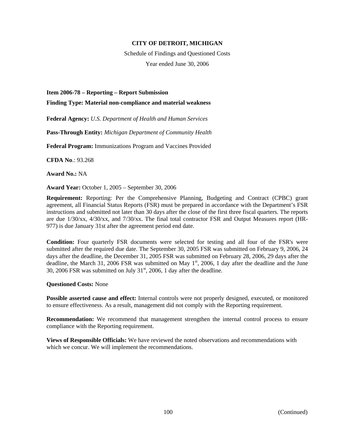Schedule of Findings and Questioned Costs Year ended June 30, 2006

**Item 2006-78 – Reporting – Report Submission** 

**Finding Type: Material non-compliance and material weakness** 

**Federal Agency:** *U.S. Department of Health and Human Services*

**Pass-Through Entity:** *Michigan Department of Community Health*

**Federal Program:** Immunizations Program and Vaccines Provided

**CFDA No**.: 93.268

**Award No.:** NA

**Award Year:** October 1, 2005 – September 30, 2006

**Requirement:** Reporting: Per the Comprehensive Planning, Budgeting and Contract (CPBC) grant agreement, all Financial Status Reports (FSR) must be prepared in accordance with the Department's FSR instructions and submitted not later than 30 days after the close of the first three fiscal quarters. The reports are due 1/30/xx, 4/30/xx, and 7/30/xx. The final total contractor FSR and Output Measures report (HR-977) is due January 31st after the agreement period end date.

**Condition:** Four quarterly FSR documents were selected for testing and all four of the FSR's were submitted after the required due date. The September 30, 2005 FSR was submitted on February 9, 2006, 24 days after the deadline, the December 31, 2005 FSR was submitted on February 28, 2006, 29 days after the deadline, the March 31, 2006 FSR was submitted on May  $1<sup>st</sup>$ , 2006, 1 day after the deadline and the June 30, 2006 FSR was submitted on July  $31<sup>st</sup>$ , 2006, 1 day after the deadline.

**Questioned Costs:** None

**Possible asserted cause and effect:** Internal controls were not properly designed, executed, or monitored to ensure effectiveness. As a result, management did not comply with the Reporting requirement.

**Recommendation:** We recommend that management strengthen the internal control process to ensure compliance with the Reporting requirement.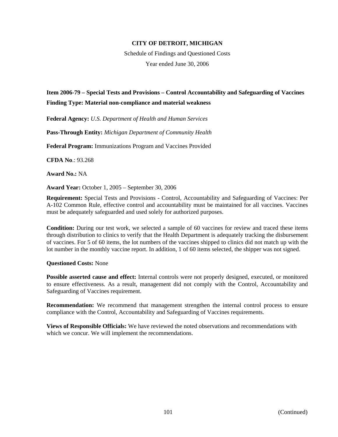Schedule of Findings and Questioned Costs Year ended June 30, 2006

# **Item 2006-79 – Special Tests and Provisions – Control Accountability and Safeguarding of Vaccines Finding Type: Material non-compliance and material weakness**

**Federal Agency:** *U.S. Department of Health and Human Services*

**Pass-Through Entity:** *Michigan Department of Community Health*

**Federal Program:** Immunizations Program and Vaccines Provided

**CFDA No**.: 93.268

**Award No.:** NA

**Award Year:** October 1, 2005 – September 30, 2006

**Requirement:** Special Tests and Provisions - Control, Accountability and Safeguarding of Vaccines: Per A-102 Common Rule, effective control and accountability must be maintained for all vaccines. Vaccines must be adequately safeguarded and used solely for authorized purposes.

**Condition:** During our test work, we selected a sample of 60 vaccines for review and traced these items through distribution to clinics to verify that the Health Department is adequately tracking the disbursement of vaccines. For 5 of 60 items, the lot numbers of the vaccines shipped to clinics did not match up with the lot number in the monthly vaccine report. In addition, 1 of 60 items selected, the shipper was not signed.

### **Questioned Costs:** None

**Possible asserted cause and effect:** Internal controls were not properly designed, executed, or monitored to ensure effectiveness. As a result, management did not comply with the Control, Accountability and Safeguarding of Vaccines requirement.

**Recommendation:** We recommend that management strengthen the internal control process to ensure compliance with the Control, Accountability and Safeguarding of Vaccines requirements.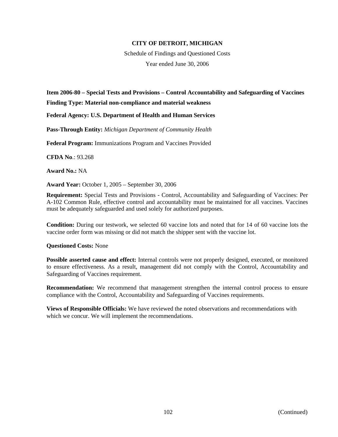Schedule of Findings and Questioned Costs Year ended June 30, 2006

# **Item 2006-80 – Special Tests and Provisions – Control Accountability and Safeguarding of Vaccines Finding Type: Material non-compliance and material weakness**

**Federal Agency: U.S. Department of Health and Human Services** 

**Pass-Through Entity:** *Michigan Department of Community Health*

**Federal Program:** Immunizations Program and Vaccines Provided

**CFDA No**.: 93.268

**Award No.:** NA

**Award Year:** October 1, 2005 – September 30, 2006

**Requirement:** Special Tests and Provisions - Control, Accountability and Safeguarding of Vaccines: Per A-102 Common Rule, effective control and accountability must be maintained for all vaccines. Vaccines must be adequately safeguarded and used solely for authorized purposes.

**Condition:** During our testwork, we selected 60 vaccine lots and noted that for 14 of 60 vaccine lots the vaccine order form was missing or did not match the shipper sent with the vaccine lot.

**Questioned Costs:** None

**Possible asserted cause and effect:** Internal controls were not properly designed, executed, or monitored to ensure effectiveness. As a result, management did not comply with the Control, Accountability and Safeguarding of Vaccines requirement.

**Recommendation:** We recommend that management strengthen the internal control process to ensure compliance with the Control, Accountability and Safeguarding of Vaccines requirements.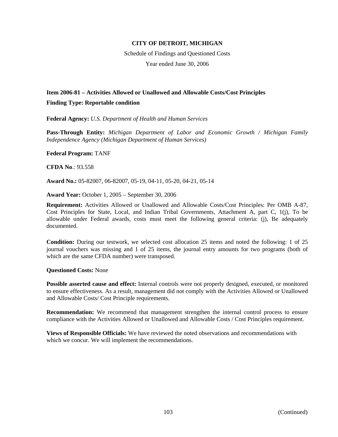Schedule of Findings and Questioned Costs Year ended June 30, 2006

# **Item 2006-81 – Activities Allowed or Unallowed and Allowable Costs/Cost Principles**

## **Finding Type: Reportable condition**

**Federal Agency:** *U.S. Department of Health and Human Services*

**Pass-Through Entity:** *Michigan Department of Labor and Economic Growth / Michigan Family Independence Agency (Michigan Department of Human Services)*

### **Federal Program:** TANF

**CFDA No**.: 93.558

**Award No.:** 05-82007, 06-82007, 05-19, 04-11, 05-20, 04-21, 05-14

**Award Year:** October 1, 2005 – September 30, 2006

**Requirement:** Activities Allowed or Unallowed and Allowable Costs/Cost Principles: Per OMB A-87, Cost Principles for State, Local, and Indian Tribal Governments, Attachment A, part C, 1(j), To be allowable under Federal awards, costs must meet the following general criteria: (j), Be adequately documented.

**Condition:** During our testwork, we selected cost allocation 25 items and noted the following: 1 of 25 journal vouchers was missing and 1 of 25 items, the journal entry amounts for two programs (both of which are the same CFDA number) were transposed.

### **Questioned Costs:** None

**Possible asserted cause and effect:** Internal controls were not properly designed, executed, or monitored to ensure effectiveness. As a result, management did not comply with the Activities Allowed or Unallowed and Allowable Costs/ Cost Principle requirements.

**Recommendation:** We recommend that management strengthen the internal control process to ensure compliance with the Activities Allowed or Unallowed and Allowable Costs / Cost Principles requirement.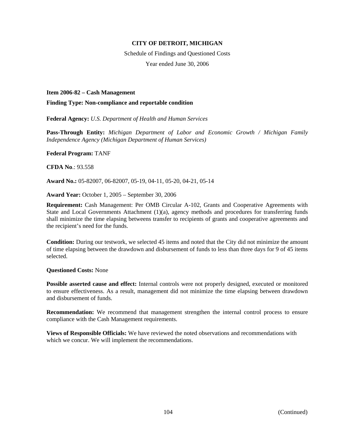Schedule of Findings and Questioned Costs Year ended June 30, 2006

### **Item 2006-82 – Cash Management**

### **Finding Type: Non-compliance and reportable condition**

**Federal Agency:** *U.S. Department of Health and Human Services*

**Pass-Through Entity:** *Michigan Department of Labor and Economic Growth / Michigan Family Independence Agency (Michigan Department of Human Services)*

#### **Federal Program:** TANF

**CFDA No**.: 93.558

**Award No.:** 05-82007, 06-82007, 05-19, 04-11, 05-20, 04-21, 05-14

**Award Year:** October 1, 2005 – September 30, 2006

**Requirement:** Cash Management: Per OMB Circular A-102, Grants and Cooperative Agreements with State and Local Governments Attachment (1)(a), agency methods and procedures for transferring funds shall minimize the time elapsing betweens transfer to recipients of grants and cooperative agreements and the recipient's need for the funds.

**Condition:** During our testwork, we selected 45 items and noted that the City did not minimize the amount of time elapsing between the drawdown and disbursement of funds to less than three days for 9 of 45 items selected.

#### **Questioned Costs:** None

**Possible asserted cause and effect:** Internal controls were not properly designed, executed or monitored to ensure effectiveness. As a result, management did not minimize the time elapsing between drawdown and disbursement of funds.

**Recommendation:** We recommend that management strengthen the internal control process to ensure compliance with the Cash Management requirements.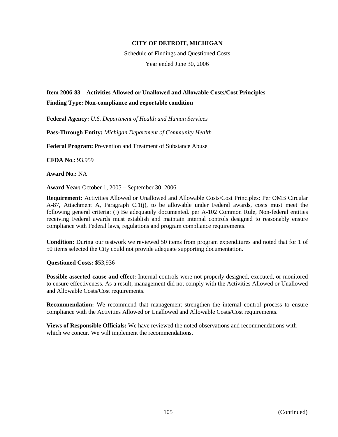Schedule of Findings and Questioned Costs Year ended June 30, 2006

# **Item 2006-83 – Activities Allowed or Unallowed and Allowable Costs/Cost Principles Finding Type: Non-compliance and reportable condition**

**Federal Agency:** *U.S. Department of Health and Human Services*

**Pass-Through Entity:** *Michigan Department of Community Health*

**Federal Program:** Prevention and Treatment of Substance Abuse

**CFDA No**.: 93.959

**Award No.:** NA

**Award Year:** October 1, 2005 – September 30, 2006

**Requirement:** Activities Allowed or Unallowed and Allowable Costs/Cost Principles: Per OMB Circular A-87, Attachment A, Paragraph C.1(j), to be allowable under Federal awards, costs must meet the following general criteria: (j) Be adequately documented. per A-102 Common Rule, Non-federal entities receiving Federal awards must establish and maintain internal controls designed to reasonably ensure compliance with Federal laws, regulations and program compliance requirements.

**Condition:** During our testwork we reviewed 50 items from program expenditures and noted that for 1 of 50 items selected the City could not provide adequate supporting documentation.

**Questioned Costs:** \$53,936

**Possible asserted cause and effect:** Internal controls were not properly designed, executed, or monitored to ensure effectiveness. As a result, management did not comply with the Activities Allowed or Unallowed and Allowable Costs/Cost requirements.

**Recommendation:** We recommend that management strengthen the internal control process to ensure compliance with the Activities Allowed or Unallowed and Allowable Costs/Cost requirements.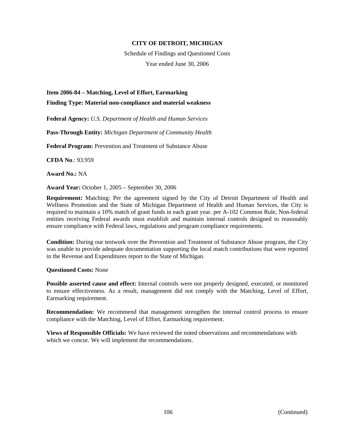Schedule of Findings and Questioned Costs Year ended June 30, 2006

**Item 2006-84 – Matching, Level of Effort, Earmarking** 

**Finding Type: Material non-compliance and material weakness** 

**Federal Agency:** *U.S. Department of Health and Human Services* 

**Pass-Through Entity:** *Michigan Department of Community Health*

**Federal Program:** Prevention and Treatment of Substance Abuse

**CFDA No**.: 93.959

**Award No.:** NA

**Award Year:** October 1, 2005 – September 30, 2006

**Requirement:** Matching: Per the agreement signed by the City of Detroit Department of Health and Wellness Promotion and the State of Michigan Department of Health and Human Services, the City is required to maintain a 10% match of grant funds in each grant year. per A-102 Common Rule, Non-federal entities receiving Federal awards must establish and maintain internal controls designed to reasonably ensure compliance with Federal laws, regulations and program compliance requirements.

**Condition:** During our testwork over the Prevention and Treatment of Substance Abuse program, the City was unable to provide adequate documentation supporting the local match contributions that were reported in the Revenue and Expenditures report to the State of Michigan.

**Questioned Costs:** None

**Possible asserted cause and effect:** Internal controls were not properly designed, executed, or monitored to ensure effectiveness. As a result, management did not comply with the Matching, Level of Effort, Earmarking requirement.

**Recommendation:** We recommend that management strengthen the internal control process to ensure compliance with the Matching, Level of Effort, Earmarking requirement.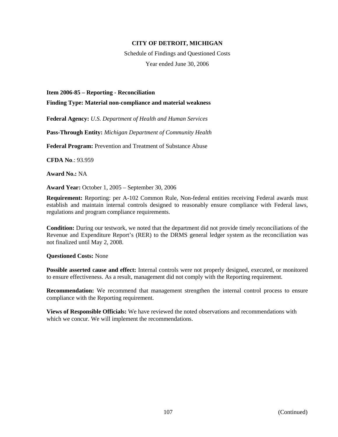Schedule of Findings and Questioned Costs Year ended June 30, 2006

#### **Item 2006-85 – Reporting - Reconciliation**

**Finding Type: Material non-compliance and material weakness** 

**Federal Agency:** *U.S. Department of Health and Human Services*

**Pass-Through Entity:** *Michigan Department of Community Health*

**Federal Program:** Prevention and Treatment of Substance Abuse

**CFDA No**.: 93.959

**Award No.:** NA

**Award Year:** October 1, 2005 – September 30, 2006

**Requirement:** Reporting: per A-102 Common Rule, Non-federal entities receiving Federal awards must establish and maintain internal controls designed to reasonably ensure compliance with Federal laws, regulations and program compliance requirements.

**Condition:** During our testwork, we noted that the department did not provide timely reconciliations of the Revenue and Expenditure Report's (RER) to the DRMS general ledger system as the reconciliation was not finalized until May 2, 2008.

**Questioned Costs:** None

**Possible asserted cause and effect:** Internal controls were not properly designed, executed, or monitored to ensure effectiveness. As a result, management did not comply with the Reporting requirement.

**Recommendation:** We recommend that management strengthen the internal control process to ensure compliance with the Reporting requirement.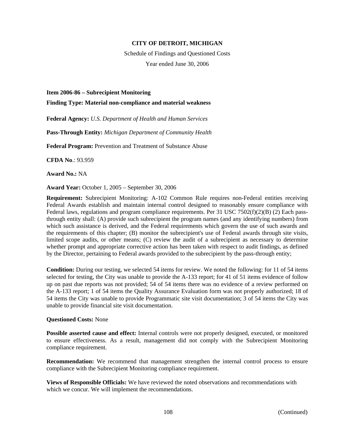Schedule of Findings and Questioned Costs Year ended June 30, 2006

#### **Item 2006-86 – Subrecipient Monitoring**

**Finding Type: Material non-compliance and material weakness** 

**Federal Agency:** *U.S. Department of Health and Human Services*

**Pass-Through Entity:** *Michigan Department of Community Health*

**Federal Program:** Prevention and Treatment of Substance Abuse

**CFDA No**.: 93.959

**Award No.:** NA

**Award Year:** October 1, 2005 – September 30, 2006

**Requirement:** Subrecipient Monitoring: A-102 Common Rule requires non-Federal entities receiving Federal Awards establish and maintain internal control designed to reasonably ensure compliance with Federal laws, regulations and program compliance requirements. Per 31 USC 7502(f)(2)(B) (2) Each passthrough entity shall: (A) provide such subrecipient the program names (and any identifying numbers) from which such assistance is derived, and the Federal requirements which govern the use of such awards and the requirements of this chapter; (B) monitor the subrecipient's use of Federal awards through site visits, limited scope audits, or other means; (C) review the audit of a subrecipient as necessary to determine whether prompt and appropriate corrective action has been taken with respect to audit findings, as defined by the Director, pertaining to Federal awards provided to the subrecipient by the pass-through entity;

**Condition:** During our testing, we selected 54 items for review. We noted the following: for 11 of 54 items selected for testing, the City was unable to provide the A-133 report; for 41 of 51 items evidence of follow up on past due reports was not provided; 54 of 54 items there was no evidence of a review performed on the A-133 report; 1 of 54 items the Quality Assurance Evaluation form was not properly authorized; 18 of 54 items the City was unable to provide Programmatic site visit documentation; 3 of 54 items the City was unable to provide financial site visit documentation.

### **Questioned Costs:** None

**Possible asserted cause and effect:** Internal controls were not properly designed, executed, or monitored to ensure effectiveness. As a result, management did not comply with the Subrecipient Monitoring compliance requirement.

**Recommendation:** We recommend that management strengthen the internal control process to ensure compliance with the Subrecipient Monitoring compliance requirement.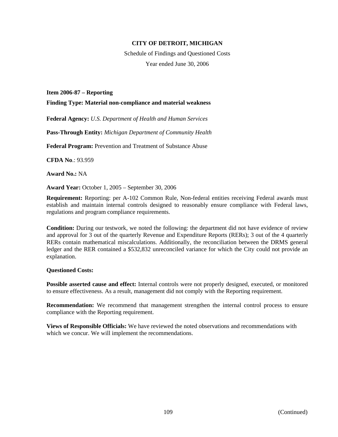Schedule of Findings and Questioned Costs Year ended June 30, 2006

#### **Item 2006-87 – Reporting**

**Finding Type: Material non-compliance and material weakness** 

**Federal Agency:** *U.S. Department of Health and Human Services*

**Pass-Through Entity:** *Michigan Department of Community Health*

**Federal Program:** Prevention and Treatment of Substance Abuse

**CFDA No**.: 93.959

**Award No.:** NA

**Award Year:** October 1, 2005 – September 30, 2006

**Requirement:** Reporting: per A-102 Common Rule, Non-federal entities receiving Federal awards must establish and maintain internal controls designed to reasonably ensure compliance with Federal laws, regulations and program compliance requirements.

**Condition:** During our testwork, we noted the following: the department did not have evidence of review and approval for 3 out of the quarterly Revenue and Expenditure Reports (RERs); 3 out of the 4 quarterly RERs contain mathematical miscalculations. Additionally, the reconciliation between the DRMS general ledger and the RER contained a \$532,832 unreconciled variance for which the City could not provide an explanation.

### **Questioned Costs:**

**Possible asserted cause and effect:** Internal controls were not properly designed, executed, or monitored to ensure effectiveness. As a result, management did not comply with the Reporting requirement.

**Recommendation:** We recommend that management strengthen the internal control process to ensure compliance with the Reporting requirement.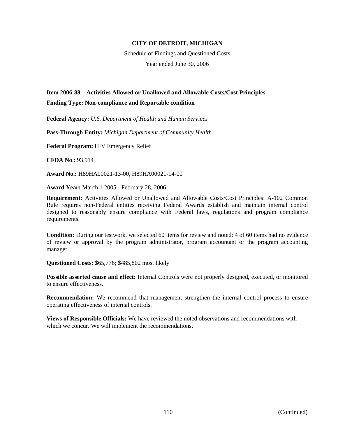Schedule of Findings and Questioned Costs Year ended June 30, 2006

# **Item 2006-88 – Activities Allowed or Unallowed and Allowable Costs/Cost Principles Finding Type: Non-compliance and Reportable condition**

**Federal Agency:** *U.S. Department of Health and Human Services*

**Pass-Through Entity:** *Michigan Department of Community Health*

**Federal Program:** HIV Emergency Relief

**CFDA No**.: 93.914

**Award No.:** H89HA00021-13-00, H89HA00021-14-00

**Award Year:** March 1 2005 - February 28, 2006

**Requirement:** Activities Allowed or Unallowed and Allowable Costs/Cost Principles: A-102 Common Rule requires non-Federal entities receiving Federal Awards establish and maintain internal control designed to reasonably ensure compliance with Federal laws, regulations and program compliance requirements.

**Condition:** During our testwork, we selected 60 items for review and noted: 4 of 60 items had no evidence of review or approval by the program administrator, program accountant or the program accounting manager.

**Questioned Costs:** \$65,776; \$485,802 most likely

**Possible asserted cause and effect:** Internal Controls were not properly designed, executed, or monitored to ensure effectiveness.

**Recommendation:** We recommend that management strengthen the internal control process to ensure operating effectiveness of internal controls.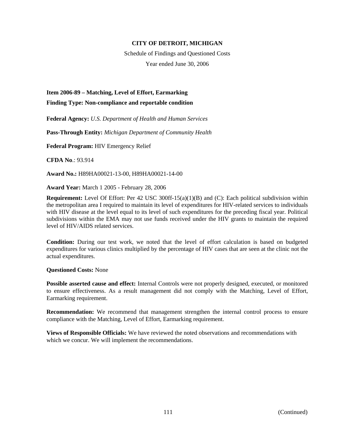Schedule of Findings and Questioned Costs Year ended June 30, 2006

**Item 2006-89 – Matching, Level of Effort, Earmarking** 

**Finding Type: Non-compliance and reportable condition** 

**Federal Agency:** *U.S. Department of Health and Human Services*

**Pass-Through Entity:** *Michigan Department of Community Health*

**Federal Program:** HIV Emergency Relief

**CFDA No**.: 93.914

**Award No.:** H89HA00021-13-00, H89HA00021-14-00

**Award Year:** March 1 2005 - February 28, 2006

**Requirement:** Level Of Effort: Per 42 USC 300ff-15(a)(1)(B) and (C): Each political subdivision within the metropolitan area I required to maintain its level of expenditures for HIV-related services to individuals with HIV disease at the level equal to its level of such expenditures for the preceding fiscal year. Political subdivisions within the EMA may not use funds received under the HIV grants to maintain the required level of HIV/AIDS related services.

**Condition:** During our test work, we noted that the level of effort calculation is based on budgeted expenditures for various clinics multiplied by the percentage of HIV cases that are seen at the clinic not the actual expenditures.

**Questioned Costs:** None

**Possible asserted cause and effect:** Internal Controls were not properly designed, executed, or monitored to ensure effectiveness. As a result management did not comply with the Matching, Level of Effort, Earmarking requirement.

**Recommendation:** We recommend that management strengthen the internal control process to ensure compliance with the Matching, Level of Effort, Earmarking requirement.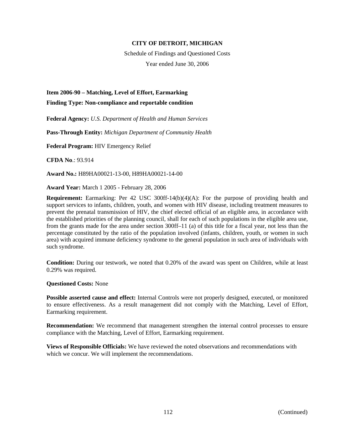Schedule of Findings and Questioned Costs Year ended June 30, 2006

**Item 2006-90 – Matching, Level of Effort, Earmarking** 

**Finding Type: Non-compliance and reportable condition** 

**Federal Agency:** *U.S. Department of Health and Human Services*

**Pass-Through Entity:** *Michigan Department of Community Health*

**Federal Program:** HIV Emergency Relief

**CFDA No**.: 93.914

**Award No.:** H89HA00021-13-00, H89HA00021-14-00

**Award Year:** March 1 2005 - February 28, 2006

**Requirement:** Earmarking: Per 42 USC 300ff-14(b)(4)(A): For the purpose of providing health and support services to infants, children, youth, and women with HIV disease, including treatment measures to prevent the prenatal transmission of HIV, the chief elected official of an eligible area, in accordance with the established priorities of the planning council, shall for each of such populations in the eligible area use, from the grants made for the area under section 300ff–11 (a) of this title for a fiscal year, not less than the percentage constituted by the ratio of the population involved (infants, children, youth, or women in such area) with acquired immune deficiency syndrome to the general population in such area of individuals with such syndrome.

**Condition:** During our testwork, we noted that 0.20% of the award was spent on Children, while at least 0.29% was required.

**Questioned Costs:** None

**Possible asserted cause and effect:** Internal Controls were not properly designed, executed, or monitored to ensure effectiveness. As a result management did not comply with the Matching, Level of Effort, Earmarking requirement.

**Recommendation:** We recommend that management strengthen the internal control processes to ensure compliance with the Matching, Level of Effort, Earmarking requirement.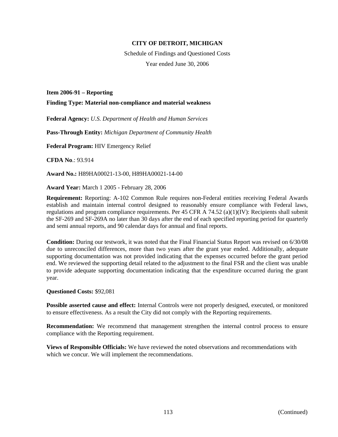Schedule of Findings and Questioned Costs Year ended June 30, 2006

**Item 2006-91 – Reporting** 

**Finding Type: Material non-compliance and material weakness** 

**Federal Agency:** *U.S. Department of Health and Human Services*

**Pass-Through Entity:** *Michigan Department of Community Health*

**Federal Program:** HIV Emergency Relief

**CFDA No**.: 93.914

**Award No.:** H89HA00021-13-00, H89HA00021-14-00

**Award Year:** March 1 2005 - February 28, 2006

**Requirement:** Reporting: A-102 Common Rule requires non-Federal entities receiving Federal Awards establish and maintain internal control designed to reasonably ensure compliance with Federal laws, regulations and program compliance requirements. Per 45 CFR A 74.52 (a)(1)(IV): Recipients shall submit the SF-269 and SF-269A no later than 30 days after the end of each specified reporting period for quarterly and semi annual reports, and 90 calendar days for annual and final reports.

**Condition:** During our testwork, it was noted that the Final Financial Status Report was revised on 6/30/08 due to unreconciled differences, more than two years after the grant year ended. Additionally, adequate supporting documentation was not provided indicating that the expenses occurred before the grant period end. We reviewed the supporting detail related to the adjustment to the final FSR and the client was unable to provide adequate supporting documentation indicating that the expenditure occurred during the grant year.

**Questioned Costs:** \$92,081

**Possible asserted cause and effect:** Internal Controls were not properly designed, executed, or monitored to ensure effectiveness. As a result the City did not comply with the Reporting requirements.

**Recommendation:** We recommend that management strengthen the internal control process to ensure compliance with the Reporting requirement.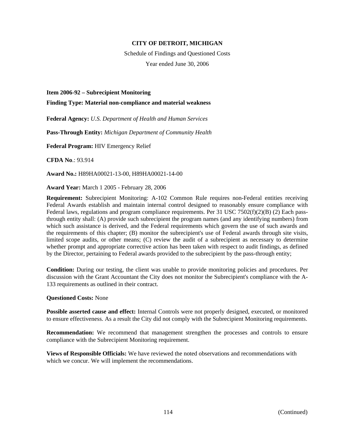Schedule of Findings and Questioned Costs Year ended June 30, 2006

**Item 2006-92 – Subrecipient Monitoring** 

**Finding Type: Material non-compliance and material weakness** 

**Federal Agency:** *U.S. Department of Health and Human Services*

**Pass-Through Entity:** *Michigan Department of Community Health*

**Federal Program:** HIV Emergency Relief

**CFDA No**.: 93.914

**Award No.:** H89HA00021-13-00, H89HA00021-14-00

**Award Year:** March 1 2005 - February 28, 2006

**Requirement:** Subrecipient Monitoring: A-102 Common Rule requires non-Federal entities receiving Federal Awards establish and maintain internal control designed to reasonably ensure compliance with Federal laws, regulations and program compliance requirements. Per 31 USC 7502(f)(2)(B) (2) Each passthrough entity shall: (A) provide such subrecipient the program names (and any identifying numbers) from which such assistance is derived, and the Federal requirements which govern the use of such awards and the requirements of this chapter; (B) monitor the subrecipient's use of Federal awards through site visits, limited scope audits, or other means; (C) review the audit of a subrecipient as necessary to determine whether prompt and appropriate corrective action has been taken with respect to audit findings, as defined by the Director, pertaining to Federal awards provided to the subrecipient by the pass-through entity;

**Condition:** During our testing, the client was unable to provide monitoring policies and procedures. Per discussion with the Grant Accountant the City does not monitor the Subrecipient's compliance with the A-133 requirements as outlined in their contract.

### **Questioned Costs:** None

**Possible asserted cause and effect:** Internal Controls were not properly designed, executed, or monitored to ensure effectiveness. As a result the City did not comply with the Subrecipient Monitoring requirements.

**Recommendation:** We recommend that management strengthen the processes and controls to ensure compliance with the Subrecipient Monitoring requirement.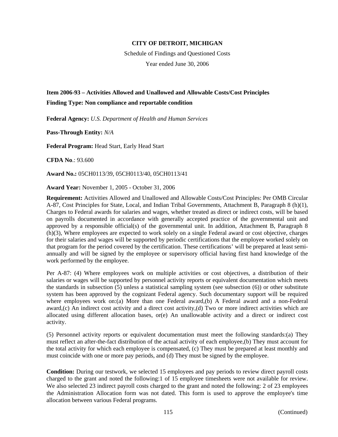Schedule of Findings and Questioned Costs Year ended June 30, 2006

# **Item 2006-93 – Activities Allowed and Unallowed and Allowable Costs/Cost Principles Finding Type: Non compliance and reportable condition**

**Federal Agency:** *U.S. Department of Health and Human Services*

**Pass-Through Entity:** *N/A*

**Federal Program:** Head Start, Early Head Start

**CFDA No**.: 93.600

**Award No.:** 05CH0113/39, 05CH0113/40, 05CH0113/41

**Award Year:** November 1, 2005 - October 31, 2006

**Requirement:** Activities Allowed and Unallowed and Allowable Costs/Cost Principles: Per OMB Circular A-87, Cost Principles for State, Local, and Indian Tribal Governments, Attachment B, Paragraph 8 (h)(1), Charges to Federal awards for salaries and wages, whether treated as direct or indirect costs, will be based on payrolls documented in accordance with generally accepted practice of the governmental unit and approved by a responsible official(s) of the governmental unit. In addition, Attachment B, Paragraph 8 (h)(3), Where employees are expected to work solely on a single Federal award or cost objective, charges for their salaries and wages will be supported by periodic certifications that the employee worked solely on that program for the period covered by the certification. These certifications' will be prepared at least semiannually and will be signed by the employee or supervisory official having first hand knowledge of the work performed by the employee.

Per A-87: (4) Where employees work on multiple activities or cost objectives, a distribution of their salaries or wages will be supported by personnel activity reports or equivalent documentation which meets the standards in subsection (5) unless a statistical sampling system (see subsection (6)) or other substitute system has been approved by the cognizant Federal agency. Such documentary support will be required where employees work on:(a) More than one Federal award,(b) A Federal award and a non-Federal award,(c) An indirect cost activity and a direct cost activity,(d) Two or more indirect activities which are allocated using different allocation bases, or(e) An unallowable activity and a direct or indirect cost activity.

(5) Personnel activity reports or equivalent documentation must meet the following standards:(a) They must reflect an after-the-fact distribution of the actual activity of each employee,(b) They must account for the total activity for which each employee is compensated, (c) They must be prepared at least monthly and must coincide with one or more pay periods, and (d) They must be signed by the employee.

**Condition:** During our testwork, we selected 15 employees and pay periods to review direct payroll costs charged to the grant and noted the following:1 of 15 employee timesheets were not available for review. We also selected 23 indirect payroll costs charged to the grant and noted the following: 2 of 23 employees the Administration Allocation form was not dated. This form is used to approve the employee's time allocation between various Federal programs.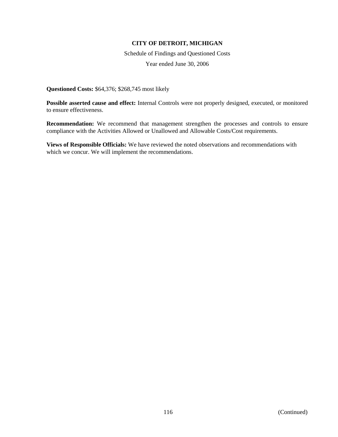Schedule of Findings and Questioned Costs Year ended June 30, 2006

**Questioned Costs:** \$64,376; \$268,745 most likely

**Possible asserted cause and effect:** Internal Controls were not properly designed, executed, or monitored to ensure effectiveness.

**Recommendation:** We recommend that management strengthen the processes and controls to ensure compliance with the Activities Allowed or Unallowed and Allowable Costs/Cost requirements.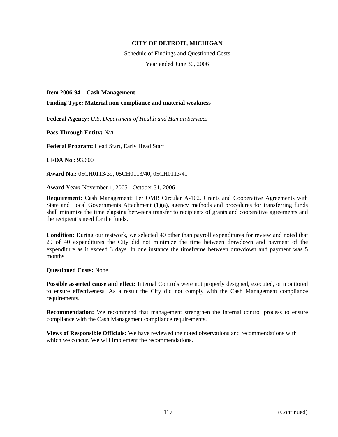Schedule of Findings and Questioned Costs Year ended June 30, 2006

**Item 2006-94 – Cash Management** 

**Finding Type: Material non-compliance and material weakness** 

**Federal Agency:** *U.S. Department of Health and Human Services*

**Pass-Through Entity:** *N/A*

**Federal Program:** Head Start, Early Head Start

**CFDA No**.: 93.600

**Award No.:** 05CH0113/39, 05CH0113/40, 05CH0113/41

**Award Year:** November 1, 2005 - October 31, 2006

**Requirement:** Cash Management: Per OMB Circular A-102, Grants and Cooperative Agreements with State and Local Governments Attachment  $(1)(a)$ , agency methods and procedures for transferring funds shall minimize the time elapsing betweens transfer to recipients of grants and cooperative agreements and the recipient's need for the funds.

**Condition:** During our testwork, we selected 40 other than payroll expenditures for review and noted that 29 of 40 expenditures the City did not minimize the time between drawdown and payment of the expenditure as it exceed 3 days. In one instance the timeframe between drawdown and payment was 5 months.

### **Questioned Costs:** None

**Possible asserted cause and effect:** Internal Controls were not properly designed, executed, or monitored to ensure effectiveness. As a result the City did not comply with the Cash Management compliance requirements.

**Recommendation:** We recommend that management strengthen the internal control process to ensure compliance with the Cash Management compliance requirements.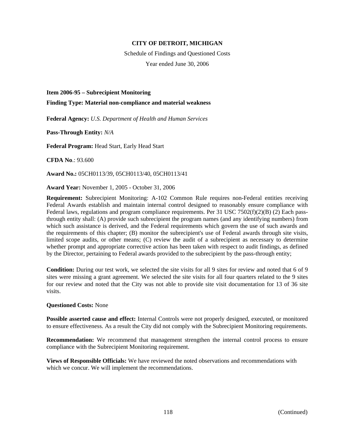Schedule of Findings and Questioned Costs Year ended June 30, 2006

#### **Item 2006-95 – Subrecipient Monitoring**

**Finding Type: Material non-compliance and material weakness** 

**Federal Agency:** *U.S. Department of Health and Human Services*

**Pass-Through Entity:** *N/A*

**Federal Program:** Head Start, Early Head Start

**CFDA No**.: 93.600

**Award No.:** 05CH0113/39, 05CH0113/40, 05CH0113/41

**Award Year:** November 1, 2005 - October 31, 2006

**Requirement:** Subrecipient Monitoring: A-102 Common Rule requires non-Federal entities receiving Federal Awards establish and maintain internal control designed to reasonably ensure compliance with Federal laws, regulations and program compliance requirements. Per 31 USC 7502(f)(2)(B) (2) Each passthrough entity shall: (A) provide such subrecipient the program names (and any identifying numbers) from which such assistance is derived, and the Federal requirements which govern the use of such awards and the requirements of this chapter; (B) monitor the subrecipient's use of Federal awards through site visits, limited scope audits, or other means; (C) review the audit of a subrecipient as necessary to determine whether prompt and appropriate corrective action has been taken with respect to audit findings, as defined by the Director, pertaining to Federal awards provided to the subrecipient by the pass-through entity;

**Condition:** During our test work, we selected the site visits for all 9 sites for review and noted that 6 of 9 sites were missing a grant agreement. We selected the site visits for all four quarters related to the 9 sites for our review and noted that the City was not able to provide site visit documentation for 13 of 36 site visits.

### **Questioned Costs:** None

**Possible asserted cause and effect:** Internal Controls were not properly designed, executed, or monitored to ensure effectiveness. As a result the City did not comply with the Subrecipient Monitoring requirements.

**Recommendation:** We recommend that management strengthen the internal control process to ensure compliance with the Subrecipient Monitoring requirement.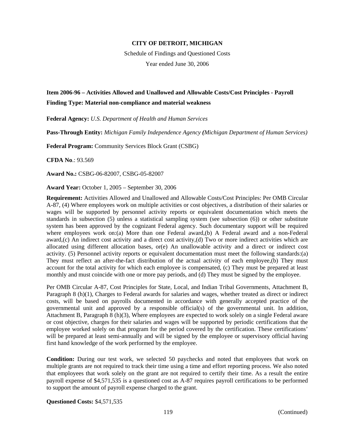Schedule of Findings and Questioned Costs Year ended June 30, 2006

# **Item 2006-96 – Activities Allowed and Unallowed and Allowable Costs/Cost Principles - Payroll Finding Type: Material non-compliance and material weakness**

**Federal Agency:** *U.S. Department of Health and Human Services*

**Pass-Through Entity:** *Michigan Family Independence Agency (Michigan Department of Human Services)*

**Federal Program:** Community Services Block Grant (CSBG)

**CFDA No**.: 93.569

**Award No.:** CSBG-06-82007, CSBG-05-82007

**Award Year:** October 1, 2005 – September 30, 2006

**Requirement:** Activities Allowed and Unallowed and Allowable Costs/Cost Principles: Per OMB Circular A-87, (4) Where employees work on multiple activities or cost objectives, a distribution of their salaries or wages will be supported by personnel activity reports or equivalent documentation which meets the standards in subsection (5) unless a statistical sampling system (see subsection (6)) or other substitute system has been approved by the cognizant Federal agency. Such documentary support will be required where employees work on:(a) More than one Federal award,(b) A Federal award and a non-Federal award,(c) An indirect cost activity and a direct cost activity,(d) Two or more indirect activities which are allocated using different allocation bases, or(e) An unallowable activity and a direct or indirect cost activity. (5) Personnel activity reports or equivalent documentation must meet the following standards:(a) They must reflect an after-the-fact distribution of the actual activity of each employee,(b) They must account for the total activity for which each employee is compensated, (c) They must be prepared at least monthly and must coincide with one or more pay periods, and (d) They must be signed by the employee.

Per OMB Circular A-87, Cost Principles for State, Local, and Indian Tribal Governments, Attachment B, Paragraph 8 (h)(1), Charges to Federal awards for salaries and wages, whether treated as direct or indirect costs, will be based on payrolls documented in accordance with generally accepted practice of the governmental unit and approved by a responsible official(s) of the governmental unit. In addition, Attachment B, Paragraph 8 (h)(3), Where employees are expected to work solely on a single Federal aware or cost objective, charges for their salaries and wages will be supported by periodic certifications that the employee worked solely on that program for the period covered by the certification. These certifications' will be prepared at least semi-annually and will be signed by the employee or supervisory official having first hand knowledge of the work performed by the employee.

**Condition:** During our test work, we selected 50 paychecks and noted that employees that work on multiple grants are not required to track their time using a time and effort reporting process. We also noted that employees that work solely on the grant are not required to certify their time. As a result the entire payroll expense of \$4,571,535 is a questioned cost as A-87 requires payroll certifications to be performed to support the amount of payroll expense charged to the grant.

**Questioned Costs:** \$4,571,535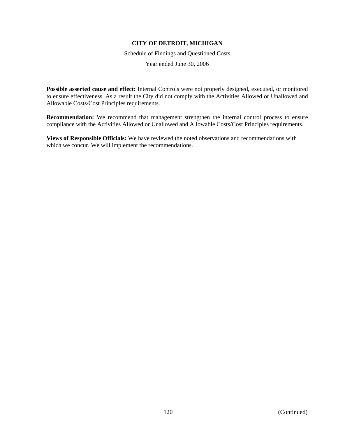Schedule of Findings and Questioned Costs

Year ended June 30, 2006

**Possible asserted cause and effect:** Internal Controls were not properly designed, executed, or monitored to ensure effectiveness. As a result the City did not comply with the Activities Allowed or Unallowed and Allowable Costs/Cost Principles requirements.

**Recommendation:** We recommend that management strengthen the internal control process to ensure compliance with the Activities Allowed or Unallowed and Allowable Costs/Cost Principles requirements.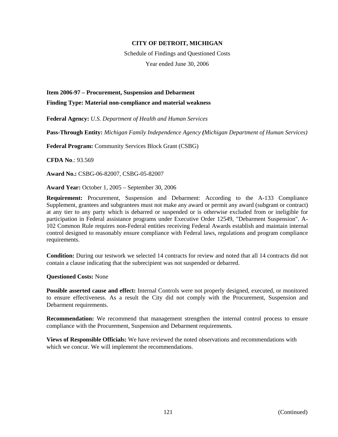Schedule of Findings and Questioned Costs Year ended June 30, 2006

**Item 2006-97 – Procurement, Suspension and Debarment** 

**Finding Type: Material non-compliance and material weakness** 

**Federal Agency:** *U.S. Department of Health and Human Services*

**Pass-Through Entity:** *Michigan Family Independence Agency (Michigan Department of Human Services)*

**Federal Program:** Community Services Block Grant (CSBG)

**CFDA No**.: 93.569

**Award No.:** CSBG-06-82007, CSBG-05-82007

**Award Year:** October 1, 2005 – September 30, 2006

**Requirement:** Procurement, Suspension and Debarment: According to the A-133 Compliance Supplement, grantees and subgrantees must not make any award or permit any award (subgrant or contract) at any tier to any party which is debarred or suspended or is otherwise excluded from or ineligible for participation in Federal assistance programs under Executive Order 12549, "Debarment Suspension". A-102 Common Rule requires non-Federal entities receiving Federal Awards establish and maintain internal control designed to reasonably ensure compliance with Federal laws, regulations and program compliance requirements.

**Condition:** During our testwork we selected 14 contracts for review and noted that all 14 contracts did not contain a clause indicating that the subrecipient was not suspended or debarred.

**Questioned Costs:** None

**Possible asserted cause and effect:** Internal Controls were not properly designed, executed, or monitored to ensure effectiveness. As a result the City did not comply with the Procurement, Suspension and Debarment requirements.

**Recommendation:** We recommend that management strengthen the internal control process to ensure compliance with the Procurement, Suspension and Debarment requirements.